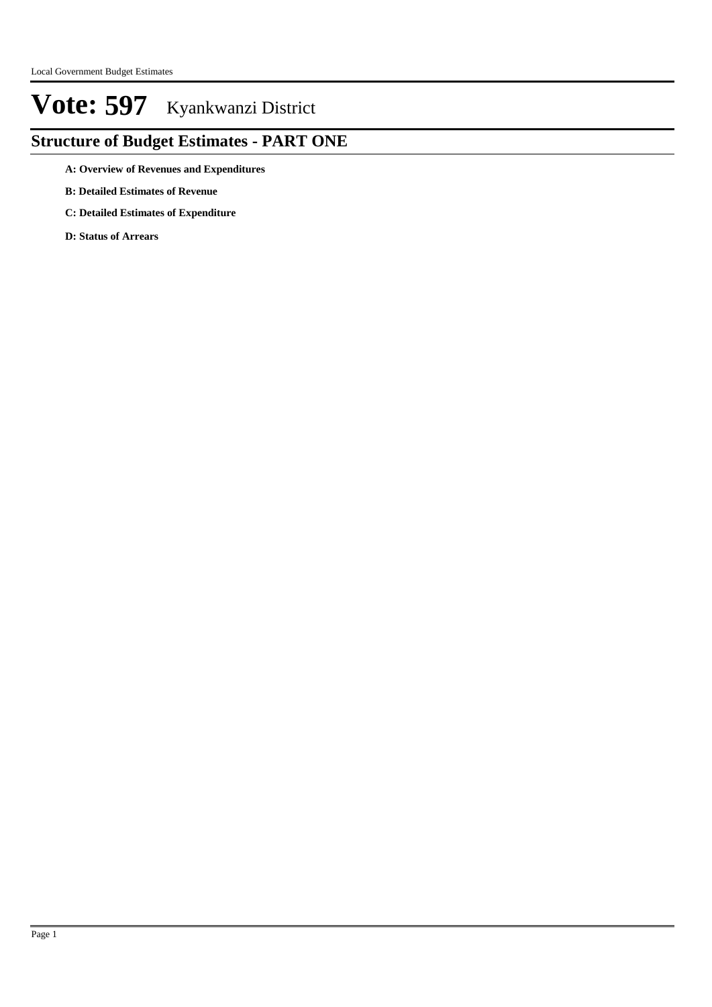### **Structure of Budget Estimates - PART ONE**

**A: Overview of Revenues and Expenditures**

- **B: Detailed Estimates of Revenue**
- **C: Detailed Estimates of Expenditure**

**D: Status of Arrears**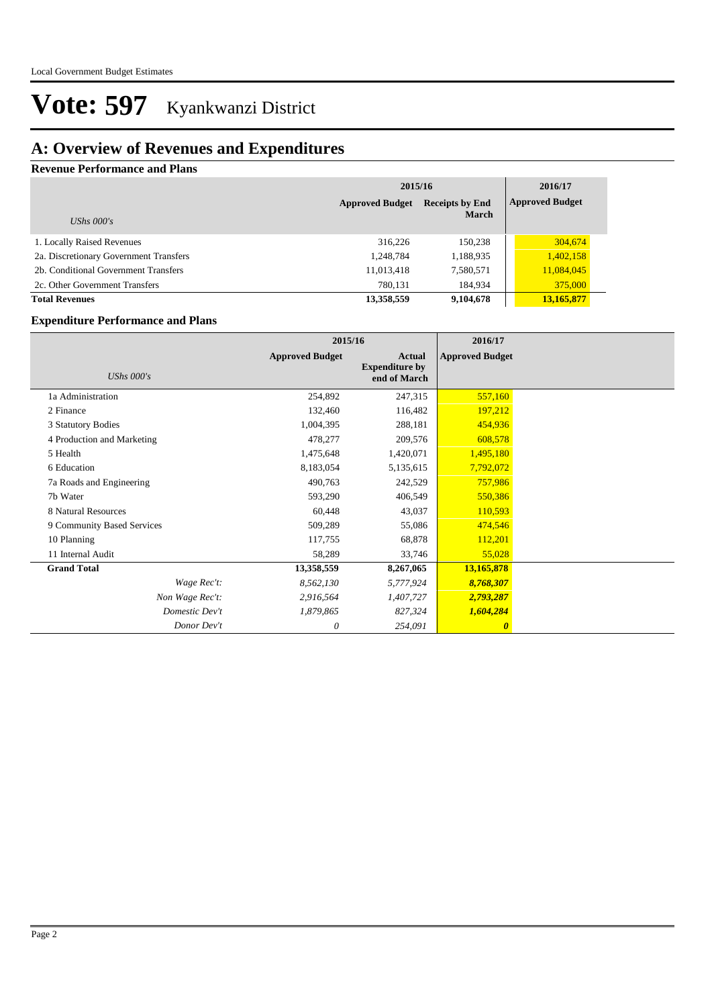### **A: Overview of Revenues and Expenditures**

#### **Revenue Performance and Plans**

|                                        |                        | 2015/16                                |                        |  |
|----------------------------------------|------------------------|----------------------------------------|------------------------|--|
| UShs $000's$                           | <b>Approved Budget</b> | <b>Receipts by End</b><br><b>March</b> | <b>Approved Budget</b> |  |
| 1. Locally Raised Revenues             | 316,226                | 150.238                                | 304,674                |  |
| 2a. Discretionary Government Transfers | 1,248,784              | 1,188,935                              | 1,402,158              |  |
| 2b. Conditional Government Transfers   | 11,013,418             | 7,580,571                              | 11,084,045             |  |
| 2c. Other Government Transfers         | 780.131                | 184.934                                | 375,000                |  |
| <b>Total Revenues</b>                  | 13,358,559             | 9,104,678                              | 13,165,877             |  |

#### **Expenditure Performance and Plans**

|                            | 2015/16                |                                                        | 2016/17                |  |
|----------------------------|------------------------|--------------------------------------------------------|------------------------|--|
| UShs $000's$               | <b>Approved Budget</b> | <b>Actual</b><br><b>Expenditure by</b><br>end of March | <b>Approved Budget</b> |  |
| 1a Administration          | 254,892                | 247,315                                                | 557,160                |  |
| 2 Finance                  | 132,460                | 116,482                                                | 197,212                |  |
| 3 Statutory Bodies         | 1,004,395              | 288,181                                                | 454,936                |  |
| 4 Production and Marketing | 478,277                | 209,576                                                | 608,578                |  |
| 5 Health                   | 1,475,648              | 1,420,071                                              | 1,495,180              |  |
| 6 Education                | 8,183,054              | 5,135,615                                              | 7,792,072              |  |
| 7a Roads and Engineering   | 490,763                | 242,529                                                | 757,986                |  |
| 7b Water                   | 593,290                | 406,549                                                | 550,386                |  |
| 8 Natural Resources        | 60,448                 | 43,037                                                 | 110,593                |  |
| 9 Community Based Services | 509,289                | 55,086                                                 | 474,546                |  |
| 10 Planning                | 117,755                | 68,878                                                 | 112,201                |  |
| 11 Internal Audit          | 58,289                 | 33,746                                                 | 55,028                 |  |
| <b>Grand Total</b>         | 13,358,559             | 8,267,065                                              | 13,165,878             |  |
| Wage Rec't:                | 8,562,130              | 5,777,924                                              | 8,768,307              |  |
| Non Wage Rec't:            | 2,916,564              | 1,407,727                                              | 2,793,287              |  |
| Domestic Dev't             | 1,879,865              | 827,324                                                | 1,604,284              |  |
| Donor Dev't                | 0                      | 254,091                                                | $\boldsymbol{\theta}$  |  |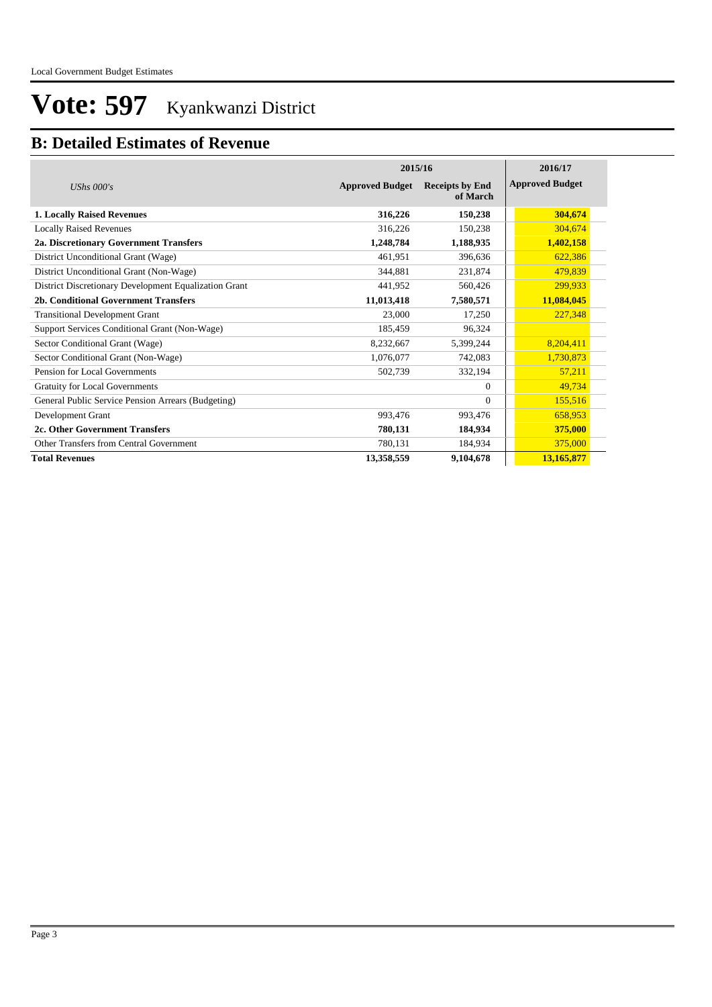### **B: Detailed Estimates of Revenue**

|                                                       | 2015/16                | 2016/17                            |                        |
|-------------------------------------------------------|------------------------|------------------------------------|------------------------|
| UShs $000's$                                          | <b>Approved Budget</b> | <b>Receipts by End</b><br>of March | <b>Approved Budget</b> |
| <b>1. Locally Raised Revenues</b>                     | 316,226                | 150,238                            | 304,674                |
| <b>Locally Raised Revenues</b>                        | 316,226                | 150,238                            | 304,674                |
| 2a. Discretionary Government Transfers                | 1,248,784              | 1,188,935                          | 1,402,158              |
| District Unconditional Grant (Wage)                   | 461,951                | 396.636                            | 622,386                |
| District Unconditional Grant (Non-Wage)               | 344,881                | 231,874                            | 479,839                |
| District Discretionary Development Equalization Grant | 441,952                | 560,426                            | 299,933                |
| 2b. Conditional Government Transfers                  | 11,013,418             | 7,580,571                          | 11,084,045             |
| <b>Transitional Development Grant</b>                 | 23,000                 | 17,250                             | 227,348                |
| Support Services Conditional Grant (Non-Wage)         | 185,459                | 96,324                             |                        |
| Sector Conditional Grant (Wage)                       | 8,232,667              | 5,399,244                          | 8,204,411              |
| Sector Conditional Grant (Non-Wage)                   | 1,076,077              | 742,083                            | 1,730,873              |
| Pension for Local Governments                         | 502,739                | 332,194                            | 57,211                 |
| Gratuity for Local Governments                        |                        | $\Omega$                           | 49,734                 |
| General Public Service Pension Arrears (Budgeting)    |                        | $\Omega$                           | 155,516                |
| Development Grant                                     | 993,476                | 993,476                            | 658,953                |
| 2c. Other Government Transfers                        | 780,131                | 184,934                            | 375,000                |
| Other Transfers from Central Government               | 780,131                | 184,934                            | 375,000                |
| <b>Total Revenues</b>                                 | 13,358,559             | 9,104,678                          | 13,165,877             |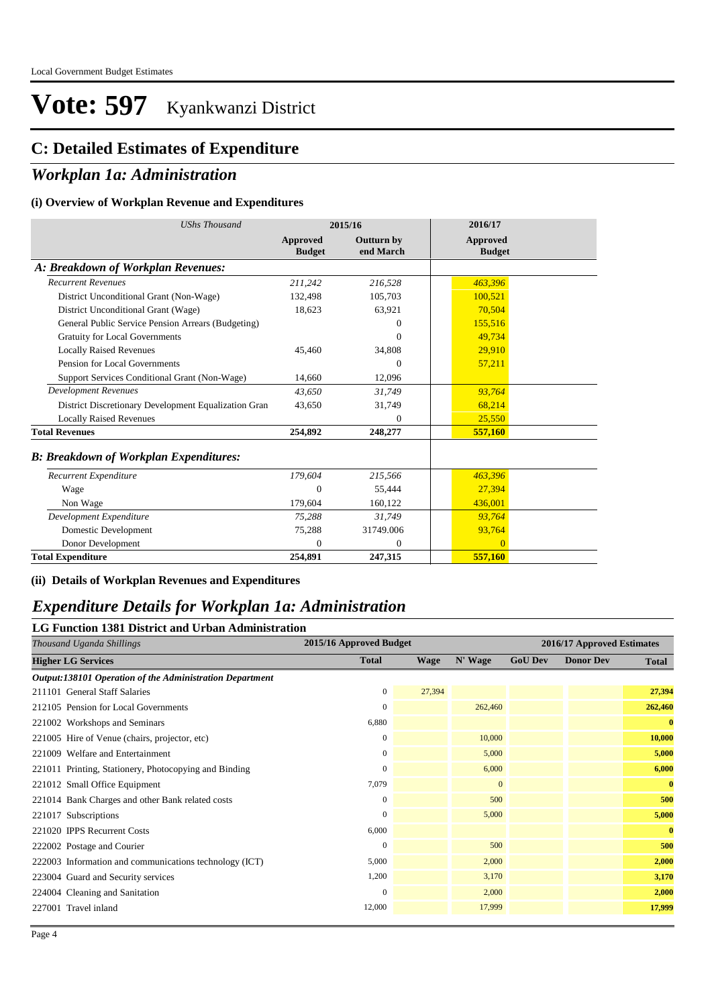### **C: Detailed Estimates of Expenditure**

### *Workplan 1a: Administration*

#### **(i) Overview of Workplan Revenue and Expenditures**

| <b>UShs Thousand</b>                                 |                           | 2015/16                        | 2016/17                          |  |
|------------------------------------------------------|---------------------------|--------------------------------|----------------------------------|--|
|                                                      | Approved<br><b>Budget</b> | <b>Outturn by</b><br>end March | <b>Approved</b><br><b>Budget</b> |  |
| A: Breakdown of Workplan Revenues:                   |                           |                                |                                  |  |
| <b>Recurrent Revenues</b>                            | 211,242                   | 216.528                        | 463.396                          |  |
| District Unconditional Grant (Non-Wage)              | 132,498                   | 105,703                        | 100,521                          |  |
| District Unconditional Grant (Wage)                  | 18,623                    | 63,921                         | 70,504                           |  |
| General Public Service Pension Arrears (Budgeting)   |                           | $\Omega$                       | 155,516                          |  |
| <b>Gratuity for Local Governments</b>                |                           | $\Omega$                       | 49,734                           |  |
| <b>Locally Raised Revenues</b>                       | 45,460                    | 34,808                         | 29,910                           |  |
| Pension for Local Governments                        |                           | $\Omega$                       | 57,211                           |  |
| Support Services Conditional Grant (Non-Wage)        | 14.660                    | 12,096                         |                                  |  |
| <b>Development Revenues</b>                          | 43,650                    | 31,749                         | 93,764                           |  |
| District Discretionary Development Equalization Gran | 43,650                    | 31,749                         | 68,214                           |  |
| <b>Locally Raised Revenues</b>                       |                           | $\Omega$                       | 25,550                           |  |
| <b>Total Revenues</b>                                | 254,892                   | 248,277                        | 557,160                          |  |
| <b>B: Breakdown of Workplan Expenditures:</b>        |                           |                                |                                  |  |
| Recurrent Expenditure                                | 179,604                   | 215,566                        | 463,396                          |  |
| Wage                                                 | 0                         | 55.444                         | 27,394                           |  |
| Non Wage                                             | 179.604                   | 160,122                        | 436,001                          |  |
| Development Expenditure                              | 75,288                    | 31,749                         | 93,764                           |  |
| Domestic Development                                 | 75,288                    | 31749.006                      | 93,764                           |  |
| Donor Development                                    | $\Omega$                  | $\mathbf{0}$                   | $\overline{0}$                   |  |
| <b>Total Expenditure</b>                             | 254,891                   | 247,315                        | 557,160                          |  |

#### **(ii) Details of Workplan Revenues and Expenditures**

#### *Expenditure Details for Workplan 1a: Administration*

#### **LG Function 1381 District and Urban Administration**

| Thousand Uganda Shillings                                | 2015/16 Approved Budget |             | 2016/17 Approved Estimates |                |                  |              |
|----------------------------------------------------------|-------------------------|-------------|----------------------------|----------------|------------------|--------------|
| <b>Higher LG Services</b>                                | <b>Total</b>            | <b>Wage</b> | N' Wage                    | <b>GoU Dev</b> | <b>Donor Dev</b> | <b>Total</b> |
| Output:138101 Operation of the Administration Department |                         |             |                            |                |                  |              |
| 211101 General Staff Salaries                            | $\mathbf{0}$            | 27,394      |                            |                |                  | 27,394       |
| 212105 Pension for Local Governments                     | $\mathbf{0}$            |             | 262,460                    |                |                  | 262,460      |
| 221002 Workshops and Seminars                            | 6,880                   |             |                            |                |                  | $\mathbf{0}$ |
| 221005 Hire of Venue (chairs, projector, etc)            | $\mathbf{0}$            |             | 10,000                     |                |                  | 10,000       |
| 221009 Welfare and Entertainment                         | $\mathbf{0}$            |             | 5,000                      |                |                  | 5,000        |
| 221011 Printing, Stationery, Photocopying and Binding    | $\mathbf{0}$            |             | 6,000                      |                |                  | 6,000        |
| 221012 Small Office Equipment                            | 7,079                   |             | $\mathbf{0}$               |                |                  | $\bf{0}$     |
| 221014 Bank Charges and other Bank related costs         | $\mathbf{0}$            |             | 500                        |                |                  | 500          |
| 221017 Subscriptions                                     | $\mathbf{0}$            |             | 5,000                      |                |                  | 5,000        |
| 221020 IPPS Recurrent Costs                              | 6,000                   |             |                            |                |                  | $\bf{0}$     |
| 222002 Postage and Courier                               | $\mathbf{0}$            |             | 500                        |                |                  | 500          |
| 222003 Information and communications technology (ICT)   | 5,000                   |             | 2,000                      |                |                  | 2,000        |
| 223004 Guard and Security services                       | 1,200                   |             | 3,170                      |                |                  | 3,170        |
| 224004 Cleaning and Sanitation                           | $\mathbf{0}$            |             | 2,000                      |                |                  | 2,000        |
| 227001 Travel inland                                     | 12,000                  |             | 17,999                     |                |                  | 17,999       |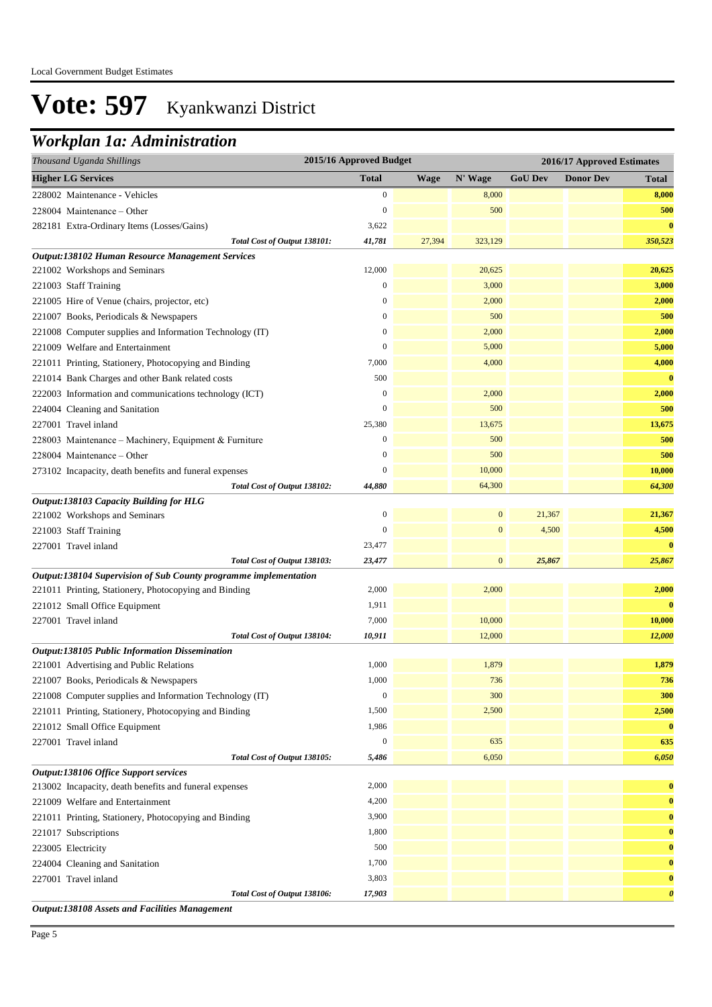### *Workplan 1a: Administration*

| 2015/16 Approved Budget<br>Thousand Uganda Shillings             |                  |        |              |                | 2016/17 Approved Estimates |                       |  |
|------------------------------------------------------------------|------------------|--------|--------------|----------------|----------------------------|-----------------------|--|
| <b>Higher LG Services</b>                                        | <b>Total</b>     | Wage   | N' Wage      | <b>GoU Dev</b> | <b>Donor Dev</b>           | <b>Total</b>          |  |
| 228002 Maintenance - Vehicles                                    | $\boldsymbol{0}$ |        | 8,000        |                |                            | 8,000                 |  |
| $228004$ Maintenance – Other                                     | $\boldsymbol{0}$ |        | 500          |                |                            | 500                   |  |
| 282181 Extra-Ordinary Items (Losses/Gains)                       | 3,622            |        |              |                |                            | $\bf{0}$              |  |
| Total Cost of Output 138101:                                     | 41,781           | 27,394 | 323,129      |                |                            | 350,523               |  |
| Output:138102 Human Resource Management Services                 |                  |        |              |                |                            |                       |  |
| 221002 Workshops and Seminars                                    | 12,000           |        | 20,625       |                |                            | 20,625                |  |
| 221003 Staff Training                                            | $\boldsymbol{0}$ |        | 3,000        |                |                            | 3,000                 |  |
| 221005 Hire of Venue (chairs, projector, etc)                    | $\mathbf{0}$     |        | 2,000        |                |                            | 2,000                 |  |
| 221007 Books, Periodicals & Newspapers                           | $\mathbf{0}$     |        | 500          |                |                            | 500                   |  |
| 221008 Computer supplies and Information Technology (IT)         | $\boldsymbol{0}$ |        | 2,000        |                |                            | 2,000                 |  |
| 221009 Welfare and Entertainment                                 | $\boldsymbol{0}$ |        | 5,000        |                |                            | 5,000                 |  |
| 221011 Printing, Stationery, Photocopying and Binding            | 7,000            |        | 4,000        |                |                            | 4,000                 |  |
| 221014 Bank Charges and other Bank related costs                 | 500              |        |              |                |                            | $\bf{0}$              |  |
| 222003 Information and communications technology (ICT)           | $\boldsymbol{0}$ |        | 2,000        |                |                            | 2,000                 |  |
| 224004 Cleaning and Sanitation                                   | $\boldsymbol{0}$ |        | 500          |                |                            | 500                   |  |
| 227001 Travel inland                                             | 25,380           |        | 13,675       |                |                            | 13,675                |  |
| 228003 Maintenance – Machinery, Equipment & Furniture            | $\boldsymbol{0}$ |        | 500          |                |                            | 500                   |  |
| 228004 Maintenance - Other                                       | $\mathbf{0}$     |        | 500          |                |                            | 500                   |  |
| 273102 Incapacity, death benefits and funeral expenses           | $\theta$         |        | 10,000       |                |                            | 10,000                |  |
| Total Cost of Output 138102:                                     | 44,880           |        | 64,300       |                |                            | 64,300                |  |
| Output:138103 Capacity Building for HLG                          |                  |        |              |                |                            |                       |  |
| 221002 Workshops and Seminars                                    | $\boldsymbol{0}$ |        | $\mathbf{0}$ | 21,367         |                            | 21,367                |  |
| 221003 Staff Training                                            | $\overline{0}$   |        | $\mathbf{0}$ | 4,500          |                            | 4,500                 |  |
| 227001 Travel inland                                             | 23,477           |        |              |                |                            | $\bf{0}$              |  |
| Total Cost of Output 138103:                                     | 23,477           |        | $\mathbf{0}$ | 25,867         |                            | 25,867                |  |
| Output:138104 Supervision of Sub County programme implementation |                  |        |              |                |                            |                       |  |
| 221011 Printing, Stationery, Photocopying and Binding            | 2,000            |        | 2,000        |                |                            | 2,000                 |  |
| 221012 Small Office Equipment                                    | 1,911            |        |              |                |                            | $\bf{0}$              |  |
| 227001 Travel inland                                             | 7,000            |        | 10,000       |                |                            | 10,000                |  |
| Total Cost of Output 138104:                                     | 10,911           |        | 12,000       |                |                            | 12,000                |  |
| Output:138105 Public Information Dissemination                   |                  |        |              |                |                            |                       |  |
| 221001 Advertising and Public Relations                          | 1,000            |        | 1,879        |                |                            | 1,879                 |  |
| 221007 Books, Periodicals & Newspapers                           | 1,000            |        | 736          |                |                            | 736                   |  |
| 221008 Computer supplies and Information Technology (IT)         | $\boldsymbol{0}$ |        | 300          |                |                            | 300                   |  |
| 221011 Printing, Stationery, Photocopying and Binding            | 1,500            |        | 2,500        |                |                            | 2,500                 |  |
| 221012 Small Office Equipment                                    | 1,986            |        |              |                |                            | $\bf{0}$              |  |
| 227001 Travel inland                                             | $\boldsymbol{0}$ |        | 635          |                |                            | 635                   |  |
| Total Cost of Output 138105:                                     | 5,486            |        | 6,050        |                |                            | 6,050                 |  |
| Output:138106 Office Support services                            |                  |        |              |                |                            |                       |  |
| 213002 Incapacity, death benefits and funeral expenses           | 2,000            |        |              |                |                            | $\bf{0}$              |  |
| 221009 Welfare and Entertainment                                 | 4,200            |        |              |                |                            | $\bf{0}$              |  |
| 221011 Printing, Stationery, Photocopying and Binding            | 3,900            |        |              |                |                            | $\bf{0}$              |  |
| 221017 Subscriptions                                             | 1,800            |        |              |                |                            | $\bf{0}$              |  |
| 223005 Electricity                                               | 500              |        |              |                |                            | $\bf{0}$              |  |
| 224004 Cleaning and Sanitation                                   | 1,700            |        |              |                |                            | $\bf{0}$              |  |
| 227001 Travel inland                                             | 3,803            |        |              |                |                            | $\bf{0}$              |  |
| Total Cost of Output 138106:                                     | 17,903           |        |              |                |                            | $\boldsymbol{\theta}$ |  |

*Output:138108 Assets and Facilities Management*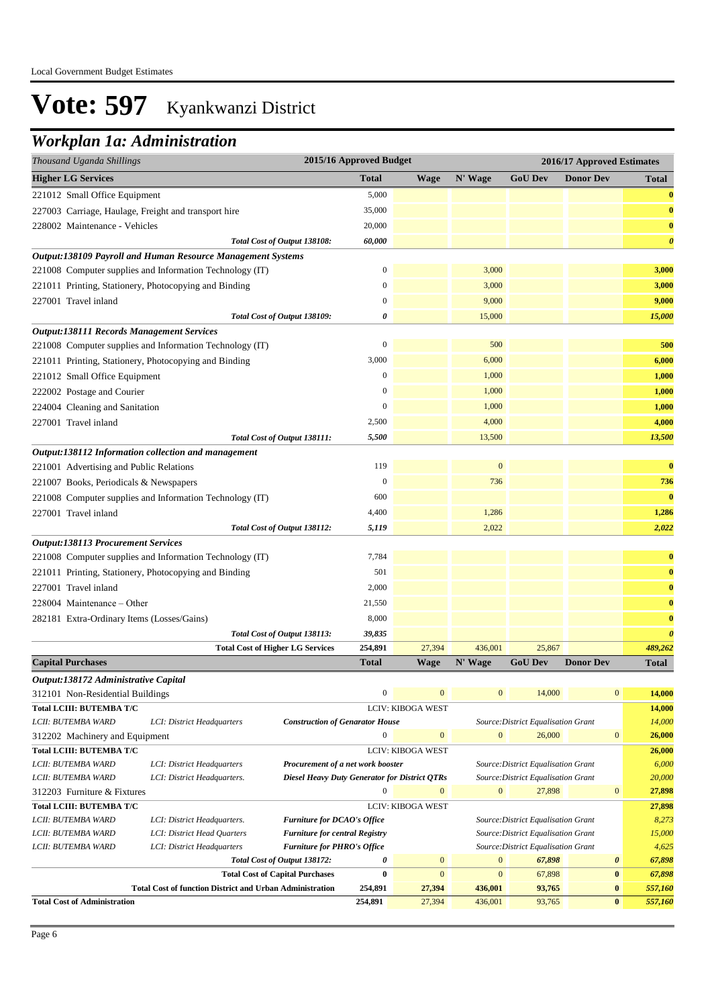## *Workplan 1a: Administration*

| Thousand Uganda Shillings                                         |                                                                 |                                                      | 2015/16 Approved Budget |                          | 2016/17 Approved Estimates |                                               |                       |                       |
|-------------------------------------------------------------------|-----------------------------------------------------------------|------------------------------------------------------|-------------------------|--------------------------|----------------------------|-----------------------------------------------|-----------------------|-----------------------|
| <b>Higher LG Services</b>                                         |                                                                 |                                                      | <b>Total</b>            | Wage                     | N' Wage                    | <b>GoU Dev</b>                                | <b>Donor Dev</b>      | <b>Total</b>          |
| 221012 Small Office Equipment                                     |                                                                 |                                                      | 5,000                   |                          |                            |                                               |                       | $\bf{0}$              |
|                                                                   | 227003 Carriage, Haulage, Freight and transport hire            |                                                      | 35,000                  |                          |                            |                                               |                       | $\bf{0}$              |
| 228002 Maintenance - Vehicles                                     |                                                                 |                                                      | 20,000                  |                          |                            |                                               |                       | $\bf{0}$              |
|                                                                   |                                                                 | Total Cost of Output 138108:                         | 60,000                  |                          |                            |                                               |                       | $\boldsymbol{\theta}$ |
|                                                                   | Output:138109 Payroll and Human Resource Management Systems     |                                                      |                         |                          |                            |                                               |                       |                       |
|                                                                   | 221008 Computer supplies and Information Technology (IT)        |                                                      | $\boldsymbol{0}$        |                          | 3,000                      |                                               |                       | 3,000                 |
|                                                                   | 221011 Printing, Stationery, Photocopying and Binding           |                                                      | $\boldsymbol{0}$        |                          | 3,000                      |                                               |                       | 3,000                 |
| 227001 Travel inland                                              |                                                                 |                                                      | $\mathbf{0}$            |                          | 9,000                      |                                               |                       | 9,000                 |
|                                                                   |                                                                 | Total Cost of Output 138109:                         | 0                       |                          | 15,000                     |                                               |                       | 15,000                |
| <b>Output:138111 Records Management Services</b>                  |                                                                 |                                                      |                         |                          |                            |                                               |                       |                       |
|                                                                   | 221008 Computer supplies and Information Technology (IT)        |                                                      | $\mathbf{0}$            |                          | 500                        |                                               |                       | 500                   |
|                                                                   | 221011 Printing, Stationery, Photocopying and Binding           |                                                      | 3,000                   |                          | 6,000                      |                                               |                       | 6,000                 |
| 221012 Small Office Equipment                                     |                                                                 |                                                      | $\mathbf{0}$            |                          | 1,000                      |                                               |                       | 1,000                 |
| 222002 Postage and Courier                                        |                                                                 |                                                      | $\boldsymbol{0}$        |                          | 1,000                      |                                               |                       | 1,000                 |
| 224004 Cleaning and Sanitation                                    |                                                                 |                                                      | $\boldsymbol{0}$        |                          | 1,000                      |                                               |                       | 1,000                 |
| 227001 Travel inland                                              |                                                                 |                                                      | 2,500                   |                          | 4,000                      |                                               |                       | 4,000                 |
|                                                                   |                                                                 | Total Cost of Output 138111:                         | 5,500                   |                          | 13,500                     |                                               |                       | 13,500                |
|                                                                   | Output:138112 Information collection and management             |                                                      |                         |                          |                            |                                               |                       |                       |
| 221001 Advertising and Public Relations                           |                                                                 |                                                      | 119                     |                          | $\mathbf{0}$               |                                               |                       | $\bf{0}$              |
| 221007 Books, Periodicals & Newspapers                            |                                                                 |                                                      | $\mathbf{0}$            |                          | 736                        |                                               |                       | 736                   |
|                                                                   | 221008 Computer supplies and Information Technology (IT)        |                                                      | 600                     |                          |                            |                                               |                       | $\bf{0}$              |
|                                                                   |                                                                 |                                                      |                         |                          |                            |                                               |                       |                       |
| 227001 Travel inland                                              |                                                                 |                                                      | 4,400                   |                          | 1,286                      |                                               |                       | 1,286                 |
|                                                                   |                                                                 | Total Cost of Output 138112:                         | 5,119                   |                          | 2,022                      |                                               |                       | 2,022                 |
| <b>Output:138113 Procurement Services</b>                         | 221008 Computer supplies and Information Technology (IT)        |                                                      | 7,784                   |                          |                            |                                               |                       | $\bf{0}$              |
|                                                                   |                                                                 |                                                      | 501                     |                          |                            |                                               |                       | $\bf{0}$              |
|                                                                   | 221011 Printing, Stationery, Photocopying and Binding           |                                                      | 2,000                   |                          |                            |                                               |                       |                       |
| 227001 Travel inland                                              |                                                                 |                                                      |                         |                          |                            |                                               |                       | $\bf{0}$              |
| 228004 Maintenance – Other                                        |                                                                 |                                                      | 21,550                  |                          |                            |                                               |                       | $\bf{0}$              |
| 282181 Extra-Ordinary Items (Losses/Gains)                        |                                                                 |                                                      | 8,000                   |                          |                            |                                               |                       | $\bf{0}$              |
|                                                                   |                                                                 | Total Cost of Output 138113:                         | 39,835                  |                          |                            |                                               |                       | $\boldsymbol{\theta}$ |
|                                                                   |                                                                 | <b>Total Cost of Higher LG Services</b>              | 254,891                 | 27,394                   | 436,001                    | 25,867                                        |                       | 489,262               |
| <b>Capital Purchases</b>                                          |                                                                 |                                                      | Total                   | Wage                     | N' Wage                    | <b>GoU</b> Dev                                | <b>Donor Dev</b>      | <b>Total</b>          |
| Output:138172 Administrative Capital                              |                                                                 |                                                      |                         |                          |                            |                                               |                       |                       |
| 312101 Non-Residential Buildings                                  |                                                                 |                                                      | 0                       | $\mathbf{0}$             | $\mathbf{0}$               | 14,000                                        | $\mathbf{0}$          | 14,000                |
| <b>Total LCIII: BUTEMBA T/C</b>                                   |                                                                 |                                                      |                         | <b>LCIV: KIBOGA WEST</b> |                            |                                               |                       | 14,000                |
| LCII: BUTEMBA WARD                                                | LCI: District Headquarters                                      | <b>Construction of Genarator House</b>               | $\boldsymbol{0}$        | $\mathbf{0}$             | $\mathbf{0}$               | Source: District Equalisation Grant<br>26,000 | $\boldsymbol{0}$      | 14,000<br>26,000      |
| 312202 Machinery and Equipment<br><b>Total LCIII: BUTEMBA T/C</b> |                                                                 |                                                      |                         | LCIV: KIBOGA WEST        |                            |                                               |                       |                       |
| LCII: BUTEMBA WARD                                                | LCI: District Headquarters                                      | Procurement of a net work booster                    |                         |                          |                            | Source: District Equalisation Grant           |                       | 26,000<br>6,000       |
| LCII: BUTEMBA WARD                                                | LCI: District Headquarters.                                     | <b>Diesel Heavy Duty Generator for District QTRs</b> |                         |                          |                            | Source: District Equalisation Grant           |                       | 20,000                |
| 312203 Furniture & Fixtures                                       |                                                                 |                                                      | $\boldsymbol{0}$        | $\mathbf{0}$             | $\overline{0}$             | 27,898                                        | $\mathbf{0}$          | 27,898                |
| <b>Total LCIII: BUTEMBA T/C</b>                                   |                                                                 |                                                      |                         | LCIV: KIBOGA WEST        |                            |                                               |                       | 27,898                |
| LCII: BUTEMBA WARD                                                | LCI: District Headquarters.                                     | <b>Furniture for DCAO's Office</b>                   |                         |                          |                            | Source: District Equalisation Grant           |                       | 8,273                 |
| LCII: BUTEMBA WARD                                                | LCI: District Head Quarters                                     | <b>Furniture for central Registry</b>                |                         |                          |                            | Source: District Equalisation Grant           |                       | 15,000                |
| LCII: BUTEMBA WARD                                                | LCI: District Headquarters                                      | <b>Furniture for PHRO's Office</b>                   |                         |                          |                            | Source: District Equalisation Grant           |                       | 4,625                 |
|                                                                   |                                                                 | Total Cost of Output 138172:                         | 0                       | $\mathbf{0}$             | $\mathbf{0}$               | 67,898                                        | $\boldsymbol{\theta}$ | 67,898                |
|                                                                   |                                                                 | <b>Total Cost of Capital Purchases</b>               | $\boldsymbol{0}$        | $\mathbf{0}$             | $\mathbf{0}$               | 67,898                                        | $\bf{0}$              | 67,898                |
|                                                                   | <b>Total Cost of function District and Urban Administration</b> |                                                      | 254,891                 | 27,394                   | 436,001                    | 93,765                                        | $\bf{0}$              | 557,160               |

**Total Cost of Administration 254,891** 27,394 436,001 93,765 **0** *557,160*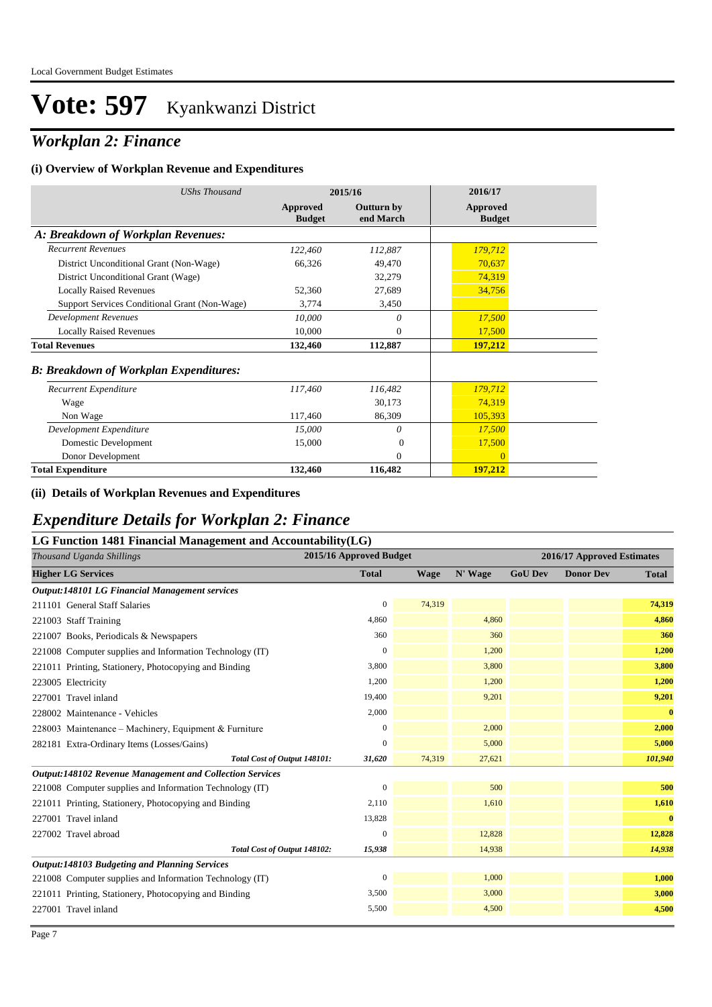### *Workplan 2: Finance*

#### **(i) Overview of Workplan Revenue and Expenditures**

| <b>UShs Thousand</b>                          |                           | 2015/16                        | 2016/17                   |
|-----------------------------------------------|---------------------------|--------------------------------|---------------------------|
|                                               | Approved<br><b>Budget</b> | <b>Outturn by</b><br>end March | Approved<br><b>Budget</b> |
| A: Breakdown of Workplan Revenues:            |                           |                                |                           |
| <b>Recurrent Revenues</b>                     | 122,460                   | 112,887                        | 179,712                   |
| District Unconditional Grant (Non-Wage)       | 66,326                    | 49,470                         | 70,637                    |
| District Unconditional Grant (Wage)           |                           | 32,279                         | 74,319                    |
| <b>Locally Raised Revenues</b>                | 52,360                    | 27,689                         | 34,756                    |
| Support Services Conditional Grant (Non-Wage) | 3,774                     | 3,450                          |                           |
| <b>Development Revenues</b>                   | 10,000                    | 0                              | 17,500                    |
| <b>Locally Raised Revenues</b>                | 10,000                    | $\mathbf{0}$                   | 17,500                    |
| <b>Total Revenues</b>                         | 132,460                   | 112,887                        | 197,212                   |
| <b>B: Breakdown of Workplan Expenditures:</b> |                           |                                |                           |
| Recurrent Expenditure                         | 117,460                   | 116,482                        | 179,712                   |
| Wage                                          |                           | 30,173                         | 74,319                    |
| Non Wage                                      | 117,460                   | 86,309                         | 105,393                   |
| Development Expenditure                       | 15,000                    | 0                              | 17,500                    |
| Domestic Development                          | 15,000                    | $\Omega$                       | 17,500                    |
| Donor Development                             |                           | $\theta$                       | $\Omega$                  |
| <b>Total Expenditure</b>                      | 132,460                   | 116,482                        | 197,212                   |

#### **(ii) Details of Workplan Revenues and Expenditures**

### *Expenditure Details for Workplan 2: Finance*

| LG Function 1481 Financial Management and Accountability(LG)    |                         |             |         |                            |                  |              |  |  |
|-----------------------------------------------------------------|-------------------------|-------------|---------|----------------------------|------------------|--------------|--|--|
| Thousand Uganda Shillings                                       | 2015/16 Approved Budget |             |         | 2016/17 Approved Estimates |                  |              |  |  |
| <b>Higher LG Services</b>                                       | <b>Total</b>            | <b>Wage</b> | N' Wage | <b>GoU Dev</b>             | <b>Donor Dev</b> | <b>Total</b> |  |  |
| Output:148101 LG Financial Management services                  |                         |             |         |                            |                  |              |  |  |
| 211101 General Staff Salaries                                   | $\mathbf{0}$            | 74,319      |         |                            |                  | 74,319       |  |  |
| 221003 Staff Training                                           | 4,860                   |             | 4,860   |                            |                  | 4,860        |  |  |
| 221007 Books, Periodicals & Newspapers                          | 360                     |             | 360     |                            |                  | 360          |  |  |
| 221008 Computer supplies and Information Technology (IT)        | $\mathbf{0}$            |             | 1,200   |                            |                  | 1,200        |  |  |
| 221011 Printing, Stationery, Photocopying and Binding           | 3,800                   |             | 3,800   |                            |                  | 3,800        |  |  |
| 223005 Electricity                                              | 1,200                   |             | 1,200   |                            |                  | 1,200        |  |  |
| 227001 Travel inland                                            | 19,400                  |             | 9,201   |                            |                  | 9,201        |  |  |
| 228002 Maintenance - Vehicles                                   | 2,000                   |             |         |                            |                  | $\bf{0}$     |  |  |
| 228003 Maintenance – Machinery, Equipment & Furniture           | $\mathbf{0}$            |             | 2,000   |                            |                  | 2,000        |  |  |
| 282181 Extra-Ordinary Items (Losses/Gains)                      | $\mathbf{0}$            |             | 5,000   |                            |                  | 5,000        |  |  |
| Total Cost of Output 148101:                                    | 31,620                  | 74,319      | 27,621  |                            |                  | 101,940      |  |  |
| <b>Output:148102 Revenue Management and Collection Services</b> |                         |             |         |                            |                  |              |  |  |
| 221008 Computer supplies and Information Technology (IT)        | $\mathbf{0}$            |             | 500     |                            |                  | 500          |  |  |
| 221011 Printing, Stationery, Photocopying and Binding           | 2,110                   |             | 1,610   |                            |                  | 1,610        |  |  |
| 227001 Travel inland                                            | 13,828                  |             |         |                            |                  | $\bf{0}$     |  |  |
| 227002 Travel abroad                                            | $\mathbf{0}$            |             | 12,828  |                            |                  | 12,828       |  |  |
| Total Cost of Output 148102:                                    | 15,938                  |             | 14,938  |                            |                  | 14,938       |  |  |
| Output:148103 Budgeting and Planning Services                   |                         |             |         |                            |                  |              |  |  |
| 221008 Computer supplies and Information Technology (IT)        | $\mathbf{0}$            |             | 1,000   |                            |                  | 1,000        |  |  |
| 221011 Printing, Stationery, Photocopying and Binding           | 3,500                   |             | 3,000   |                            |                  | 3,000        |  |  |
| 227001 Travel inland                                            | 5,500                   |             | 4,500   |                            |                  | 4,500        |  |  |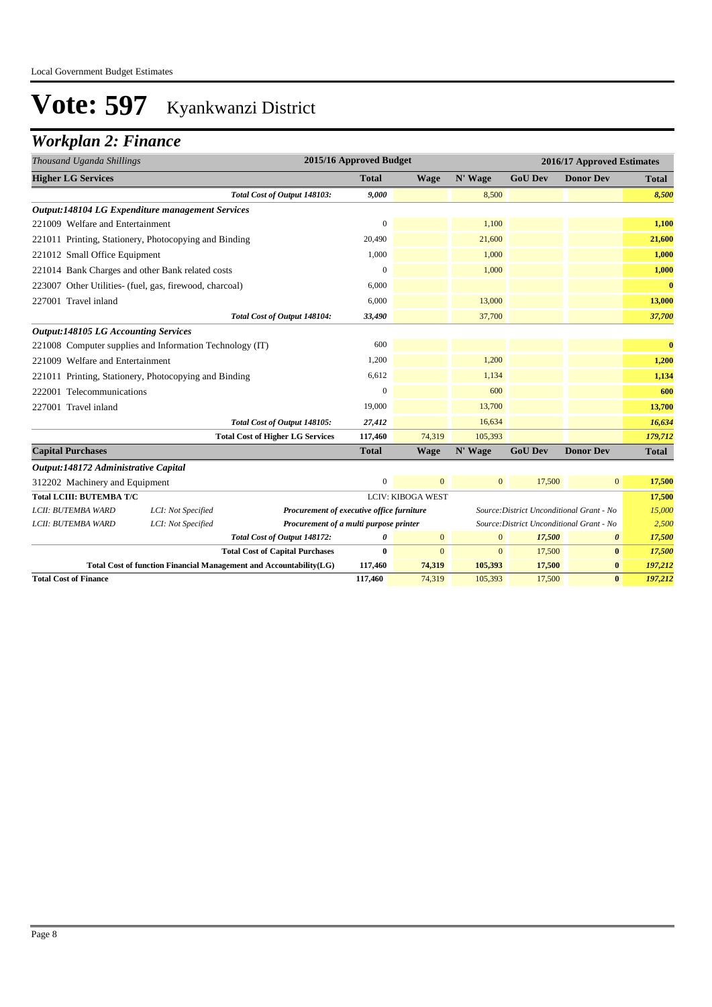### *Workplan 2: Finance*

| Thousand Uganda Shillings                               |                                                                    |                                           | 2015/16 Approved Budget |                          |              | 2016/17 Approved Estimates                |                  |              |
|---------------------------------------------------------|--------------------------------------------------------------------|-------------------------------------------|-------------------------|--------------------------|--------------|-------------------------------------------|------------------|--------------|
| <b>Higher LG Services</b>                               |                                                                    |                                           | <b>Total</b>            | <b>Wage</b>              | N' Wage      | <b>GoU Dev</b>                            | <b>Donor Dev</b> | <b>Total</b> |
|                                                         |                                                                    | Total Cost of Output 148103:              | 9,000                   |                          | 8,500        |                                           |                  | 8,500        |
|                                                         | <b>Output:148104 LG Expenditure management Services</b>            |                                           |                         |                          |              |                                           |                  |              |
| 221009 Welfare and Entertainment                        |                                                                    |                                           | $\boldsymbol{0}$        |                          | 1,100        |                                           |                  | 1,100        |
|                                                         | 221011 Printing, Stationery, Photocopying and Binding              |                                           | 20,490                  |                          | 21,600       |                                           |                  | 21,600       |
| 221012 Small Office Equipment                           |                                                                    |                                           | 1,000                   |                          | 1.000        |                                           |                  | 1,000        |
| 221014 Bank Charges and other Bank related costs        |                                                                    |                                           | $\mathbf{0}$            |                          | 1,000        |                                           |                  | 1,000        |
| 223007 Other Utilities- (fuel, gas, firewood, charcoal) |                                                                    |                                           | 6,000                   |                          |              |                                           |                  | $\bf{0}$     |
| 227001 Travel inland                                    |                                                                    |                                           | 6,000                   |                          | 13,000       |                                           |                  | 13,000       |
|                                                         |                                                                    | Total Cost of Output 148104:              | 33,490                  |                          | 37,700       |                                           |                  | 37,700       |
| <b>Output:148105 LG Accounting Services</b>             |                                                                    |                                           |                         |                          |              |                                           |                  |              |
|                                                         | 221008 Computer supplies and Information Technology (IT)           |                                           | 600                     |                          |              |                                           |                  | $\bf{0}$     |
| 221009 Welfare and Entertainment                        |                                                                    |                                           | 1,200                   |                          | 1,200        |                                           |                  | 1,200        |
|                                                         | 221011 Printing, Stationery, Photocopying and Binding              |                                           | 6,612                   |                          | 1,134        |                                           |                  | 1,134        |
| 222001 Telecommunications                               |                                                                    |                                           | $\overline{0}$          |                          | 600          |                                           |                  | 600          |
| 227001 Travel inland                                    |                                                                    |                                           | 19,000                  |                          | 13,700       |                                           |                  | 13,700       |
|                                                         |                                                                    | Total Cost of Output 148105:              | 27,412                  |                          | 16,634       |                                           |                  | 16,634       |
|                                                         |                                                                    | <b>Total Cost of Higher LG Services</b>   | 117,460                 | 74,319                   | 105,393      |                                           |                  | 179,712      |
| <b>Capital Purchases</b>                                |                                                                    |                                           | <b>Total</b>            | <b>Wage</b>              | N' Wage      | <b>GoU Dev</b>                            | <b>Donor Dev</b> | <b>Total</b> |
| Output:148172 Administrative Capital                    |                                                                    |                                           |                         |                          |              |                                           |                  |              |
| 312202 Machinery and Equipment                          |                                                                    |                                           | $\mathbf{0}$            | $\Omega$                 | $\mathbf{0}$ | 17,500                                    | $\boldsymbol{0}$ | 17,500       |
| <b>Total LCIII: BUTEMBA T/C</b>                         |                                                                    |                                           |                         | <b>LCIV: KIBOGA WEST</b> |              |                                           |                  | 17,500       |
| LCII: BUTEMBA WARD                                      | LCI: Not Specified                                                 | Procurement of executive office furniture |                         |                          |              | Source: District Unconditional Grant - No |                  | 15,000       |
| LCII: BUTEMBA WARD                                      | LCI: Not Specified                                                 | Procurement of a multi purpose printer    |                         |                          |              | Source: District Unconditional Grant - No |                  | 2,500        |
|                                                         |                                                                    | Total Cost of Output 148172:              | 0                       | $\mathbf{0}$             | $\mathbf{0}$ | 17,500                                    | 0                | 17,500       |
|                                                         |                                                                    | <b>Total Cost of Capital Purchases</b>    | 0                       | $\mathbf{0}$             | $\mathbf{0}$ | 17,500                                    | $\bf{0}$         | 17,500       |
|                                                         | Total Cost of function Financial Management and Accountability(LG) |                                           | 117,460                 | 74,319                   | 105,393      | 17,500                                    | $\bf{0}$         | 197,212      |
| <b>Total Cost of Finance</b>                            |                                                                    |                                           | 117,460                 | 74,319                   | 105,393      | 17,500                                    | $\bf{0}$         | 197,212      |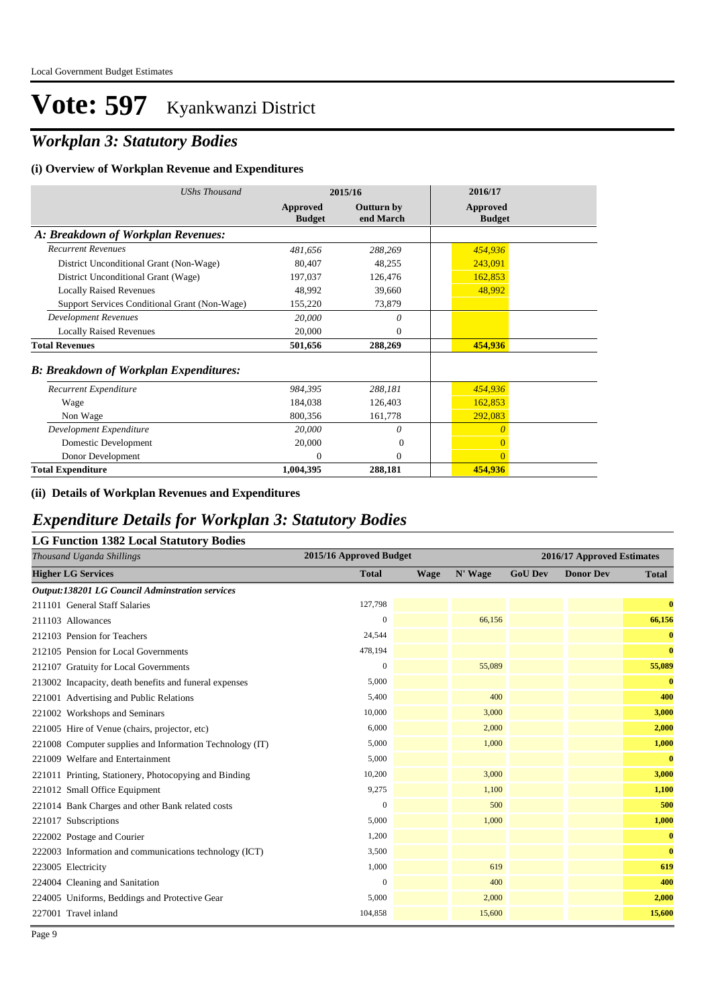## *Workplan 3: Statutory Bodies*

#### **(i) Overview of Workplan Revenue and Expenditures**

| <b>UShs Thousand</b>                          |                           | 2015/16                        | 2016/17                          |
|-----------------------------------------------|---------------------------|--------------------------------|----------------------------------|
|                                               | Approved<br><b>Budget</b> | <b>Outturn by</b><br>end March | <b>Approved</b><br><b>Budget</b> |
| A: Breakdown of Workplan Revenues:            |                           |                                |                                  |
| <b>Recurrent Revenues</b>                     | 481,656                   | 288,269                        | 454,936                          |
| District Unconditional Grant (Non-Wage)       | 80,407                    | 48,255                         | 243,091                          |
| District Unconditional Grant (Wage)           | 197,037                   | 126,476                        | 162,853                          |
| <b>Locally Raised Revenues</b>                | 48,992                    | 39,660                         | 48,992                           |
| Support Services Conditional Grant (Non-Wage) | 155,220                   | 73,879                         |                                  |
| <b>Development Revenues</b>                   | 20,000                    | 0                              |                                  |
| <b>Locally Raised Revenues</b>                | 20,000                    | $\mathbf{0}$                   |                                  |
| <b>Total Revenues</b>                         | 501,656                   | 288,269                        | 454,936                          |
| <b>B: Breakdown of Workplan Expenditures:</b> |                           |                                |                                  |
| Recurrent Expenditure                         | 984,395                   | 288,181                        | 454,936                          |
| Wage                                          | 184,038                   | 126,403                        | 162,853                          |
| Non Wage                                      | 800,356                   | 161,778                        | 292,083                          |
| Development Expenditure                       | 20,000                    | 0                              | $\theta$                         |
| Domestic Development                          | 20,000                    | $\overline{0}$                 | $\overline{0}$                   |
| Donor Development                             | $\Omega$                  | $\mathbf{0}$                   | $\overline{0}$                   |
| <b>Total Expenditure</b>                      | 1,004,395                 | 288,181                        | 454,936                          |

#### **(ii) Details of Workplan Revenues and Expenditures**

#### *Expenditure Details for Workplan 3: Statutory Bodies*

| <b>LG Function 1382 Local Statutory Bodies</b>           |                         |      |         |                |                            |              |  |
|----------------------------------------------------------|-------------------------|------|---------|----------------|----------------------------|--------------|--|
| Thousand Uganda Shillings                                | 2015/16 Approved Budget |      |         |                | 2016/17 Approved Estimates |              |  |
| <b>Higher LG Services</b>                                | <b>Total</b>            | Wage | N' Wage | <b>GoU Dev</b> | <b>Donor Dev</b>           | <b>Total</b> |  |
| <b>Output:138201 LG Council Adminstration services</b>   |                         |      |         |                |                            |              |  |
| 211101 General Staff Salaries                            | 127,798                 |      |         |                |                            | $\bf{0}$     |  |
| 211103 Allowances                                        | $\mathbf{0}$            |      | 66,156  |                |                            | 66,156       |  |
| 212103 Pension for Teachers                              | 24,544                  |      |         |                |                            | $\bf{0}$     |  |
| 212105 Pension for Local Governments                     | 478,194                 |      |         |                |                            | $\bf{0}$     |  |
| 212107 Gratuity for Local Governments                    | $\overline{0}$          |      | 55,089  |                |                            | 55,089       |  |
| 213002 Incapacity, death benefits and funeral expenses   | 5,000                   |      |         |                |                            | $\bf{0}$     |  |
| 221001 Advertising and Public Relations                  | 5,400                   |      | 400     |                |                            | 400          |  |
| 221002 Workshops and Seminars                            | 10,000                  |      | 3,000   |                |                            | 3,000        |  |
| 221005 Hire of Venue (chairs, projector, etc)            | 6,000                   |      | 2,000   |                |                            | 2,000        |  |
| 221008 Computer supplies and Information Technology (IT) | 5,000                   |      | 1,000   |                |                            | 1,000        |  |
| 221009 Welfare and Entertainment                         | 5,000                   |      |         |                |                            | $\bf{0}$     |  |
| 221011 Printing, Stationery, Photocopying and Binding    | 10,200                  |      | 3,000   |                |                            | 3,000        |  |
| 221012 Small Office Equipment                            | 9,275                   |      | 1,100   |                |                            | 1,100        |  |
| 221014 Bank Charges and other Bank related costs         | $\overline{0}$          |      | 500     |                |                            | 500          |  |
| 221017 Subscriptions                                     | 5,000                   |      | 1,000   |                |                            | 1,000        |  |
| 222002 Postage and Courier                               | 1,200                   |      |         |                |                            | $\bf{0}$     |  |
| 222003 Information and communications technology (ICT)   | 3,500                   |      |         |                |                            | $\bf{0}$     |  |
| 223005 Electricity                                       | 1,000                   |      | 619     |                |                            | 619          |  |
| 224004 Cleaning and Sanitation                           | $\overline{0}$          |      | 400     |                |                            | 400          |  |
| 224005 Uniforms, Beddings and Protective Gear            | 5,000                   |      | 2,000   |                |                            | 2,000        |  |
| 227001 Travel inland                                     | 104,858                 |      | 15,600  |                |                            | 15,600       |  |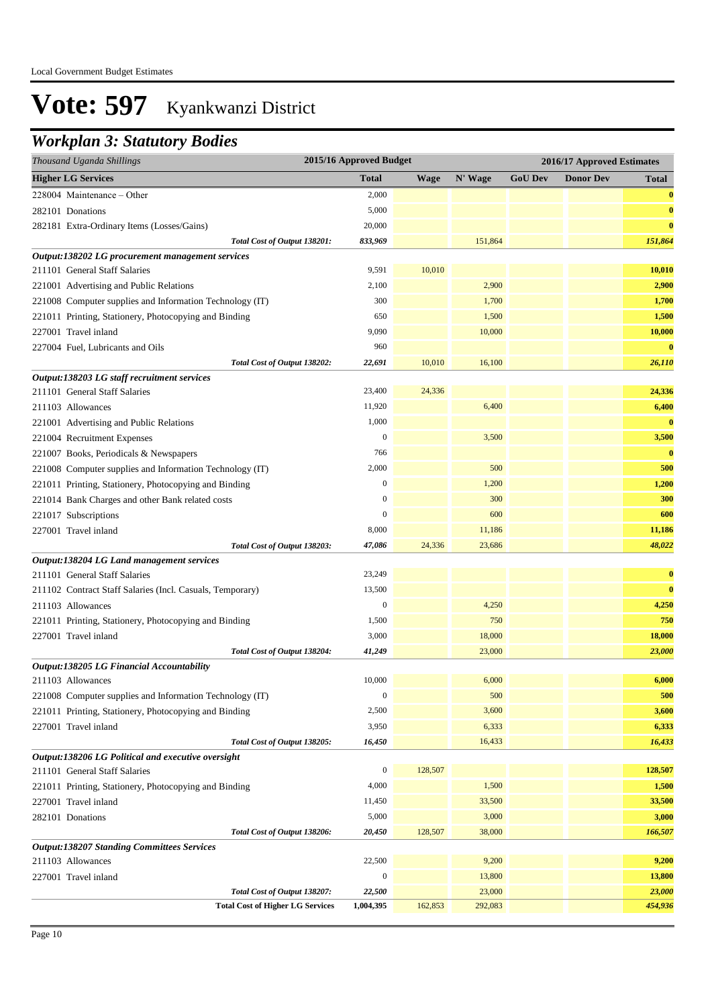### *Workplan 3: Statutory Bodies*

| <b>GoU Dev</b><br><b>Higher LG Services</b><br><b>Total</b><br>N' Wage<br><b>Donor Dev</b><br><b>Wage</b><br><b>Total</b><br>228004 Maintenance - Other<br>2,000<br>5,000<br>282101 Donations<br>20,000<br>282181 Extra-Ordinary Items (Losses/Gains)<br>833,969<br>151,864<br>Total Cost of Output 138201:<br>Output:138202 LG procurement management services<br>10,010<br>211101 General Staff Salaries<br>9,591<br>2,900<br>2,100<br>221001 Advertising and Public Relations<br>221008 Computer supplies and Information Technology (IT)<br>300<br>1,700<br>1,500<br>650<br>221011 Printing, Stationery, Photocopying and Binding<br>9,090<br>10,000<br>227001 Travel inland<br>960<br>227004 Fuel, Lubricants and Oils<br>Total Cost of Output 138202:<br>22,691<br>10,010<br>16,100<br>Output:138203 LG staff recruitment services<br>24,336<br>211101 General Staff Salaries<br>23,400<br>24,336<br>6,400<br>6,400<br>211103 Allowances<br>11,920<br>1,000<br>221001 Advertising and Public Relations<br>$\boldsymbol{0}$<br>221004 Recruitment Expenses<br>3,500<br>766<br>221007 Books, Periodicals & Newspapers<br>2,000<br>500<br>221008 Computer supplies and Information Technology (IT)<br>$\boldsymbol{0}$<br>1,200<br>1,200<br>221011 Printing, Stationery, Photocopying and Binding<br>300<br>$\boldsymbol{0}$<br>221014 Bank Charges and other Bank related costs<br>$\boldsymbol{0}$<br>600<br>221017 Subscriptions<br>8,000<br>11,186<br>227001 Travel inland<br>Total Cost of Output 138203:<br>47,086<br>24,336<br>23,686<br>Output:138204 LG Land management services<br>211101 General Staff Salaries<br>23,249<br>$\bf{0}$<br>13,500<br>$\bf{0}$<br>211102 Contract Staff Salaries (Incl. Casuals, Temporary)<br>$\boldsymbol{0}$<br>4,250<br>4,250<br>211103 Allowances<br>750<br>750<br>221011 Printing, Stationery, Photocopying and Binding<br>1,500<br>18,000<br>18,000<br>227001 Travel inland<br>3,000<br>23,000<br>Total Cost of Output 138204:<br>41,249<br>23,000<br>Output:138205 LG Financial Accountability<br>10,000<br>6,000<br>6,000<br>211103 Allowances<br>500<br>$\boldsymbol{0}$<br>500<br>221008 Computer supplies and Information Technology (IT)<br>3,600<br>2,500<br>3,600<br>221011 Printing, Stationery, Photocopying and Binding<br>3,950<br>6,333<br>6,333<br>227001 Travel inland<br>16,450<br>16,433<br>Total Cost of Output 138205:<br>16,433<br>Output:138206 LG Political and executive oversight<br>$\boldsymbol{0}$<br>128,507<br>128,507<br>211101 General Staff Salaries<br>4,000<br>1,500<br>1,500<br>221011 Printing, Stationery, Photocopying and Binding<br>11,450<br>33,500<br>33,500<br>227001 Travel inland<br>5,000<br>3,000<br>3,000<br>282101 Donations<br>20,450<br>128,507<br>38,000<br>166,507<br>Total Cost of Output 138206:<br><b>Output:138207 Standing Committees Services</b><br>22,500<br>9,200<br>9,200<br>211103 Allowances<br>$\boldsymbol{0}$<br>13,800<br>13,800<br>227001 Travel inland<br>22,500<br>23,000<br>23,000<br>Total Cost of Output 138207:<br><b>Total Cost of Higher LG Services</b><br>1,004,395<br>162,853<br>292,083 | Thousand Uganda Shillings | 2015/16 Approved Budget |  |  |  | 2016/17 Approved Estimates |  |
|-----------------------------------------------------------------------------------------------------------------------------------------------------------------------------------------------------------------------------------------------------------------------------------------------------------------------------------------------------------------------------------------------------------------------------------------------------------------------------------------------------------------------------------------------------------------------------------------------------------------------------------------------------------------------------------------------------------------------------------------------------------------------------------------------------------------------------------------------------------------------------------------------------------------------------------------------------------------------------------------------------------------------------------------------------------------------------------------------------------------------------------------------------------------------------------------------------------------------------------------------------------------------------------------------------------------------------------------------------------------------------------------------------------------------------------------------------------------------------------------------------------------------------------------------------------------------------------------------------------------------------------------------------------------------------------------------------------------------------------------------------------------------------------------------------------------------------------------------------------------------------------------------------------------------------------------------------------------------------------------------------------------------------------------------------------------------------------------------------------------------------------------------------------------------------------------------------------------------------------------------------------------------------------------------------------------------------------------------------------------------------------------------------------------------------------------------------------------------------------------------------------------------------------------------------------------------------------------------------------------------------------------------------------------------------------------------------------------------------------------------------------------------------------------------------------------------------------------------------------------------------------------------------------------------------------------------------------------------------------------------------------------------------------------------------------------------------------------------------------------------------|---------------------------|-------------------------|--|--|--|----------------------------|--|
|                                                                                                                                                                                                                                                                                                                                                                                                                                                                                                                                                                                                                                                                                                                                                                                                                                                                                                                                                                                                                                                                                                                                                                                                                                                                                                                                                                                                                                                                                                                                                                                                                                                                                                                                                                                                                                                                                                                                                                                                                                                                                                                                                                                                                                                                                                                                                                                                                                                                                                                                                                                                                                                                                                                                                                                                                                                                                                                                                                                                                                                                                                                             |                           |                         |  |  |  |                            |  |
|                                                                                                                                                                                                                                                                                                                                                                                                                                                                                                                                                                                                                                                                                                                                                                                                                                                                                                                                                                                                                                                                                                                                                                                                                                                                                                                                                                                                                                                                                                                                                                                                                                                                                                                                                                                                                                                                                                                                                                                                                                                                                                                                                                                                                                                                                                                                                                                                                                                                                                                                                                                                                                                                                                                                                                                                                                                                                                                                                                                                                                                                                                                             |                           |                         |  |  |  | $\bf{0}$                   |  |
|                                                                                                                                                                                                                                                                                                                                                                                                                                                                                                                                                                                                                                                                                                                                                                                                                                                                                                                                                                                                                                                                                                                                                                                                                                                                                                                                                                                                                                                                                                                                                                                                                                                                                                                                                                                                                                                                                                                                                                                                                                                                                                                                                                                                                                                                                                                                                                                                                                                                                                                                                                                                                                                                                                                                                                                                                                                                                                                                                                                                                                                                                                                             |                           |                         |  |  |  | $\bf{0}$                   |  |
|                                                                                                                                                                                                                                                                                                                                                                                                                                                                                                                                                                                                                                                                                                                                                                                                                                                                                                                                                                                                                                                                                                                                                                                                                                                                                                                                                                                                                                                                                                                                                                                                                                                                                                                                                                                                                                                                                                                                                                                                                                                                                                                                                                                                                                                                                                                                                                                                                                                                                                                                                                                                                                                                                                                                                                                                                                                                                                                                                                                                                                                                                                                             |                           |                         |  |  |  | $\bf{0}$                   |  |
|                                                                                                                                                                                                                                                                                                                                                                                                                                                                                                                                                                                                                                                                                                                                                                                                                                                                                                                                                                                                                                                                                                                                                                                                                                                                                                                                                                                                                                                                                                                                                                                                                                                                                                                                                                                                                                                                                                                                                                                                                                                                                                                                                                                                                                                                                                                                                                                                                                                                                                                                                                                                                                                                                                                                                                                                                                                                                                                                                                                                                                                                                                                             |                           |                         |  |  |  | 151,864                    |  |
|                                                                                                                                                                                                                                                                                                                                                                                                                                                                                                                                                                                                                                                                                                                                                                                                                                                                                                                                                                                                                                                                                                                                                                                                                                                                                                                                                                                                                                                                                                                                                                                                                                                                                                                                                                                                                                                                                                                                                                                                                                                                                                                                                                                                                                                                                                                                                                                                                                                                                                                                                                                                                                                                                                                                                                                                                                                                                                                                                                                                                                                                                                                             |                           |                         |  |  |  |                            |  |
|                                                                                                                                                                                                                                                                                                                                                                                                                                                                                                                                                                                                                                                                                                                                                                                                                                                                                                                                                                                                                                                                                                                                                                                                                                                                                                                                                                                                                                                                                                                                                                                                                                                                                                                                                                                                                                                                                                                                                                                                                                                                                                                                                                                                                                                                                                                                                                                                                                                                                                                                                                                                                                                                                                                                                                                                                                                                                                                                                                                                                                                                                                                             |                           |                         |  |  |  | 10,010                     |  |
|                                                                                                                                                                                                                                                                                                                                                                                                                                                                                                                                                                                                                                                                                                                                                                                                                                                                                                                                                                                                                                                                                                                                                                                                                                                                                                                                                                                                                                                                                                                                                                                                                                                                                                                                                                                                                                                                                                                                                                                                                                                                                                                                                                                                                                                                                                                                                                                                                                                                                                                                                                                                                                                                                                                                                                                                                                                                                                                                                                                                                                                                                                                             |                           |                         |  |  |  | 2,900                      |  |
|                                                                                                                                                                                                                                                                                                                                                                                                                                                                                                                                                                                                                                                                                                                                                                                                                                                                                                                                                                                                                                                                                                                                                                                                                                                                                                                                                                                                                                                                                                                                                                                                                                                                                                                                                                                                                                                                                                                                                                                                                                                                                                                                                                                                                                                                                                                                                                                                                                                                                                                                                                                                                                                                                                                                                                                                                                                                                                                                                                                                                                                                                                                             |                           |                         |  |  |  | 1,700                      |  |
|                                                                                                                                                                                                                                                                                                                                                                                                                                                                                                                                                                                                                                                                                                                                                                                                                                                                                                                                                                                                                                                                                                                                                                                                                                                                                                                                                                                                                                                                                                                                                                                                                                                                                                                                                                                                                                                                                                                                                                                                                                                                                                                                                                                                                                                                                                                                                                                                                                                                                                                                                                                                                                                                                                                                                                                                                                                                                                                                                                                                                                                                                                                             |                           |                         |  |  |  | 1,500                      |  |
|                                                                                                                                                                                                                                                                                                                                                                                                                                                                                                                                                                                                                                                                                                                                                                                                                                                                                                                                                                                                                                                                                                                                                                                                                                                                                                                                                                                                                                                                                                                                                                                                                                                                                                                                                                                                                                                                                                                                                                                                                                                                                                                                                                                                                                                                                                                                                                                                                                                                                                                                                                                                                                                                                                                                                                                                                                                                                                                                                                                                                                                                                                                             |                           |                         |  |  |  | 10,000                     |  |
|                                                                                                                                                                                                                                                                                                                                                                                                                                                                                                                                                                                                                                                                                                                                                                                                                                                                                                                                                                                                                                                                                                                                                                                                                                                                                                                                                                                                                                                                                                                                                                                                                                                                                                                                                                                                                                                                                                                                                                                                                                                                                                                                                                                                                                                                                                                                                                                                                                                                                                                                                                                                                                                                                                                                                                                                                                                                                                                                                                                                                                                                                                                             |                           |                         |  |  |  | $\bf{0}$                   |  |
|                                                                                                                                                                                                                                                                                                                                                                                                                                                                                                                                                                                                                                                                                                                                                                                                                                                                                                                                                                                                                                                                                                                                                                                                                                                                                                                                                                                                                                                                                                                                                                                                                                                                                                                                                                                                                                                                                                                                                                                                                                                                                                                                                                                                                                                                                                                                                                                                                                                                                                                                                                                                                                                                                                                                                                                                                                                                                                                                                                                                                                                                                                                             |                           |                         |  |  |  | 26,110                     |  |
|                                                                                                                                                                                                                                                                                                                                                                                                                                                                                                                                                                                                                                                                                                                                                                                                                                                                                                                                                                                                                                                                                                                                                                                                                                                                                                                                                                                                                                                                                                                                                                                                                                                                                                                                                                                                                                                                                                                                                                                                                                                                                                                                                                                                                                                                                                                                                                                                                                                                                                                                                                                                                                                                                                                                                                                                                                                                                                                                                                                                                                                                                                                             |                           |                         |  |  |  |                            |  |
|                                                                                                                                                                                                                                                                                                                                                                                                                                                                                                                                                                                                                                                                                                                                                                                                                                                                                                                                                                                                                                                                                                                                                                                                                                                                                                                                                                                                                                                                                                                                                                                                                                                                                                                                                                                                                                                                                                                                                                                                                                                                                                                                                                                                                                                                                                                                                                                                                                                                                                                                                                                                                                                                                                                                                                                                                                                                                                                                                                                                                                                                                                                             |                           |                         |  |  |  |                            |  |
|                                                                                                                                                                                                                                                                                                                                                                                                                                                                                                                                                                                                                                                                                                                                                                                                                                                                                                                                                                                                                                                                                                                                                                                                                                                                                                                                                                                                                                                                                                                                                                                                                                                                                                                                                                                                                                                                                                                                                                                                                                                                                                                                                                                                                                                                                                                                                                                                                                                                                                                                                                                                                                                                                                                                                                                                                                                                                                                                                                                                                                                                                                                             |                           |                         |  |  |  |                            |  |
|                                                                                                                                                                                                                                                                                                                                                                                                                                                                                                                                                                                                                                                                                                                                                                                                                                                                                                                                                                                                                                                                                                                                                                                                                                                                                                                                                                                                                                                                                                                                                                                                                                                                                                                                                                                                                                                                                                                                                                                                                                                                                                                                                                                                                                                                                                                                                                                                                                                                                                                                                                                                                                                                                                                                                                                                                                                                                                                                                                                                                                                                                                                             |                           |                         |  |  |  | $\bf{0}$                   |  |
|                                                                                                                                                                                                                                                                                                                                                                                                                                                                                                                                                                                                                                                                                                                                                                                                                                                                                                                                                                                                                                                                                                                                                                                                                                                                                                                                                                                                                                                                                                                                                                                                                                                                                                                                                                                                                                                                                                                                                                                                                                                                                                                                                                                                                                                                                                                                                                                                                                                                                                                                                                                                                                                                                                                                                                                                                                                                                                                                                                                                                                                                                                                             |                           |                         |  |  |  | 3,500                      |  |
|                                                                                                                                                                                                                                                                                                                                                                                                                                                                                                                                                                                                                                                                                                                                                                                                                                                                                                                                                                                                                                                                                                                                                                                                                                                                                                                                                                                                                                                                                                                                                                                                                                                                                                                                                                                                                                                                                                                                                                                                                                                                                                                                                                                                                                                                                                                                                                                                                                                                                                                                                                                                                                                                                                                                                                                                                                                                                                                                                                                                                                                                                                                             |                           |                         |  |  |  | $\bf{0}$                   |  |
|                                                                                                                                                                                                                                                                                                                                                                                                                                                                                                                                                                                                                                                                                                                                                                                                                                                                                                                                                                                                                                                                                                                                                                                                                                                                                                                                                                                                                                                                                                                                                                                                                                                                                                                                                                                                                                                                                                                                                                                                                                                                                                                                                                                                                                                                                                                                                                                                                                                                                                                                                                                                                                                                                                                                                                                                                                                                                                                                                                                                                                                                                                                             |                           |                         |  |  |  | 500                        |  |
|                                                                                                                                                                                                                                                                                                                                                                                                                                                                                                                                                                                                                                                                                                                                                                                                                                                                                                                                                                                                                                                                                                                                                                                                                                                                                                                                                                                                                                                                                                                                                                                                                                                                                                                                                                                                                                                                                                                                                                                                                                                                                                                                                                                                                                                                                                                                                                                                                                                                                                                                                                                                                                                                                                                                                                                                                                                                                                                                                                                                                                                                                                                             |                           |                         |  |  |  |                            |  |
|                                                                                                                                                                                                                                                                                                                                                                                                                                                                                                                                                                                                                                                                                                                                                                                                                                                                                                                                                                                                                                                                                                                                                                                                                                                                                                                                                                                                                                                                                                                                                                                                                                                                                                                                                                                                                                                                                                                                                                                                                                                                                                                                                                                                                                                                                                                                                                                                                                                                                                                                                                                                                                                                                                                                                                                                                                                                                                                                                                                                                                                                                                                             |                           |                         |  |  |  | 300                        |  |
|                                                                                                                                                                                                                                                                                                                                                                                                                                                                                                                                                                                                                                                                                                                                                                                                                                                                                                                                                                                                                                                                                                                                                                                                                                                                                                                                                                                                                                                                                                                                                                                                                                                                                                                                                                                                                                                                                                                                                                                                                                                                                                                                                                                                                                                                                                                                                                                                                                                                                                                                                                                                                                                                                                                                                                                                                                                                                                                                                                                                                                                                                                                             |                           |                         |  |  |  | 600                        |  |
|                                                                                                                                                                                                                                                                                                                                                                                                                                                                                                                                                                                                                                                                                                                                                                                                                                                                                                                                                                                                                                                                                                                                                                                                                                                                                                                                                                                                                                                                                                                                                                                                                                                                                                                                                                                                                                                                                                                                                                                                                                                                                                                                                                                                                                                                                                                                                                                                                                                                                                                                                                                                                                                                                                                                                                                                                                                                                                                                                                                                                                                                                                                             |                           |                         |  |  |  | 11,186                     |  |
|                                                                                                                                                                                                                                                                                                                                                                                                                                                                                                                                                                                                                                                                                                                                                                                                                                                                                                                                                                                                                                                                                                                                                                                                                                                                                                                                                                                                                                                                                                                                                                                                                                                                                                                                                                                                                                                                                                                                                                                                                                                                                                                                                                                                                                                                                                                                                                                                                                                                                                                                                                                                                                                                                                                                                                                                                                                                                                                                                                                                                                                                                                                             |                           |                         |  |  |  | 48,022                     |  |
|                                                                                                                                                                                                                                                                                                                                                                                                                                                                                                                                                                                                                                                                                                                                                                                                                                                                                                                                                                                                                                                                                                                                                                                                                                                                                                                                                                                                                                                                                                                                                                                                                                                                                                                                                                                                                                                                                                                                                                                                                                                                                                                                                                                                                                                                                                                                                                                                                                                                                                                                                                                                                                                                                                                                                                                                                                                                                                                                                                                                                                                                                                                             |                           |                         |  |  |  |                            |  |
|                                                                                                                                                                                                                                                                                                                                                                                                                                                                                                                                                                                                                                                                                                                                                                                                                                                                                                                                                                                                                                                                                                                                                                                                                                                                                                                                                                                                                                                                                                                                                                                                                                                                                                                                                                                                                                                                                                                                                                                                                                                                                                                                                                                                                                                                                                                                                                                                                                                                                                                                                                                                                                                                                                                                                                                                                                                                                                                                                                                                                                                                                                                             |                           |                         |  |  |  |                            |  |
|                                                                                                                                                                                                                                                                                                                                                                                                                                                                                                                                                                                                                                                                                                                                                                                                                                                                                                                                                                                                                                                                                                                                                                                                                                                                                                                                                                                                                                                                                                                                                                                                                                                                                                                                                                                                                                                                                                                                                                                                                                                                                                                                                                                                                                                                                                                                                                                                                                                                                                                                                                                                                                                                                                                                                                                                                                                                                                                                                                                                                                                                                                                             |                           |                         |  |  |  |                            |  |
|                                                                                                                                                                                                                                                                                                                                                                                                                                                                                                                                                                                                                                                                                                                                                                                                                                                                                                                                                                                                                                                                                                                                                                                                                                                                                                                                                                                                                                                                                                                                                                                                                                                                                                                                                                                                                                                                                                                                                                                                                                                                                                                                                                                                                                                                                                                                                                                                                                                                                                                                                                                                                                                                                                                                                                                                                                                                                                                                                                                                                                                                                                                             |                           |                         |  |  |  |                            |  |
|                                                                                                                                                                                                                                                                                                                                                                                                                                                                                                                                                                                                                                                                                                                                                                                                                                                                                                                                                                                                                                                                                                                                                                                                                                                                                                                                                                                                                                                                                                                                                                                                                                                                                                                                                                                                                                                                                                                                                                                                                                                                                                                                                                                                                                                                                                                                                                                                                                                                                                                                                                                                                                                                                                                                                                                                                                                                                                                                                                                                                                                                                                                             |                           |                         |  |  |  |                            |  |
|                                                                                                                                                                                                                                                                                                                                                                                                                                                                                                                                                                                                                                                                                                                                                                                                                                                                                                                                                                                                                                                                                                                                                                                                                                                                                                                                                                                                                                                                                                                                                                                                                                                                                                                                                                                                                                                                                                                                                                                                                                                                                                                                                                                                                                                                                                                                                                                                                                                                                                                                                                                                                                                                                                                                                                                                                                                                                                                                                                                                                                                                                                                             |                           |                         |  |  |  |                            |  |
|                                                                                                                                                                                                                                                                                                                                                                                                                                                                                                                                                                                                                                                                                                                                                                                                                                                                                                                                                                                                                                                                                                                                                                                                                                                                                                                                                                                                                                                                                                                                                                                                                                                                                                                                                                                                                                                                                                                                                                                                                                                                                                                                                                                                                                                                                                                                                                                                                                                                                                                                                                                                                                                                                                                                                                                                                                                                                                                                                                                                                                                                                                                             |                           |                         |  |  |  |                            |  |
|                                                                                                                                                                                                                                                                                                                                                                                                                                                                                                                                                                                                                                                                                                                                                                                                                                                                                                                                                                                                                                                                                                                                                                                                                                                                                                                                                                                                                                                                                                                                                                                                                                                                                                                                                                                                                                                                                                                                                                                                                                                                                                                                                                                                                                                                                                                                                                                                                                                                                                                                                                                                                                                                                                                                                                                                                                                                                                                                                                                                                                                                                                                             |                           |                         |  |  |  |                            |  |
|                                                                                                                                                                                                                                                                                                                                                                                                                                                                                                                                                                                                                                                                                                                                                                                                                                                                                                                                                                                                                                                                                                                                                                                                                                                                                                                                                                                                                                                                                                                                                                                                                                                                                                                                                                                                                                                                                                                                                                                                                                                                                                                                                                                                                                                                                                                                                                                                                                                                                                                                                                                                                                                                                                                                                                                                                                                                                                                                                                                                                                                                                                                             |                           |                         |  |  |  |                            |  |
|                                                                                                                                                                                                                                                                                                                                                                                                                                                                                                                                                                                                                                                                                                                                                                                                                                                                                                                                                                                                                                                                                                                                                                                                                                                                                                                                                                                                                                                                                                                                                                                                                                                                                                                                                                                                                                                                                                                                                                                                                                                                                                                                                                                                                                                                                                                                                                                                                                                                                                                                                                                                                                                                                                                                                                                                                                                                                                                                                                                                                                                                                                                             |                           |                         |  |  |  |                            |  |
|                                                                                                                                                                                                                                                                                                                                                                                                                                                                                                                                                                                                                                                                                                                                                                                                                                                                                                                                                                                                                                                                                                                                                                                                                                                                                                                                                                                                                                                                                                                                                                                                                                                                                                                                                                                                                                                                                                                                                                                                                                                                                                                                                                                                                                                                                                                                                                                                                                                                                                                                                                                                                                                                                                                                                                                                                                                                                                                                                                                                                                                                                                                             |                           |                         |  |  |  |                            |  |
|                                                                                                                                                                                                                                                                                                                                                                                                                                                                                                                                                                                                                                                                                                                                                                                                                                                                                                                                                                                                                                                                                                                                                                                                                                                                                                                                                                                                                                                                                                                                                                                                                                                                                                                                                                                                                                                                                                                                                                                                                                                                                                                                                                                                                                                                                                                                                                                                                                                                                                                                                                                                                                                                                                                                                                                                                                                                                                                                                                                                                                                                                                                             |                           |                         |  |  |  |                            |  |
|                                                                                                                                                                                                                                                                                                                                                                                                                                                                                                                                                                                                                                                                                                                                                                                                                                                                                                                                                                                                                                                                                                                                                                                                                                                                                                                                                                                                                                                                                                                                                                                                                                                                                                                                                                                                                                                                                                                                                                                                                                                                                                                                                                                                                                                                                                                                                                                                                                                                                                                                                                                                                                                                                                                                                                                                                                                                                                                                                                                                                                                                                                                             |                           |                         |  |  |  |                            |  |
|                                                                                                                                                                                                                                                                                                                                                                                                                                                                                                                                                                                                                                                                                                                                                                                                                                                                                                                                                                                                                                                                                                                                                                                                                                                                                                                                                                                                                                                                                                                                                                                                                                                                                                                                                                                                                                                                                                                                                                                                                                                                                                                                                                                                                                                                                                                                                                                                                                                                                                                                                                                                                                                                                                                                                                                                                                                                                                                                                                                                                                                                                                                             |                           |                         |  |  |  |                            |  |
|                                                                                                                                                                                                                                                                                                                                                                                                                                                                                                                                                                                                                                                                                                                                                                                                                                                                                                                                                                                                                                                                                                                                                                                                                                                                                                                                                                                                                                                                                                                                                                                                                                                                                                                                                                                                                                                                                                                                                                                                                                                                                                                                                                                                                                                                                                                                                                                                                                                                                                                                                                                                                                                                                                                                                                                                                                                                                                                                                                                                                                                                                                                             |                           |                         |  |  |  |                            |  |
|                                                                                                                                                                                                                                                                                                                                                                                                                                                                                                                                                                                                                                                                                                                                                                                                                                                                                                                                                                                                                                                                                                                                                                                                                                                                                                                                                                                                                                                                                                                                                                                                                                                                                                                                                                                                                                                                                                                                                                                                                                                                                                                                                                                                                                                                                                                                                                                                                                                                                                                                                                                                                                                                                                                                                                                                                                                                                                                                                                                                                                                                                                                             |                           |                         |  |  |  |                            |  |
|                                                                                                                                                                                                                                                                                                                                                                                                                                                                                                                                                                                                                                                                                                                                                                                                                                                                                                                                                                                                                                                                                                                                                                                                                                                                                                                                                                                                                                                                                                                                                                                                                                                                                                                                                                                                                                                                                                                                                                                                                                                                                                                                                                                                                                                                                                                                                                                                                                                                                                                                                                                                                                                                                                                                                                                                                                                                                                                                                                                                                                                                                                                             |                           |                         |  |  |  |                            |  |
|                                                                                                                                                                                                                                                                                                                                                                                                                                                                                                                                                                                                                                                                                                                                                                                                                                                                                                                                                                                                                                                                                                                                                                                                                                                                                                                                                                                                                                                                                                                                                                                                                                                                                                                                                                                                                                                                                                                                                                                                                                                                                                                                                                                                                                                                                                                                                                                                                                                                                                                                                                                                                                                                                                                                                                                                                                                                                                                                                                                                                                                                                                                             |                           |                         |  |  |  |                            |  |
|                                                                                                                                                                                                                                                                                                                                                                                                                                                                                                                                                                                                                                                                                                                                                                                                                                                                                                                                                                                                                                                                                                                                                                                                                                                                                                                                                                                                                                                                                                                                                                                                                                                                                                                                                                                                                                                                                                                                                                                                                                                                                                                                                                                                                                                                                                                                                                                                                                                                                                                                                                                                                                                                                                                                                                                                                                                                                                                                                                                                                                                                                                                             |                           |                         |  |  |  |                            |  |
|                                                                                                                                                                                                                                                                                                                                                                                                                                                                                                                                                                                                                                                                                                                                                                                                                                                                                                                                                                                                                                                                                                                                                                                                                                                                                                                                                                                                                                                                                                                                                                                                                                                                                                                                                                                                                                                                                                                                                                                                                                                                                                                                                                                                                                                                                                                                                                                                                                                                                                                                                                                                                                                                                                                                                                                                                                                                                                                                                                                                                                                                                                                             |                           |                         |  |  |  |                            |  |
|                                                                                                                                                                                                                                                                                                                                                                                                                                                                                                                                                                                                                                                                                                                                                                                                                                                                                                                                                                                                                                                                                                                                                                                                                                                                                                                                                                                                                                                                                                                                                                                                                                                                                                                                                                                                                                                                                                                                                                                                                                                                                                                                                                                                                                                                                                                                                                                                                                                                                                                                                                                                                                                                                                                                                                                                                                                                                                                                                                                                                                                                                                                             |                           |                         |  |  |  |                            |  |
|                                                                                                                                                                                                                                                                                                                                                                                                                                                                                                                                                                                                                                                                                                                                                                                                                                                                                                                                                                                                                                                                                                                                                                                                                                                                                                                                                                                                                                                                                                                                                                                                                                                                                                                                                                                                                                                                                                                                                                                                                                                                                                                                                                                                                                                                                                                                                                                                                                                                                                                                                                                                                                                                                                                                                                                                                                                                                                                                                                                                                                                                                                                             |                           |                         |  |  |  |                            |  |
|                                                                                                                                                                                                                                                                                                                                                                                                                                                                                                                                                                                                                                                                                                                                                                                                                                                                                                                                                                                                                                                                                                                                                                                                                                                                                                                                                                                                                                                                                                                                                                                                                                                                                                                                                                                                                                                                                                                                                                                                                                                                                                                                                                                                                                                                                                                                                                                                                                                                                                                                                                                                                                                                                                                                                                                                                                                                                                                                                                                                                                                                                                                             |                           |                         |  |  |  | 454,936                    |  |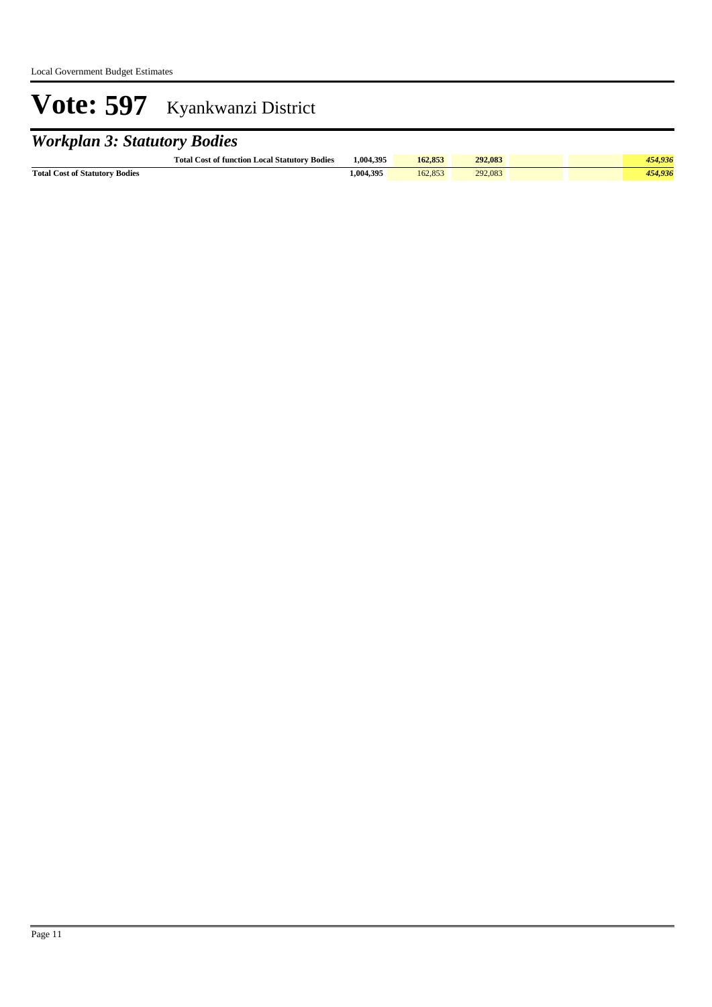## *Workplan 3: Statutory Bodies*

|                                       | <b>Total Cost of function Local Statutory Bodies</b> | 1.004.395 | 162,853 | 292.083 |  | 454.936 |
|---------------------------------------|------------------------------------------------------|-----------|---------|---------|--|---------|
| <b>Total Cost of Statutory Bodies</b> |                                                      | 1.004.395 | 162.853 | 292,083 |  | 454.936 |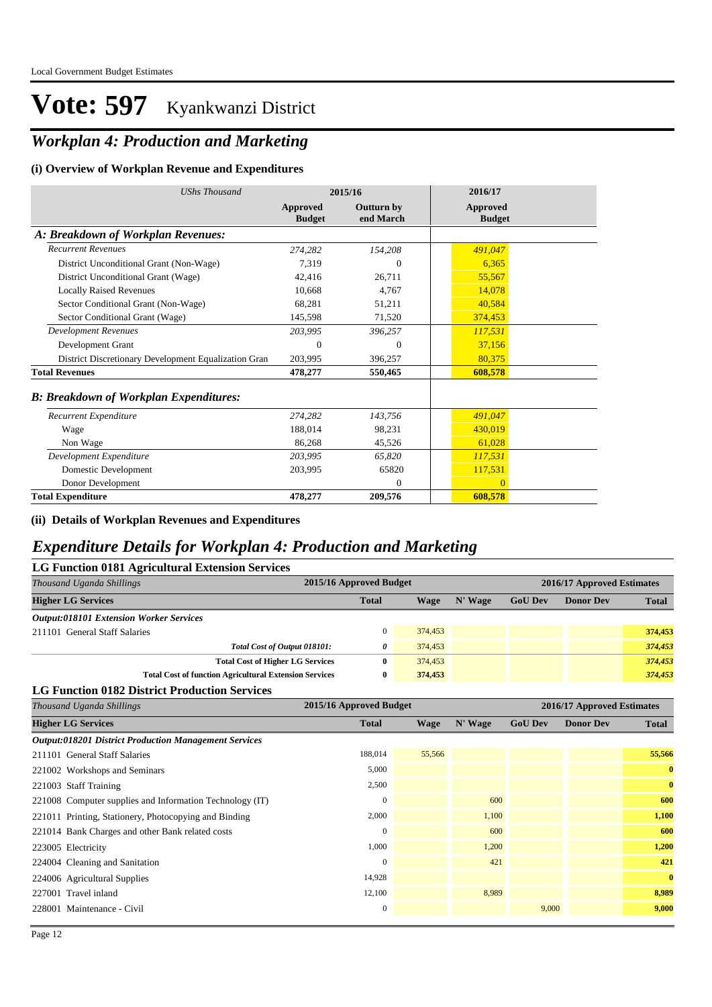### *Workplan 4: Production and Marketing*

#### **(i) Overview of Workplan Revenue and Expenditures**

| <b>UShs Thousand</b>                                 | 2015/16                   |                                | 2016/17                          |
|------------------------------------------------------|---------------------------|--------------------------------|----------------------------------|
|                                                      | Approved<br><b>Budget</b> | <b>Outturn by</b><br>end March | <b>Approved</b><br><b>Budget</b> |
| A: Breakdown of Workplan Revenues:                   |                           |                                |                                  |
| <b>Recurrent Revenues</b>                            | 274,282                   | 154,208                        | 491,047                          |
| District Unconditional Grant (Non-Wage)              | 7,319                     | $\Omega$                       | 6,365                            |
| District Unconditional Grant (Wage)                  | 42,416                    | 26,711                         | 55,567                           |
| <b>Locally Raised Revenues</b>                       | 10.668                    | 4.767                          | 14,078                           |
| Sector Conditional Grant (Non-Wage)                  | 68,281                    | 51,211                         | 40,584                           |
| Sector Conditional Grant (Wage)                      | 145,598                   | 71,520                         | 374,453                          |
| <b>Development Revenues</b>                          | 203,995                   | 396,257                        | 117,531                          |
| Development Grant                                    | 0                         | $\Omega$                       | 37,156                           |
| District Discretionary Development Equalization Gran | 203,995                   | 396,257                        | 80,375                           |
| <b>Total Revenues</b>                                | 478,277                   | 550,465                        | 608,578                          |
| <b>B: Breakdown of Workplan Expenditures:</b>        |                           |                                |                                  |
| Recurrent Expenditure                                | 274.282                   | 143,756                        | 491,047                          |
| Wage                                                 | 188,014                   | 98,231                         | 430,019                          |
| Non Wage                                             | 86,268                    | 45,526                         | 61,028                           |
| Development Expenditure                              | 203,995                   | 65,820                         | 117,531                          |
| Domestic Development                                 | 203,995                   | 65820                          | 117,531                          |
| Donor Development                                    |                           | $\Omega$                       | $\Omega$                         |
| <b>Total Expenditure</b>                             | 478,277                   | 209,576                        | 608,578                          |

**(ii) Details of Workplan Revenues and Expenditures**

#### *Expenditure Details for Workplan 4: Production and Marketing*

| LG Function 0181 Agricultural Extension Services |                                                               |              |         |         |                |                            |              |  |  |
|--------------------------------------------------|---------------------------------------------------------------|--------------|---------|---------|----------------|----------------------------|--------------|--|--|
| Thousand Uganda Shillings                        | 2015/16 Approved Budget                                       |              |         |         |                | 2016/17 Approved Estimates |              |  |  |
| <b>Higher LG Services</b>                        |                                                               | <b>Total</b> | Wage    | N' Wage | <b>GoU Dev</b> | <b>Donor Dev</b>           | <b>Total</b> |  |  |
| <b>Output:018101 Extension Worker Services</b>   |                                                               |              |         |         |                |                            |              |  |  |
| 211101 General Staff Salaries                    |                                                               |              | 374,453 |         |                |                            | 374,453      |  |  |
|                                                  | Total Cost of Output 018101:                                  | 0            | 374,453 |         |                |                            | 374,453      |  |  |
|                                                  | <b>Total Cost of Higher LG Services</b>                       | 0            | 374,453 |         |                |                            | 374,453      |  |  |
|                                                  | <b>Total Cost of function Agricultural Extension Services</b> | 0            | 374,453 |         |                |                            | 374,453      |  |  |
|                                                  |                                                               |              |         |         |                |                            |              |  |  |

#### **LG Function 0182 District Production Services**

| Thousand Uganda Shillings                                    | 2015/16 Approved Budget |        |         | 2016/17 Approved Estimates |                  |              |
|--------------------------------------------------------------|-------------------------|--------|---------|----------------------------|------------------|--------------|
| <b>Higher LG Services</b>                                    | <b>Total</b>            | Wage   | N' Wage | <b>GoU Dev</b>             | <b>Donor Dev</b> | <b>Total</b> |
| <b>Output:018201 District Production Management Services</b> |                         |        |         |                            |                  |              |
| 211101 General Staff Salaries                                | 188,014                 | 55,566 |         |                            |                  | 55,566       |
| 221002 Workshops and Seminars                                | 5,000                   |        |         |                            |                  | $\mathbf{0}$ |
| 221003 Staff Training                                        | 2,500                   |        |         |                            |                  | $\bf{0}$     |
| 221008 Computer supplies and Information Technology (IT)     | $\mathbf{0}$            |        | 600     |                            |                  | 600          |
| 221011 Printing, Stationery, Photocopying and Binding        | 2,000                   |        | 1,100   |                            |                  | 1,100        |
| 221014 Bank Charges and other Bank related costs             | $\mathbf{0}$            |        | 600     |                            |                  | 600          |
| 223005 Electricity                                           | 1,000                   |        | 1,200   |                            |                  | 1,200        |
| 224004 Cleaning and Sanitation                               | $\Omega$                |        | 421     |                            |                  | 421          |
| 224006 Agricultural Supplies                                 | 14,928                  |        |         |                            |                  | $\mathbf{0}$ |
| 227001 Travel inland                                         | 12,100                  |        | 8,989   |                            |                  | 8,989        |
| 228001 Maintenance - Civil                                   | $\boldsymbol{0}$        |        |         | 9,000                      |                  | 9,000        |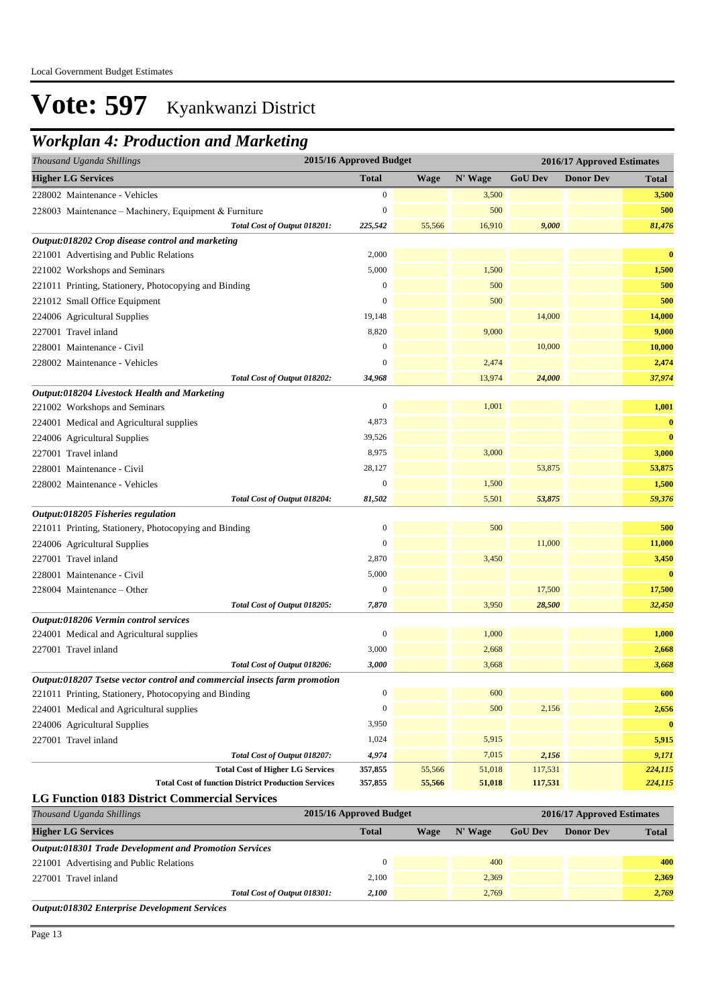### *Workplan 4: Production and Marketing*

| 2015/16 Approved Budget<br>2016/17 Approved Estimates<br>Thousand Uganda Shillings |                         |             |         |                |                            |              |
|------------------------------------------------------------------------------------|-------------------------|-------------|---------|----------------|----------------------------|--------------|
| <b>Higher LG Services</b>                                                          | <b>Total</b>            | <b>Wage</b> | N' Wage | <b>GoU Dev</b> | <b>Donor Dev</b>           | Total        |
| 228002 Maintenance - Vehicles                                                      | 0                       |             | 3,500   |                |                            | 3,500        |
| 228003 Maintenance - Machinery, Equipment & Furniture                              | $\boldsymbol{0}$        |             | 500     |                |                            | 500          |
| Total Cost of Output 018201:                                                       | 225,542                 | 55,566      | 16,910  | 9,000          |                            | 81,476       |
| Output:018202 Crop disease control and marketing                                   |                         |             |         |                |                            |              |
| 221001 Advertising and Public Relations                                            | 2,000                   |             |         |                |                            | $\bf{0}$     |
| 221002 Workshops and Seminars                                                      | 5,000                   |             | 1,500   |                |                            | 1,500        |
| 221011 Printing, Stationery, Photocopying and Binding                              | $\boldsymbol{0}$        |             | 500     |                |                            | 500          |
| 221012 Small Office Equipment                                                      | $\boldsymbol{0}$        |             | 500     |                |                            | 500          |
| 224006 Agricultural Supplies                                                       | 19,148                  |             |         | 14,000         |                            | 14,000       |
| 227001 Travel inland                                                               | 8,820                   |             | 9,000   |                |                            | 9,000        |
| 228001 Maintenance - Civil                                                         | 0                       |             |         | 10,000         |                            | 10,000       |
| 228002 Maintenance - Vehicles                                                      | $\Omega$                |             | 2,474   |                |                            | 2,474        |
| Total Cost of Output 018202:                                                       | 34,968                  |             | 13,974  | 24,000         |                            | 37,974       |
| Output:018204 Livestock Health and Marketing                                       |                         |             |         |                |                            |              |
| 221002 Workshops and Seminars                                                      | $\boldsymbol{0}$        |             | 1,001   |                |                            | 1,001        |
| 224001 Medical and Agricultural supplies                                           | 4,873                   |             |         |                |                            | $\bf{0}$     |
| 224006 Agricultural Supplies                                                       | 39,526                  |             |         |                |                            | $\bf{0}$     |
| 227001 Travel inland                                                               | 8,975                   |             | 3,000   |                |                            | 3,000        |
| 228001 Maintenance - Civil                                                         | 28,127                  |             |         | 53,875         |                            | 53,875       |
| 228002 Maintenance - Vehicles                                                      | $\boldsymbol{0}$        |             | 1,500   |                |                            | 1,500        |
| Total Cost of Output 018204:                                                       | 81,502                  |             | 5,501   | 53,875         |                            | 59,376       |
| Output:018205 Fisheries regulation                                                 |                         |             |         |                |                            |              |
| 221011 Printing, Stationery, Photocopying and Binding                              | $\boldsymbol{0}$        |             | 500     |                |                            | 500          |
| 224006 Agricultural Supplies                                                       | $\boldsymbol{0}$        |             |         | 11,000         |                            | 11,000       |
| 227001 Travel inland                                                               | 2,870                   |             | 3,450   |                |                            | 3,450        |
| 228001 Maintenance - Civil                                                         | 5,000                   |             |         |                |                            | $\bf{0}$     |
| 228004 Maintenance – Other                                                         | $\boldsymbol{0}$        |             |         | 17,500         |                            | 17,500       |
| Total Cost of Output 018205:                                                       | 7,870                   |             | 3,950   | 28,500         |                            | 32,450       |
| Output:018206 Vermin control services                                              |                         |             |         |                |                            |              |
| 224001 Medical and Agricultural supplies                                           | 0                       |             | 1,000   |                |                            | 1,000        |
| 227001 Travel inland                                                               | 3,000                   |             | 2,668   |                |                            | 2,668        |
| Total Cost of Output 018206:                                                       | 3,000                   |             | 3,668   |                |                            | 3,668        |
| Output:018207 Tsetse vector control and commercial insects farm promotion          |                         |             |         |                |                            |              |
| 221011 Printing, Stationery, Photocopying and Binding                              | $\boldsymbol{0}$        |             | 600     |                |                            | 600          |
| 224001 Medical and Agricultural supplies                                           | $\boldsymbol{0}$        |             | 500     | 2,156          |                            | 2,656        |
| 224006 Agricultural Supplies                                                       | 3,950                   |             |         |                |                            | $\bf{0}$     |
| 227001 Travel inland                                                               | 1,024                   |             | 5,915   |                |                            | 5,915        |
| Total Cost of Output 018207:                                                       | 4,974                   |             | 7,015   | 2,156          |                            | 9,171        |
| <b>Total Cost of Higher LG Services</b>                                            | 357,855                 | 55,566      | 51,018  | 117,531        |                            | 224,115      |
| <b>Total Cost of function District Production Services</b>                         | 357,855                 | 55,566      | 51,018  | 117,531        |                            | 224,115      |
| <b>LG Function 0183 District Commercial Services</b>                               |                         |             |         |                |                            |              |
| Thousand Uganda Shillings                                                          | 2015/16 Approved Budget |             |         |                | 2016/17 Approved Estimates |              |
| <b>Higher LG Services</b>                                                          | <b>Total</b>            | <b>Wage</b> | N' Wage | <b>GoU Dev</b> | <b>Donor Dev</b>           | <b>Total</b> |
| <b>Output:018301 Trade Development and Promotion Services</b>                      |                         |             |         |                |                            |              |
| 221001 Advertising and Public Relations                                            | $\boldsymbol{0}$        |             | 400     |                |                            | 400          |
| 227001 Travel inland                                                               | 2,100                   |             | 2,369   |                |                            | 2,369        |

*Total Cost of Output 018301:* 2,100 2,769 2,769 2,769 2,769 2,769

*Output:018302 Enterprise Development Services*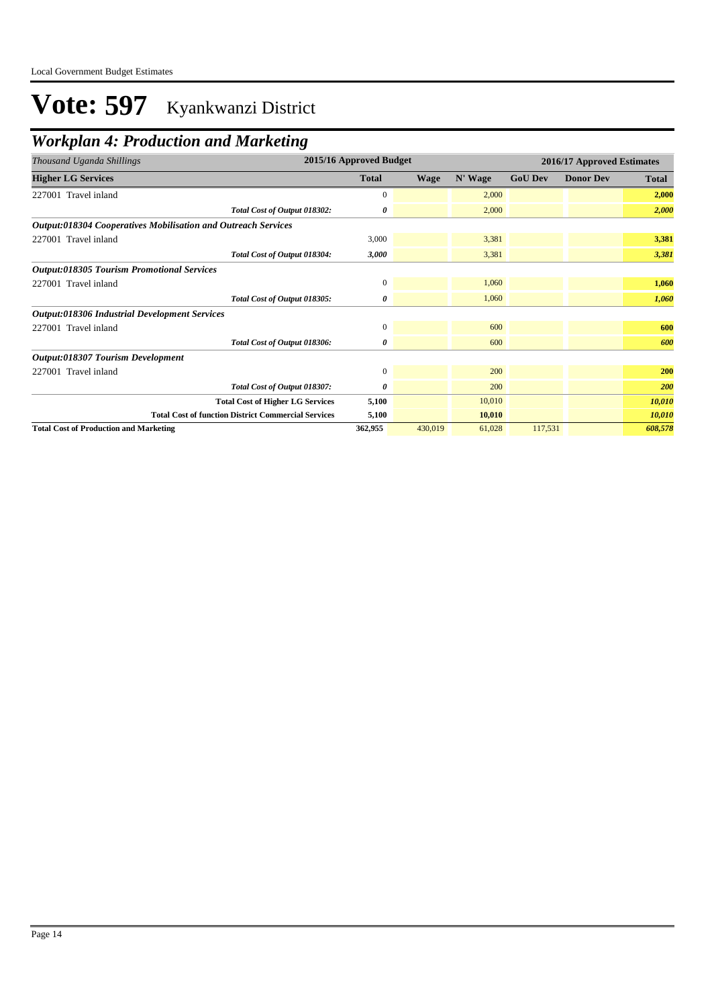## *Workplan 4: Production and Marketing*

| Thousand Uganda Shillings                                     | 2015/16 Approved Budget                 |              |             | 2016/17 Approved Estimates |                |                  |         |
|---------------------------------------------------------------|-----------------------------------------|--------------|-------------|----------------------------|----------------|------------------|---------|
| <b>Higher LG Services</b>                                     |                                         | <b>Total</b> | <b>Wage</b> | N' Wage                    | <b>GoU Dev</b> | <b>Donor Dev</b> | Total   |
| 227001 Travel inland                                          |                                         | $\mathbf{0}$ |             | 2,000                      |                |                  | 2,000   |
|                                                               | Total Cost of Output 018302:            | 0            |             | 2,000                      |                |                  | 2,000   |
| Output:018304 Cooperatives Mobilisation and Outreach Services |                                         |              |             |                            |                |                  |         |
| 227001 Travel inland                                          |                                         | 3,000        |             | 3,381                      |                |                  | 3,381   |
|                                                               | Total Cost of Output 018304:            | 3,000        |             | 3,381                      |                |                  | 3,381   |
| <b>Output:018305 Tourism Promotional Services</b>             |                                         |              |             |                            |                |                  |         |
| 227001 Travel inland                                          |                                         | $\mathbf{0}$ |             | 1,060                      |                |                  | 1,060   |
|                                                               | Total Cost of Output 018305:            | 0            |             | 1,060                      |                |                  | 1,060   |
| <b>Output:018306 Industrial Development Services</b>          |                                         |              |             |                            |                |                  |         |
| 227001 Travel inland                                          |                                         | $\mathbf{0}$ |             | 600                        |                |                  | 600     |
|                                                               | Total Cost of Output 018306:            | 0            |             | 600                        |                |                  | 600     |
| Output:018307 Tourism Development                             |                                         |              |             |                            |                |                  |         |
| 227001 Travel inland                                          |                                         | $\mathbf{0}$ |             | 200                        |                |                  | 200     |
|                                                               | Total Cost of Output 018307:            | 0            |             | 200                        |                |                  | 200     |
|                                                               | <b>Total Cost of Higher LG Services</b> | 5,100        |             | 10,010                     |                |                  | 10,010  |
| <b>Total Cost of function District Commercial Services</b>    |                                         | 5,100        |             | 10,010                     |                |                  | 10,010  |
| <b>Total Cost of Production and Marketing</b>                 |                                         | 362,955      | 430,019     | 61,028                     | 117,531        |                  | 608,578 |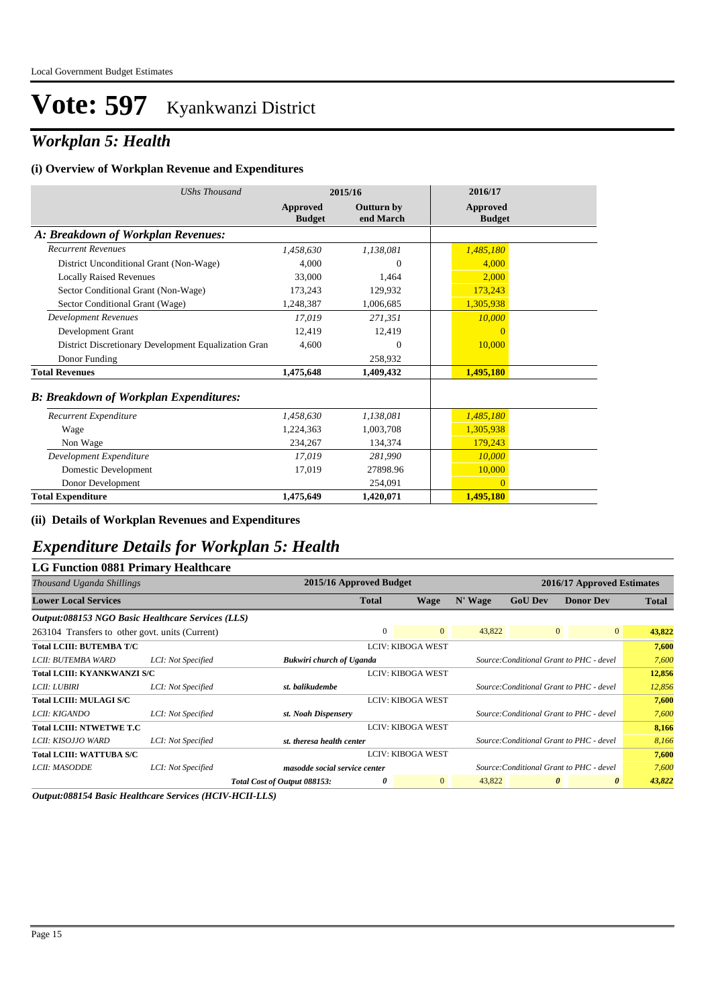### *Workplan 5: Health*

#### **(i) Overview of Workplan Revenue and Expenditures**

| <b>UShs Thousand</b>                                 |                           | 2015/16                        | 2016/17                   |
|------------------------------------------------------|---------------------------|--------------------------------|---------------------------|
|                                                      | Approved<br><b>Budget</b> | <b>Outturn by</b><br>end March | Approved<br><b>Budget</b> |
| A: Breakdown of Workplan Revenues:                   |                           |                                |                           |
| <b>Recurrent Revenues</b>                            | 1,458,630                 | 1,138,081                      | 1,485,180                 |
| District Unconditional Grant (Non-Wage)              | 4.000                     | $\Omega$                       | 4.000                     |
| <b>Locally Raised Revenues</b>                       | 33,000                    | 1,464                          | 2.000                     |
| Sector Conditional Grant (Non-Wage)                  | 173,243                   | 129,932                        | 173,243                   |
| Sector Conditional Grant (Wage)                      | 1,248,387                 | 1,006,685                      | 1,305,938                 |
| Development Revenues                                 | 17.019                    | 271,351                        | 10,000                    |
| Development Grant                                    | 12.419                    | 12,419                         | $\overline{0}$            |
| District Discretionary Development Equalization Gran | 4,600                     | $\Omega$                       | 10,000                    |
| Donor Funding                                        |                           | 258,932                        |                           |
| <b>Total Revenues</b>                                | 1,475,648                 | 1,409,432                      | 1,495,180                 |
| <b>B: Breakdown of Workplan Expenditures:</b>        |                           |                                |                           |
| Recurrent Expenditure                                | 1,458,630                 | 1,138,081                      | 1,485,180                 |
| Wage                                                 | 1.224.363                 | 1,003,708                      | 1,305,938                 |
| Non Wage                                             | 234,267                   | 134,374                        | 179,243                   |
| Development Expenditure                              | 17,019                    | 281,990                        | 10,000                    |
| Domestic Development                                 | 17,019                    | 27898.96                       | 10,000                    |
| Donor Development                                    |                           | 254,091                        | $\Omega$                  |
| <b>Total Expenditure</b>                             | 1,475,649                 | 1,420,071                      | 1,495,180                 |

**(ii) Details of Workplan Revenues and Expenditures**

### *Expenditure Details for Workplan 5: Health*

#### **LG Function 0881 Primary Healthcare**

| Thousand Uganda Shillings                         |                    | 2015/16 Approved Budget         |              |                          |         |                                          | 2016/17 Approved Estimates |              |
|---------------------------------------------------|--------------------|---------------------------------|--------------|--------------------------|---------|------------------------------------------|----------------------------|--------------|
| <b>Lower Local Services</b>                       |                    |                                 | <b>Total</b> | Wage                     | N' Wage | <b>GoU Dev</b>                           | <b>Donor Dev</b>           | <b>Total</b> |
| Output:088153 NGO Basic Healthcare Services (LLS) |                    |                                 |              |                          |         |                                          |                            |              |
| 263104 Transfers to other govt. units (Current)   |                    |                                 | $\Omega$     | $\overline{0}$           | 43,822  | $\mathbf{0}$                             | $\overline{0}$             | 43,822       |
| <b>Total LCIII: BUTEMBA T/C</b>                   |                    |                                 |              | <b>LCIV: KIBOGA WEST</b> |         |                                          |                            | 7,600        |
| LCII: BUTEMBA WARD                                | LCI: Not Specified | <b>Bukwiri church of Uganda</b> |              |                          |         | Source: Conditional Grant to PHC - devel |                            | 7.600        |
| <b>Total LCIII: KYANKWANZI S/C</b>                |                    |                                 |              | <b>LCIV: KIBOGA WEST</b> |         |                                          |                            | 12,856       |
| <i>LCII: LUBIRI</i>                               | LCI: Not Specified | st. balikudembe                 |              |                          |         | Source: Conditional Grant to PHC - devel |                            | 12,856       |
| <b>Total LCIII: MULAGI S/C</b>                    |                    |                                 |              | <b>LCIV: KIBOGA WEST</b> |         |                                          |                            | 7,600        |
| LCII: KIGANDO                                     | LCI: Not Specified | st. Noah Dispensery             |              |                          |         | Source: Conditional Grant to PHC - devel |                            | 7,600        |
| <b>Total LCIII: NTWETWE T.C</b>                   |                    |                                 |              | <b>LCIV: KIBOGA WEST</b> |         |                                          |                            | 8,166        |
| LCII: KISOJJO WARD                                | LCI: Not Specified | st, theresa health center       |              |                          |         | Source: Conditional Grant to PHC - devel |                            | 8,166        |
| <b>Total LCIII: WATTUBA S/C</b>                   |                    |                                 |              | <b>LCIV: KIBOGA WEST</b> |         |                                          |                            | 7,600        |
| LCII: MASODDE                                     | LCI: Not Specified | masodde social service center   |              |                          |         | Source: Conditional Grant to PHC - devel |                            | 7,600        |
|                                                   |                    | Total Cost of Output 088153:    | 0            | $\overline{0}$           | 43,822  | $\boldsymbol{\theta}$                    | $\boldsymbol{\theta}$      | 43,822       |

*Output:088154 Basic Healthcare Services (HCIV-HCII-LLS)*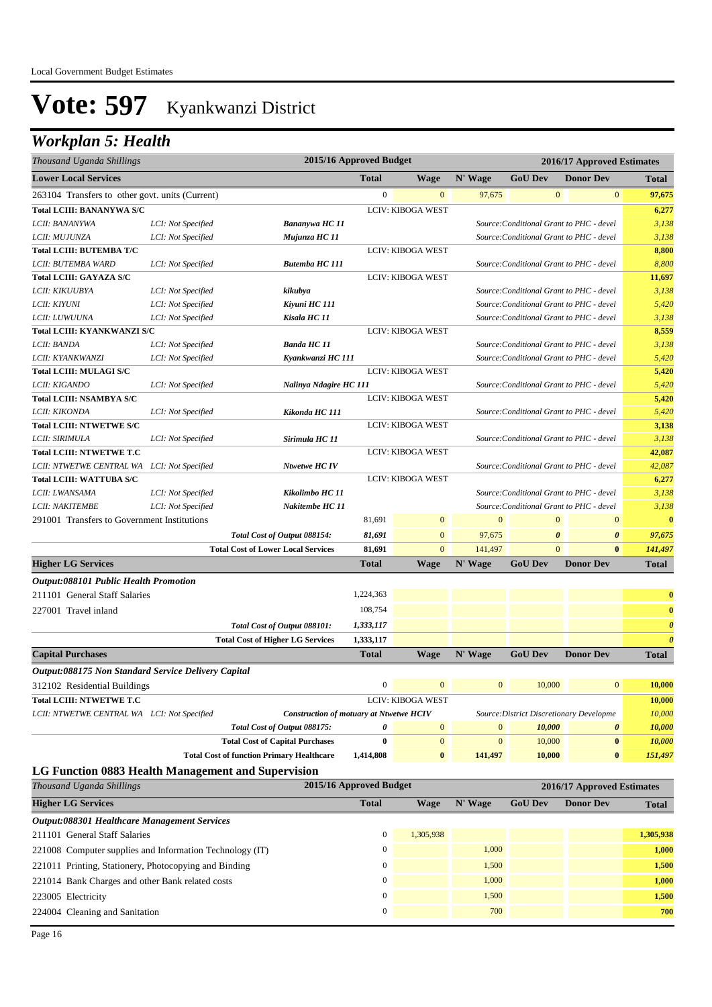## *Workplan 5: Health*

| Thousand Uganda Shillings                           |                    |                                                                           | 2015/16 Approved Budget   |                                |                   | 2016/17 Approved Estimates            |                                          |                                                |  |
|-----------------------------------------------------|--------------------|---------------------------------------------------------------------------|---------------------------|--------------------------------|-------------------|---------------------------------------|------------------------------------------|------------------------------------------------|--|
| <b>Lower Local Services</b>                         |                    |                                                                           | <b>Total</b>              | <b>Wage</b>                    | N' Wage           | <b>GoU Dev</b>                        | <b>Donor Dev</b>                         | <b>Total</b>                                   |  |
| 263104 Transfers to other govt. units (Current)     |                    |                                                                           | $\boldsymbol{0}$          | $\mathbf{0}$                   | 97,675            | $\mathbf{0}$                          | $\boldsymbol{0}$                         | 97,675                                         |  |
| <b>Total LCIII: BANANYWA S/C</b>                    |                    |                                                                           |                           | <b>LCIV: KIBOGA WEST</b>       |                   |                                       |                                          | 6,277                                          |  |
| LCII: BANANYWA                                      | LCI: Not Specified | Bananywa HC 11                                                            |                           |                                |                   |                                       | Source: Conditional Grant to PHC - devel | 3,138                                          |  |
| LCII: MUJUNZA                                       | LCI: Not Specified | Mujunza HC 11                                                             |                           |                                |                   |                                       | Source: Conditional Grant to PHC - devel | 3,138                                          |  |
| <b>Total LCIII: BUTEMBA T/C</b>                     |                    |                                                                           |                           | LCIV: KIBOGA WEST              |                   |                                       |                                          | 8,800                                          |  |
| LCII: BUTEMBA WARD                                  | LCI: Not Specified | <b>Butemba HC 111</b>                                                     |                           |                                |                   |                                       | Source: Conditional Grant to PHC - devel | 8,800                                          |  |
| <b>Total LCIII: GAYAZA S/C</b>                      |                    |                                                                           |                           | LCIV: KIBOGA WEST              |                   |                                       |                                          | 11,697                                         |  |
| LCII: KIKUUBYA                                      | LCI: Not Specified | kikubya                                                                   |                           |                                |                   |                                       | Source: Conditional Grant to PHC - devel | 3,138                                          |  |
| LCII: KIYUNI                                        | LCI: Not Specified | Kiyuni HC 111                                                             |                           |                                |                   |                                       | Source: Conditional Grant to PHC - devel | 5,420                                          |  |
| LCII: LUWUUNA                                       | LCI: Not Specified | Kisala HC 11                                                              |                           |                                |                   |                                       | Source: Conditional Grant to PHC - devel | 3,138                                          |  |
| Total LCIII: KYANKWANZI S/C                         |                    |                                                                           |                           | LCIV: KIBOGA WEST              |                   |                                       |                                          | 8,559                                          |  |
| LCII: BANDA                                         | LCI: Not Specified | <b>Banda HC 11</b>                                                        |                           |                                |                   |                                       | Source: Conditional Grant to PHC - devel | 3,138                                          |  |
| LCII: KYANKWANZI                                    | LCI: Not Specified | Kyankwanzi HC 111                                                         |                           |                                |                   |                                       | Source: Conditional Grant to PHC - devel | 5,420                                          |  |
| <b>Total LCIII: MULAGI S/C</b>                      |                    |                                                                           |                           | <b>LCIV: KIBOGA WEST</b>       |                   |                                       |                                          | 5,420                                          |  |
| LCII: KIGANDO                                       | LCI: Not Specified | Nalinya Ndagire HC 111                                                    |                           |                                |                   |                                       | Source: Conditional Grant to PHC - devel | 5,420                                          |  |
| <b>Total LCIII: NSAMBYA S/C</b>                     |                    |                                                                           |                           | <b>LCIV: KIBOGA WEST</b>       |                   |                                       |                                          | 5,420                                          |  |
| LCII: KIKONDA                                       | LCI: Not Specified | Kikonda HC 111                                                            |                           |                                |                   |                                       | Source: Conditional Grant to PHC - devel | 5,420                                          |  |
| <b>Total LCIII: NTWETWE S/C</b>                     |                    |                                                                           |                           | <b>LCIV: KIBOGA WEST</b>       |                   |                                       |                                          | 3,138                                          |  |
| LCII: SIRIMULA                                      | LCI: Not Specified | Sirimula HC 11                                                            |                           |                                |                   |                                       | Source: Conditional Grant to PHC - devel | 3,138                                          |  |
| <b>Total LCIII: NTWETWE T.C</b>                     |                    |                                                                           |                           | <b>LCIV: KIBOGA WEST</b>       |                   |                                       |                                          | 42,087                                         |  |
| LCII: NTWETWE CENTRAL WA                            | LCI: Not Specified | Ntwetwe HC IV                                                             |                           |                                |                   |                                       | Source: Conditional Grant to PHC - devel | 42,087                                         |  |
| <b>Total LCIII: WATTUBA S/C</b>                     |                    |                                                                           |                           | <b>LCIV: KIBOGA WEST</b>       |                   |                                       | Source: Conditional Grant to PHC - devel | 6,277                                          |  |
| LCII: LWANSAMA<br>LCII: NAKITEMBE                   | LCI: Not Specified | Kikolimbo HC 11<br>Nakitembe HC 11                                        |                           |                                |                   |                                       | Source: Conditional Grant to PHC - devel | 3,138<br>3,138                                 |  |
|                                                     | LCI: Not Specified |                                                                           | 81,691                    | $\mathbf{0}$                   | $\mathbf{0}$      | $\mathbf{0}$                          | $\boldsymbol{0}$                         | $\bf{0}$                                       |  |
| 291001 Transfers to Government Institutions         |                    |                                                                           |                           |                                |                   |                                       |                                          |                                                |  |
|                                                     |                    | Total Cost of Output 088154:<br><b>Total Cost of Lower Local Services</b> | 81,691<br>81,691          | $\mathbf{0}$<br>$\overline{0}$ | 97,675<br>141,497 | $\boldsymbol{\theta}$<br>$\mathbf{0}$ | 0<br>$\bf{0}$                            | 97,675<br>141,497                              |  |
| <b>Higher LG Services</b>                           |                    |                                                                           | Total                     | <b>Wage</b>                    | N' Wage           | <b>GoU</b> Dev                        | <b>Donor Dev</b>                         | <b>Total</b>                                   |  |
| <b>Output:088101 Public Health Promotion</b>        |                    |                                                                           |                           |                                |                   |                                       |                                          |                                                |  |
| 211101 General Staff Salaries                       |                    |                                                                           | 1,224,363                 |                                |                   |                                       |                                          | $\bf{0}$                                       |  |
| 227001 Travel inland                                |                    |                                                                           | 108,754                   |                                |                   |                                       |                                          | $\bf{0}$                                       |  |
|                                                     |                    |                                                                           |                           |                                |                   |                                       |                                          |                                                |  |
|                                                     |                    | Total Cost of Output 088101:                                              | 1,333,117                 |                                |                   |                                       |                                          | $\boldsymbol{\theta}$<br>$\boldsymbol{\theta}$ |  |
| <b>Capital Purchases</b>                            |                    | <b>Total Cost of Higher LG Services</b>                                   | 1,333,117<br><b>Total</b> | <b>Wage</b>                    | N' Wage           | <b>GoU Dev</b>                        | <b>Donor Dev</b>                         | <b>Total</b>                                   |  |
|                                                     |                    |                                                                           |                           |                                |                   |                                       |                                          |                                                |  |
| Output:088175 Non Standard Service Delivery Capital |                    |                                                                           |                           |                                |                   |                                       |                                          |                                                |  |
| 312102 Residential Buildings                        |                    |                                                                           | $\overline{0}$            | $\Omega$                       | $\mathbf{0}$      | 10,000                                | $\mathbf{0}$                             | 10,000                                         |  |
| <b>Total LCIII: NTWETWE T.C</b>                     |                    |                                                                           |                           | <b>LCIV: KIBOGA WEST</b>       |                   |                                       |                                          | 10,000                                         |  |
| LCII: NTWETWE CENTRAL WA LCI: Not Specified         |                    | <b>Construction of motuary at Ntwetwe HCIV</b>                            |                           |                                |                   |                                       | Source: District Discretionary Developme | 10,000                                         |  |
|                                                     |                    | Total Cost of Output 088175:                                              | 0                         | $\mathbf{0}$                   | $\boldsymbol{0}$  | 10,000                                | 0                                        | 10,000                                         |  |
|                                                     |                    | <b>Total Cost of Capital Purchases</b>                                    | 0                         | $\mathbf{0}$                   | $\boldsymbol{0}$  | 10,000                                | $\bf{0}$                                 | 10,000                                         |  |
|                                                     |                    | <b>Total Cost of function Primary Healthcare</b>                          | 1,414,808                 | $\bf{0}$                       | 141,497           | 10,000                                | $\bf{0}$                                 | 151,497                                        |  |
| LG Function 0883 Health Management and Supervision  |                    |                                                                           |                           |                                |                   |                                       |                                          |                                                |  |
| Thousand Uganda Shillings                           |                    |                                                                           | 2015/16 Approved Budget   |                                |                   |                                       | 2016/17 Approved Estimates               |                                                |  |

| <b>Higher LG Services</b>                                | <b>Total</b> | Wage      | N' Wage | <b>GoU Dev</b> | <b>Donor Dev</b> | <b>Total</b> |
|----------------------------------------------------------|--------------|-----------|---------|----------------|------------------|--------------|
| Output:088301 Healthcare Management Services             |              |           |         |                |                  |              |
| 211101 General Staff Salaries                            | $\Omega$     | 1,305,938 |         |                |                  | 1,305,938    |
| 221008 Computer supplies and Information Technology (IT) | 0            |           | 1.000   |                |                  | 1,000        |
| 221011 Printing, Stationery, Photocopying and Binding    | $\Omega$     |           | 1.500   |                |                  | 1,500        |
| 221014 Bank Charges and other Bank related costs         | $\Omega$     |           | 1.000   |                |                  | 1,000        |
| 223005 Electricity                                       | $\Omega$     |           | 1.500   |                |                  | 1,500        |
| 224004 Cleaning and Sanitation                           | $\Omega$     |           | 700     |                |                  | 700          |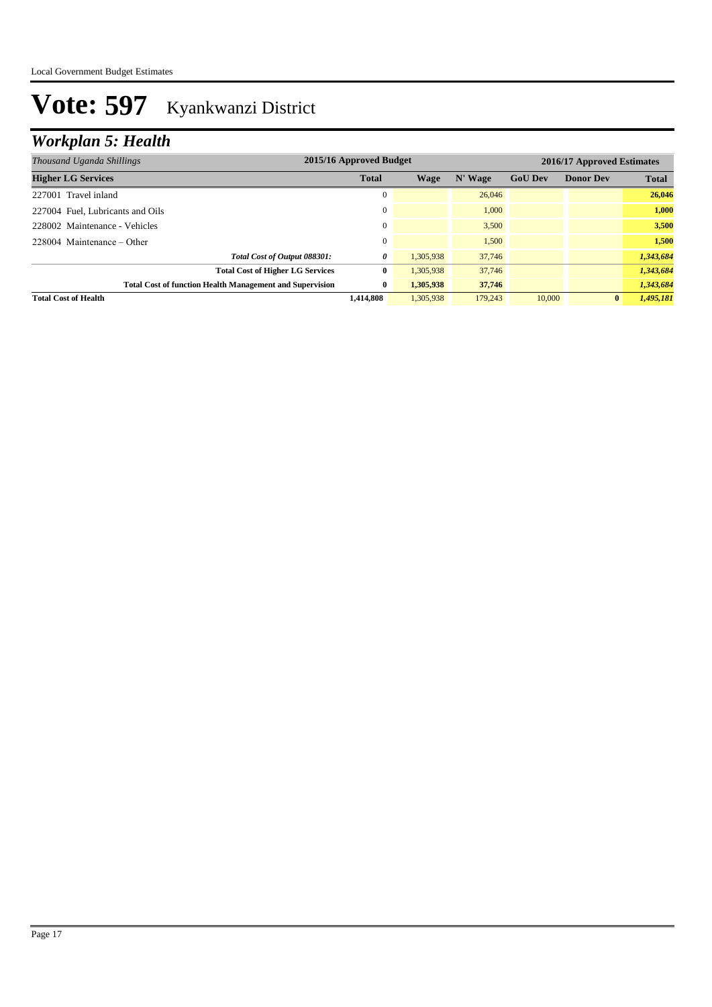## *Workplan 5: Health*

| Thousand Uganda Shillings                                       | 2015/16 Approved Budget<br>2016/17 Approved Estimates |           |         |                |                  |              |
|-----------------------------------------------------------------|-------------------------------------------------------|-----------|---------|----------------|------------------|--------------|
| <b>Higher LG Services</b>                                       | <b>Total</b>                                          | Wage      | N' Wage | <b>GoU Dev</b> | <b>Donor Dev</b> | <b>Total</b> |
| 227001 Travel inland                                            | $\mathbf{0}$                                          |           | 26,046  |                |                  | 26,046       |
| 227004 Fuel, Lubricants and Oils                                | 0                                                     |           | 1.000   |                |                  | 1.000        |
| 228002 Maintenance - Vehicles                                   | $\mathbf{0}$                                          |           | 3.500   |                |                  | 3.500        |
| $228004$ Maintenance – Other                                    | $\Omega$                                              |           | 1.500   |                |                  | 1,500        |
| Total Cost of Output 088301:                                    | 0                                                     | 1.305.938 | 37,746  |                |                  | 1,343,684    |
| <b>Total Cost of Higher LG Services</b>                         | 0                                                     | 1,305,938 | 37,746  |                |                  | 1,343,684    |
| <b>Total Cost of function Health Management and Supervision</b> | $\bf{0}$                                              | 1.305,938 | 37,746  |                |                  | 1,343,684    |
| <b>Total Cost of Health</b>                                     | 1.414.808                                             | 1.305.938 | 179,243 | 10,000         | $\bf{0}$         | 1,495,181    |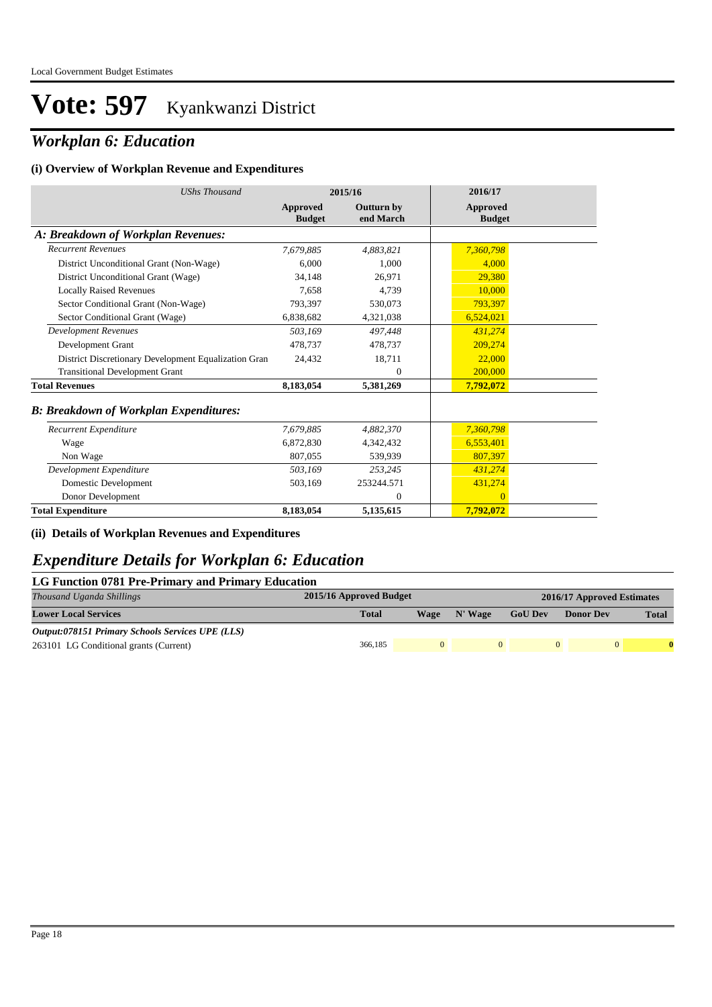### *Workplan 6: Education*

#### **(i) Overview of Workplan Revenue and Expenditures**

| <b>UShs Thousand</b>                                 |                           | 2015/16                        | 2016/17                   |
|------------------------------------------------------|---------------------------|--------------------------------|---------------------------|
|                                                      | Approved<br><b>Budget</b> | <b>Outturn by</b><br>end March | Approved<br><b>Budget</b> |
| A: Breakdown of Workplan Revenues:                   |                           |                                |                           |
| <b>Recurrent Revenues</b>                            | 7,679,885                 | 4.883.821                      | 7,360,798                 |
| District Unconditional Grant (Non-Wage)              | 6.000                     | 1.000                          | 4.000                     |
| District Unconditional Grant (Wage)                  | 34,148                    | 26,971                         | 29,380                    |
| <b>Locally Raised Revenues</b>                       | 7.658                     | 4,739                          | 10,000                    |
| Sector Conditional Grant (Non-Wage)                  | 793,397                   | 530,073                        | 793,397                   |
| Sector Conditional Grant (Wage)                      | 6,838,682                 | 4,321,038                      | 6,524,021                 |
| <b>Development Revenues</b>                          | 503.169                   | 497.448                        | 431.274                   |
| Development Grant                                    | 478.737                   | 478,737                        | 209,274                   |
| District Discretionary Development Equalization Gran | 24,432                    | 18,711                         | 22,000                    |
| <b>Transitional Development Grant</b>                |                           | 0                              | 200,000                   |
| <b>Total Revenues</b>                                | 8,183,054                 | 5,381,269                      | 7,792,072                 |
| <b>B: Breakdown of Workplan Expenditures:</b>        |                           |                                |                           |
| Recurrent Expenditure                                | 7,679,885                 | 4,882,370                      | 7,360,798                 |
| Wage                                                 | 6,872,830                 | 4,342,432                      | 6,553,401                 |
| Non Wage                                             | 807,055                   | 539,939                        | 807.397                   |
| Development Expenditure                              | 503,169                   | 253.245                        | 431,274                   |
| Domestic Development                                 | 503,169                   | 253244.571                     | 431,274                   |
| Donor Development                                    |                           | 0                              | $\Omega$                  |
| <b>Total Expenditure</b>                             | 8.183.054                 | 5,135,615                      | 7.792,072                 |

**(ii) Details of Workplan Revenues and Expenditures**

### *Expenditure Details for Workplan 6: Education*

#### **LG Function 0781 Pre-Primary and Primary Education**

| Thousand Uganda Shillings                               | 2015/16 Approved Budget |      |         |                | 2016/17 Approved Estimates |              |  |  |
|---------------------------------------------------------|-------------------------|------|---------|----------------|----------------------------|--------------|--|--|
| <b>Lower Local Services</b>                             | <b>Total</b>            | Wage | N' Wage | <b>GoU Dev</b> | <b>Donor Dev</b>           | <b>Total</b> |  |  |
| <b>Output:078151 Primary Schools Services UPE (LLS)</b> |                         |      |         |                |                            |              |  |  |
| 263101 LG Conditional grants (Current)                  | 366,185                 |      |         |                | 0                          |              |  |  |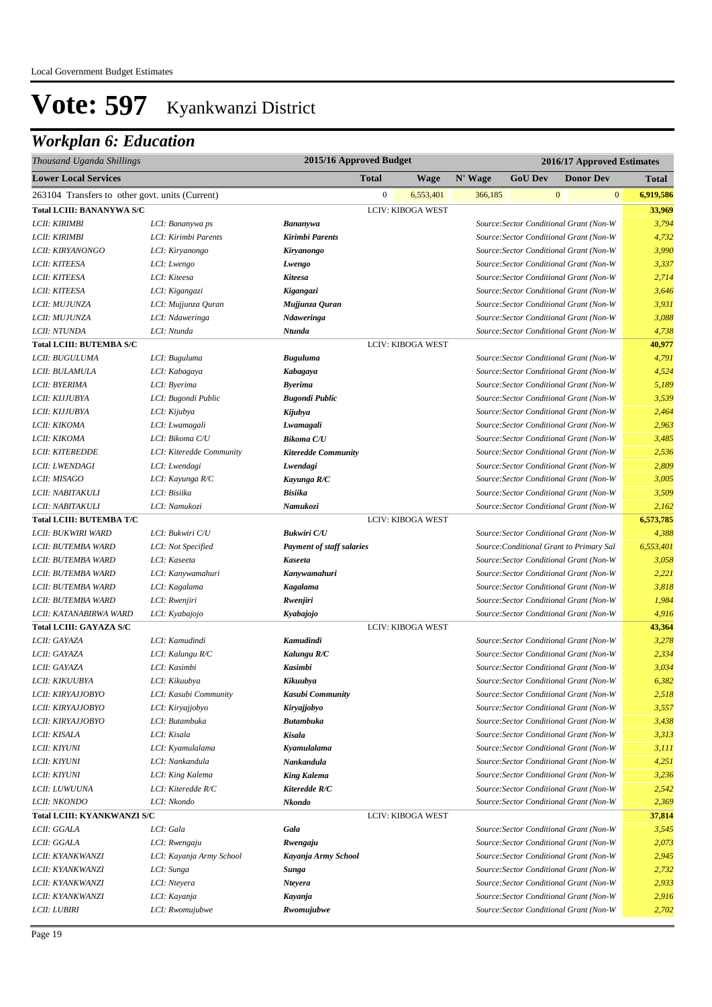## *Workplan 6: Education*

| Thousand Uganda Shillings                       | 2015/16 Approved Budget<br>2016/17 Approved Estimates |                                  |                  |                          |         |                |              |                                          |                           |
|-------------------------------------------------|-------------------------------------------------------|----------------------------------|------------------|--------------------------|---------|----------------|--------------|------------------------------------------|---------------------------|
| <b>Lower Local Services</b>                     |                                                       |                                  | <b>Total</b>     | <b>Wage</b>              | N' Wage | <b>GoU Dev</b> |              | <b>Donor Dev</b>                         | <b>Total</b>              |
| 263104 Transfers to other govt. units (Current) |                                                       |                                  | $\boldsymbol{0}$ | 6,553,401                | 366,185 |                | $\mathbf{0}$ |                                          | $\mathbf{0}$<br>6,919,586 |
| <b>Total LCIII: BANANYWA S/C</b>                |                                                       |                                  |                  | <b>LCIV: KIBOGA WEST</b> |         |                |              |                                          | 33,969                    |
| LCII: KIRIMBI                                   | LCI: Bananywa ps                                      | Bananywa                         |                  |                          |         |                |              | Source: Sector Conditional Grant (Non-W  | 3,794                     |
| LCII: KIRIMBI                                   | LCI: Kirimbi Parents                                  | Kirimbi Parents                  |                  |                          |         |                |              | Source: Sector Conditional Grant (Non-W  | 4,732                     |
| LCII: KIRYANONGO                                | LCI: Kiryanongo                                       | Kiryanongo                       |                  |                          |         |                |              | Source: Sector Conditional Grant (Non-W  | 3,990                     |
| LCII: KITEESA                                   | LCI: Lwengo                                           | Lwengo                           |                  |                          |         |                |              | Source: Sector Conditional Grant (Non-W  | 3,337                     |
| LCII: KITEESA                                   | LCI: Kiteesa                                          | <b>Kiteesa</b>                   |                  |                          |         |                |              | Source: Sector Conditional Grant (Non-W  | 2,714                     |
| LCII: KITEESA                                   | LCI: Kigangazi                                        | Kigangazi                        |                  |                          |         |                |              | Source: Sector Conditional Grant (Non-W  | 3,646                     |
| LCII: MUJUNZA                                   | LCI: Mujjunza Quran                                   | Mujjunza Quran                   |                  |                          |         |                |              | Source: Sector Conditional Grant (Non-W  | 3,931                     |
| LCII: MUJUNZA                                   | LCI: Ndaweringa                                       | Ndaweringa                       |                  |                          |         |                |              | Source: Sector Conditional Grant (Non-W  | 3,088                     |
| LCII: NTUNDA                                    | LCI: Ntunda                                           | Ntunda                           |                  |                          |         |                |              | Source: Sector Conditional Grant (Non-W  | 4,738                     |
| <b>Total LCIII: BUTEMBA S/C</b>                 |                                                       |                                  |                  | <b>LCIV: KIBOGA WEST</b> |         |                |              |                                          | 40,977                    |
| LCII: BUGULUMA                                  | LCI: Buguluma                                         | <b>Buguluma</b>                  |                  |                          |         |                |              | Source: Sector Conditional Grant (Non-W  | 4,791                     |
| LCII: BULAMULA                                  | LCI: Kabagaya                                         | Kabagaya                         |                  |                          |         |                |              | Source: Sector Conditional Grant (Non-W  | 4,524                     |
| LCII: BYERIMA                                   | LCI: Byerima                                          | <b>Byerima</b>                   |                  |                          |         |                |              | Source: Sector Conditional Grant (Non-W  | 5,189                     |
| LCII: KIJJUBYA                                  | LCI: Bugondi Public                                   | <b>Bugondi Public</b>            |                  |                          |         |                |              | Source: Sector Conditional Grant (Non-W  | 3,539                     |
| LCII: KIJJUBYA                                  | LCI: Kijubya                                          | Kijubya                          |                  |                          |         |                |              | Source: Sector Conditional Grant (Non-W  | 2,464                     |
| LCII: KIKOMA                                    | LCI: Lwamagali                                        | Lwamagali                        |                  |                          |         |                |              | Source: Sector Conditional Grant (Non-W  | 2,963                     |
| LCII: KIKOMA                                    | LCI: Bikoma C/U                                       | <b>Bikoma C/U</b>                |                  |                          |         |                |              | Source: Sector Conditional Grant (Non-W  | 3,485                     |
| <b>LCII: KITEREDDE</b>                          | LCI: Kiteredde Community                              | <b>Kiteredde Community</b>       |                  |                          |         |                |              | Source: Sector Conditional Grant (Non-W  | 2,536                     |
| <i>LCII: LWENDAGI</i>                           | LCI: Lwendagi                                         | Lwendagi                         |                  |                          |         |                |              | Source: Sector Conditional Grant (Non-W  | 2,809                     |
| LCII: MISAGO                                    | LCI: Kayunga R/C                                      | Kayunga R/C                      |                  |                          |         |                |              | Source: Sector Conditional Grant (Non-W  | 3,005                     |
| LCII: NABITAKULI                                | LCI: Bisiika                                          | <b>Bisiika</b>                   |                  |                          |         |                |              | Source: Sector Conditional Grant (Non-W  | 3,509                     |
| LCII: NABITAKULI                                | LCI: Namukozi                                         | Namukozi                         |                  |                          |         |                |              | Source: Sector Conditional Grant (Non-W  | 2,162                     |
| <b>Total LCIII: BUTEMBA T/C</b>                 |                                                       |                                  |                  | <b>LCIV: KIBOGA WEST</b> |         |                |              |                                          | 6,573,785                 |
| LCII: BUKWIRI WARD                              | LCI: Bukwiri C/U                                      | <b>Bukwiri C/U</b>               |                  |                          |         |                |              | Source: Sector Conditional Grant (Non-W  | 4,388                     |
| LCII: BUTEMBA WARD                              | LCI: Not Specified                                    | <b>Payment of staff salaries</b> |                  |                          |         |                |              | Source: Conditional Grant to Primary Sal | 6,553,401                 |
| LCII: BUTEMBA WARD                              | LCI: Kaseeta                                          | <b>Kaseeta</b>                   |                  |                          |         |                |              | Source: Sector Conditional Grant (Non-W  | 3,058                     |
| LCII: BUTEMBA WARD                              | LCI: Kanywamahuri                                     | Kanywamahuri                     |                  |                          |         |                |              | Source: Sector Conditional Grant (Non-W  | 2,221                     |
| LCII: BUTEMBA WARD                              | LCI: Kagalama                                         | Kagalama                         |                  |                          |         |                |              | Source: Sector Conditional Grant (Non-W  | 3,818                     |
| LCII: BUTEMBA WARD                              | LCI: Rwenjiri                                         | Rwenjiri                         |                  |                          |         |                |              | Source: Sector Conditional Grant (Non-W  | 1,984                     |
| LCII: KATANABIRWA WARD                          | LCI: Kyabajojo                                        | Kyabajojo                        |                  |                          |         |                |              | Source: Sector Conditional Grant (Non-W  | 4,916                     |
| Total LCIII: GAYAZA S/C                         |                                                       |                                  |                  | <b>LCIV: KIBOGA WEST</b> |         |                |              |                                          | 43,364                    |
| LCII: GAYAZA                                    | LCI: Kamudindi                                        | Kamudindi                        |                  |                          |         |                |              | Source: Sector Conditional Grant (Non-W  | 3,278                     |
| LCII: GAYAZA                                    | LCI: Kalungu R/C                                      | Kalungu R/C                      |                  |                          |         |                |              | Source: Sector Conditional Grant (Non-W  | 2,334                     |
| LCII: GAYAZA                                    | LCI: Kasimbi                                          | <b>Kasimbi</b>                   |                  |                          |         |                |              | Source: Sector Conditional Grant (Non-W  | 3,034                     |
| LCII: KIKUUBYA                                  | LCI: Kikuubya                                         | Kikuubya                         |                  |                          |         |                |              | Source: Sector Conditional Grant (Non-W  | 6,382                     |
| <i>LCII: KIRYAJJOBYO</i>                        | LCI: Kasubi Community                                 | Kasubi Community                 |                  |                          |         |                |              | Source: Sector Conditional Grant (Non-W  | 2,518                     |
| LCII: KIRYAJJOBYO                               | LCI: Kiryajjobyo                                      | Kiryajjobyo                      |                  |                          |         |                |              | Source: Sector Conditional Grant (Non-W  | 3,557                     |
| LCII: KIRYAJJOBYO                               | LCI: Butambuka                                        | <b>Butambuka</b>                 |                  |                          |         |                |              | Source: Sector Conditional Grant (Non-W  | 3,438                     |
| LCII: KISALA                                    | LCI: Kisala                                           | Kisala                           |                  |                          |         |                |              | Source: Sector Conditional Grant (Non-W  | 3,313                     |
| LCII: KIYUNI                                    | LCI: Kyamulalama                                      | Kyamulalama                      |                  |                          |         |                |              | Source: Sector Conditional Grant (Non-W  | 3,111                     |
| LCII: KIYUNI                                    | LCI: Nankandula                                       | Nankandula                       |                  |                          |         |                |              | Source: Sector Conditional Grant (Non-W  | 4,251                     |
| <b>LCII: KIYUNI</b>                             | LCI: King Kalema                                      | <b>King Kalema</b>               |                  |                          |         |                |              | Source: Sector Conditional Grant (Non-W  | 3,236                     |
| LCII: LUWUUNA                                   | LCI: Kiteredde R/C                                    | Kiteredde R/C                    |                  |                          |         |                |              | Source: Sector Conditional Grant (Non-W  | 2,542                     |
| <b>LCII: NKONDO</b>                             | LCI: Nkondo                                           | Nkondo                           |                  |                          |         |                |              | Source: Sector Conditional Grant (Non-W  | 2,369                     |
| <b>Total LCIII: KYANKWANZI S/C</b>              |                                                       |                                  |                  | LCIV: KIBOGA WEST        |         |                |              |                                          | 37,814                    |
| LCII: GGALA                                     | LCI: Gala                                             | Gala                             |                  |                          |         |                |              | Source: Sector Conditional Grant (Non-W  | 3,545                     |
| LCII: GGALA                                     | LCI: Rwengaju                                         | Rwengaju                         |                  |                          |         |                |              | Source: Sector Conditional Grant (Non-W  | 2,073                     |
| LCII: KYANKWANZI                                | LCI: Kayanja Army School                              | Kayanja Army School              |                  |                          |         |                |              | Source: Sector Conditional Grant (Non-W  | 2,945                     |
| LCII: KYANKWANZI                                | LCI: Sunga                                            | Sunga                            |                  |                          |         |                |              | Source: Sector Conditional Grant (Non-W  | 2,732                     |
| LCII: KYANKWANZI                                | LCI: Nteyera                                          | <b>Nteyera</b>                   |                  |                          |         |                |              | Source: Sector Conditional Grant (Non-W  | 2,933                     |
| LCII: KYANKWANZI                                | LCI: Kayanja                                          | Kayanja                          |                  |                          |         |                |              | Source: Sector Conditional Grant (Non-W  | 2,916                     |
| <i>LCII: LUBIRI</i>                             | LCI: Rwomujubwe                                       | Rwomujubwe                       |                  |                          |         |                |              | Source: Sector Conditional Grant (Non-W  | 2,702                     |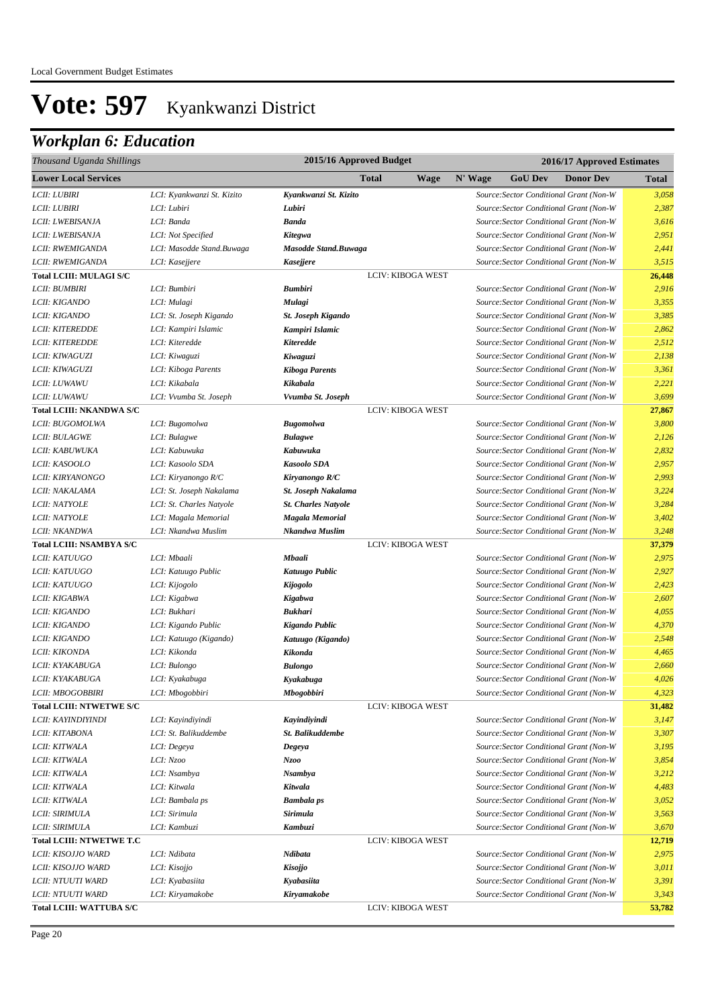## *Workplan 6: Education*

| Thousand Uganda Shillings       |                            | 2015/16 Approved Budget<br>2016/17 Approved Estimates |                          |         |                |                                         |              |
|---------------------------------|----------------------------|-------------------------------------------------------|--------------------------|---------|----------------|-----------------------------------------|--------------|
| <b>Lower Local Services</b>     |                            |                                                       | <b>Total</b><br>Wage     | N' Wage | <b>GoU Dev</b> | <b>Donor Dev</b>                        | <b>Total</b> |
| LCII: LUBIRI                    | LCI: Kyankwanzi St. Kizito | Kyankwanzi St. Kizito                                 |                          |         |                | Source: Sector Conditional Grant (Non-W | 3,058        |
| LCII: LUBIRI                    | LCI: Lubiri                | Lubiri                                                |                          |         |                | Source: Sector Conditional Grant (Non-W | 2,387        |
| LCII: LWEBISANJA                | LCI: Banda                 | <b>Banda</b>                                          |                          |         |                | Source: Sector Conditional Grant (Non-W | 3,616        |
| LCII: LWEBISANJA                | LCI: Not Specified         | Kitegwa                                               |                          |         |                | Source: Sector Conditional Grant (Non-W | 2,951        |
| LCII: RWEMIGANDA                | LCI: Masodde Stand.Buwaga  | <b>Masodde Stand.Buwaga</b>                           |                          |         |                | Source: Sector Conditional Grant (Non-W | 2,441        |
| LCII: RWEMIGANDA                | LCI: Kasejjere             | <b>Kasejjere</b>                                      |                          |         |                | Source: Sector Conditional Grant (Non-W | 3,515        |
| <b>Total LCIII: MULAGI S/C</b>  |                            |                                                       | <b>LCIV: KIBOGA WEST</b> |         |                |                                         | 26,448       |
| LCII: BUMBIRI                   | LCI: Bumbiri               | <b>Bumbiri</b>                                        |                          |         |                | Source: Sector Conditional Grant (Non-W | 2,916        |
| LCII: KIGANDO                   | LCI: Mulagi                | Mulagi                                                |                          |         |                | Source: Sector Conditional Grant (Non-W | 3,355        |
| LCII: KIGANDO                   | LCI: St. Joseph Kigando    | <b>St. Joseph Kigando</b>                             |                          |         |                | Source: Sector Conditional Grant (Non-W | 3,385        |
| <b>LCII: KITEREDDE</b>          | LCI: Kampiri Islamic       | Kampiri Islamic                                       |                          |         |                | Source: Sector Conditional Grant (Non-W | 2,862        |
| <b>LCII: KITEREDDE</b>          | LCI: Kiteredde             | Kiteredde                                             |                          |         |                | Source: Sector Conditional Grant (Non-W | 2,512        |
| LCII: KIWAGUZI                  | LCI: Kiwaguzi              | Kiwaguzi                                              |                          |         |                | Source: Sector Conditional Grant (Non-W | 2,138        |
| LCII: KIWAGUZI                  | LCI: Kiboga Parents        | <b>Kiboga Parents</b>                                 |                          |         |                | Source: Sector Conditional Grant (Non-W | 3,361        |
| LCII: LUWAWU                    | LCI: Kikabala              | Kikabala                                              |                          |         |                | Source: Sector Conditional Grant (Non-W | 2,221        |
| LCII: LUWAWU                    | LCI: Vvumba St. Joseph     | Vvumba St. Joseph                                     |                          |         |                | Source: Sector Conditional Grant (Non-W | 3,699        |
| Total LCIII: NKANDWA S/C        |                            |                                                       | LCIV: KIBOGA WEST        |         |                |                                         | 27,867       |
| LCII: BUGOMOLWA                 | LCI: Bugomolwa             | <b>Bugomolwa</b>                                      |                          |         |                | Source: Sector Conditional Grant (Non-W | 3,800        |
| LCII: BULAGWE                   | LCI: Bulagwe               | <b>Bulagwe</b>                                        |                          |         |                | Source: Sector Conditional Grant (Non-W | 2,126        |
| LCII: KABUWUKA                  | LCI: Kabuwuka              | Kabuwuka                                              |                          |         |                | Source: Sector Conditional Grant (Non-W | 2,832        |
| <i>LCII: KASOOLO</i>            | LCI: Kasoolo SDA           | <b>Kasoolo SDA</b>                                    |                          |         |                | Source: Sector Conditional Grant (Non-W | 2,957        |
| LCII: KIRYANONGO                | LCI: Kiryanongo R/C        | Kiryanongo R/C                                        |                          |         |                | Source: Sector Conditional Grant (Non-W | 2,993        |
| LCII: NAKALAMA                  | LCI: St. Joseph Nakalama   | St. Joseph Nakalama                                   |                          |         |                | Source: Sector Conditional Grant (Non-W | 3,224        |
| LCII: NATYOLE                   | LCI: St. Charles Natyole   | <b>St. Charles Natyole</b>                            |                          |         |                | Source: Sector Conditional Grant (Non-W | 3,284        |
| <b>LCII: NATYOLE</b>            | LCI: Magala Memorial       | Magala Memorial                                       |                          |         |                | Source: Sector Conditional Grant (Non-W | 3,402        |
| LCII: NKANDWA                   | LCI: Nkandwa Muslim        | Nkandwa Muslim                                        |                          |         |                | Source: Sector Conditional Grant (Non-W | 3,248        |
| Total LCIII: NSAMBYA S/C        |                            |                                                       | LCIV: KIBOGA WEST        |         |                |                                         | 37,379       |
| LCII: KATUUGO                   | LCI: Mbaali                | Mbaali                                                |                          |         |                | Source: Sector Conditional Grant (Non-W | 2,975        |
| LCII: KATUUGO                   | LCI: Katuugo Public        | Katuugo Public                                        |                          |         |                | Source: Sector Conditional Grant (Non-W | 2,927        |
| LCII: KATUUGO                   | LCI: Kijogolo              | Kijogolo                                              |                          |         |                | Source: Sector Conditional Grant (Non-W | 2,423        |
| LCII: KIGABWA                   | LCI: Kigabwa               | Kigabwa                                               |                          |         |                | Source: Sector Conditional Grant (Non-W | 2,607        |
| LCII: KIGANDO                   | LCI: Bukhari               | <b>Bukhari</b>                                        |                          |         |                | Source: Sector Conditional Grant (Non-W | 4,055        |
| LCII: KIGANDO                   | LCI: Kigando Public        | Kigando Public                                        |                          |         |                | Source: Sector Conditional Grant (Non-W | 4,370        |
| LCII: KIGANDO                   | LCI: Katuugo (Kigando)     | Katuugo (Kigando)                                     |                          |         |                | Source: Sector Conditional Grant (Non-W | 2,548        |
| LCII: KIKONDA                   | LCI: Kikonda               | Kikonda                                               |                          |         |                | Source: Sector Conditional Grant (Non-W | 4,465        |
| LCII: KYAKABUGA                 | LCI: Bulongo               | <b>Bulongo</b>                                        |                          |         |                | Source: Sector Conditional Grant (Non-W | 2,660        |
| LCII: KYAKABUGA                 | LCI: Kyakabuga             | Kyakabuga                                             |                          |         |                | Source: Sector Conditional Grant (Non-W | 4,026        |
| <i>LCII: MBOGOBBIRI</i>         | LCI: Mbogobbiri            | Mbogobbiri                                            |                          |         |                | Source: Sector Conditional Grant (Non-W | 4,323        |
| <b>Total LCIII: NTWETWE S/C</b> |                            |                                                       | LCIV: KIBOGA WEST        |         |                |                                         | 31,482       |
| LCII: KAYINDIYINDI              | LCI: Kayindiyindi          | Kayindiyindi                                          |                          |         |                | Source: Sector Conditional Grant (Non-W | 3,147        |
| LCII: KITABONA                  | LCI: St. Balikuddembe      | St. Balikuddembe                                      |                          |         |                | Source: Sector Conditional Grant (Non-W | 3,307        |
| LCII: KITWALA                   | LCI: Degeya                | Degeya                                                |                          |         |                | Source: Sector Conditional Grant (Non-W | 3,195        |
| LCII: KITWALA                   | LCI: Nzoo                  | Nzoo                                                  |                          |         |                | Source: Sector Conditional Grant (Non-W | 3,854        |
| LCII: KITWALA                   | LCI: Nsambya               | <b>Nsambya</b>                                        |                          |         |                | Source: Sector Conditional Grant (Non-W | 3,212        |
| LCII: KITWALA                   | LCI: Kitwala               | Kitwala                                               |                          |         |                | Source: Sector Conditional Grant (Non-W | 4,483        |
| LCII: KITWALA                   | LCI: Bambala ps            | <b>Bambala</b> ps                                     |                          |         |                | Source: Sector Conditional Grant (Non-W | 3,052        |
| LCII: SIRIMULA                  | LCI: Sirimula              | Sirimula                                              |                          |         |                | Source: Sector Conditional Grant (Non-W | 3,563        |
| LCII: SIRIMULA                  | LCI: Kambuzi               | Kambuzi                                               |                          |         |                | Source: Sector Conditional Grant (Non-W | 3,670        |
| <b>Total LCIII: NTWETWE T.C</b> |                            |                                                       | LCIV: KIBOGA WEST        |         |                |                                         | 12,719       |
| LCII: KISOJJO WARD              | LCI: Ndibata               | Ndibata                                               |                          |         |                | Source: Sector Conditional Grant (Non-W | 2,975        |
| LCII: KISOJJO WARD              | LCI: Kisojjo               | <b>Kisojjo</b>                                        |                          |         |                | Source: Sector Conditional Grant (Non-W | 3,011        |
| LCII: NTUUTI WARD               | LCI: Kyabasiita            | Kyabasiita                                            |                          |         |                | Source: Sector Conditional Grant (Non-W | 3,391        |
| LCII: NTUUTI WARD               | LCI: Kiryamakobe           | Kiryamakobe                                           |                          |         |                | Source: Sector Conditional Grant (Non-W | 3,343        |
| <b>Total LCIII: WATTUBA S/C</b> |                            |                                                       | LCIV: KIBOGA WEST        |         |                |                                         | 53,782       |
|                                 |                            |                                                       |                          |         |                |                                         |              |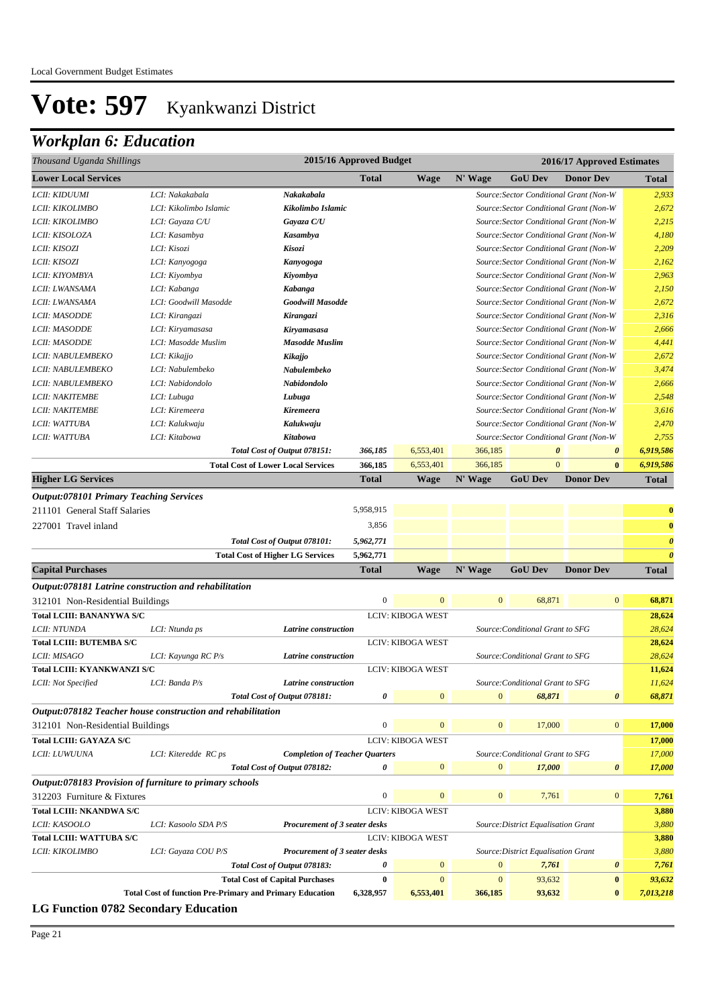## *Workplan 6: Education*

| Thousand Uganda Shillings                                                                 |                                                                 | 2015/16 Approved Budget                   |                  |                          |                  | 2016/17 Approved Estimates          |                                         |                       |
|-------------------------------------------------------------------------------------------|-----------------------------------------------------------------|-------------------------------------------|------------------|--------------------------|------------------|-------------------------------------|-----------------------------------------|-----------------------|
| <b>Lower Local Services</b>                                                               |                                                                 |                                           | Total            | <b>Wage</b>              | N' Wage          | <b>GoU Dev</b>                      | <b>Donor Dev</b>                        | Total                 |
| LCII: KIDUUMI                                                                             | LCI: Nakakabala                                                 | Nakakabala                                |                  |                          |                  |                                     | Source:Sector Conditional Grant (Non-W  | 2,933                 |
| LCII: KIKOLIMBO                                                                           | LCI: Kikolimbo Islamic                                          | Kikolimbo Islamic                         |                  |                          |                  |                                     | Source: Sector Conditional Grant (Non-W | 2,672                 |
| LCII: KIKOLIMBO                                                                           | LCI: Gayaza C/U                                                 | Gayaza C/U                                |                  |                          |                  |                                     | Source: Sector Conditional Grant (Non-W | 2,215                 |
| LCII: KISOLOZA                                                                            | LCI: Kasambya                                                   | Kasambya                                  |                  |                          |                  |                                     | Source: Sector Conditional Grant (Non-W | 4,180                 |
| LCII: KISOZI                                                                              | LCI: Kisozi                                                     | Kisozi                                    |                  |                          |                  |                                     | Source: Sector Conditional Grant (Non-W | 2,209                 |
| LCII: KISOZI                                                                              | LCI: Kanyogoga                                                  | Kanyogoga                                 |                  |                          |                  |                                     | Source: Sector Conditional Grant (Non-W | 2,162                 |
| LCII: KIYOMBYA                                                                            | LCI: Kiyombya                                                   | Kiyombya                                  |                  |                          |                  |                                     | Source: Sector Conditional Grant (Non-W | 2,963                 |
| LCII: LWANSAMA                                                                            | LCI: Kabanga                                                    | Kabanga                                   |                  |                          |                  |                                     | Source: Sector Conditional Grant (Non-W | 2,150                 |
| LCII: LWANSAMA                                                                            | LCI: Goodwill Masodde                                           | Goodwill Masodde                          |                  |                          |                  |                                     | Source: Sector Conditional Grant (Non-W | 2,672                 |
| <b>LCII: MASODDE</b>                                                                      | LCI: Kirangazi                                                  | Kirangazi                                 |                  |                          |                  |                                     | Source: Sector Conditional Grant (Non-W | 2,316                 |
| <b>LCII: MASODDE</b>                                                                      | LCI: Kiryamasasa                                                | Kiryamasasa                               |                  |                          |                  |                                     | Source: Sector Conditional Grant (Non-W | 2,666                 |
| LCII: MASODDE                                                                             | LCI: Masodde Muslim                                             | <b>Masodde Muslim</b>                     |                  |                          |                  |                                     | Source: Sector Conditional Grant (Non-W | 4,441                 |
| LCII: NABULEMBEKO                                                                         | LCI: Kikajjo                                                    | Kikajjo                                   |                  |                          |                  |                                     | Source: Sector Conditional Grant (Non-W | 2,672                 |
| LCII: NABULEMBEKO                                                                         | LCI: Nabulembeko                                                | Nabulembeko                               |                  |                          |                  |                                     | Source: Sector Conditional Grant (Non-W | 3,474                 |
| LCII: NABULEMBEKO                                                                         | LCI: Nabidondolo                                                | Nabidondolo                               |                  |                          |                  |                                     | Source: Sector Conditional Grant (Non-W | 2,666                 |
| <b>LCII: NAKITEMBE</b>                                                                    | LCI: Lubuga                                                     | Lubuga                                    |                  |                          |                  |                                     | Source: Sector Conditional Grant (Non-W | 2,548                 |
| <b>LCII: NAKITEMBE</b>                                                                    | LCI: Kiremeera                                                  | Kiremeera                                 |                  |                          |                  |                                     | Source: Sector Conditional Grant (Non-W | 3,616                 |
| LCII: WATTUBA                                                                             | LCI: Kalukwaju                                                  | Kalukwaju                                 |                  |                          |                  |                                     | Source: Sector Conditional Grant (Non-W | 2,470                 |
| LCII: WATTUBA                                                                             | LCI: Kitabowa                                                   | Kitabowa                                  |                  |                          |                  |                                     | Source: Sector Conditional Grant (Non-W | 2,755                 |
|                                                                                           |                                                                 | Total Cost of Output 078151:              | 366,185          | 6,553,401                | 366,185          | 0                                   | $\boldsymbol{\theta}$                   | 6,919,586             |
|                                                                                           |                                                                 | <b>Total Cost of Lower Local Services</b> | 366,185          | 6,553,401                | 366,185          | $\overline{0}$                      | $\bf{0}$                                | 6,919,586             |
| <b>Higher LG Services</b>                                                                 |                                                                 |                                           | Total            | <b>Wage</b>              | N' Wage          | <b>GoU Dev</b>                      | <b>Donor Dev</b>                        | <b>Total</b>          |
| <b>Output:078101 Primary Teaching Services</b>                                            |                                                                 |                                           |                  |                          |                  |                                     |                                         |                       |
| 211101 General Staff Salaries                                                             |                                                                 |                                           | 5,958,915        |                          |                  |                                     |                                         | $\bf{0}$              |
| 227001 Travel inland                                                                      |                                                                 |                                           | 3,856            |                          |                  |                                     |                                         | $\bf{0}$              |
|                                                                                           |                                                                 | Total Cost of Output 078101:              | 5,962,771        |                          |                  |                                     |                                         | $\boldsymbol{\theta}$ |
|                                                                                           |                                                                 | <b>Total Cost of Higher LG Services</b>   | 5,962,771        |                          |                  |                                     |                                         | $\theta$              |
| <b>Capital Purchases</b>                                                                  |                                                                 |                                           | <b>Total</b>     | Wage                     | N' Wage          | <b>GoU Dev</b>                      | <b>Donor Dev</b>                        | <b>Total</b>          |
|                                                                                           |                                                                 |                                           |                  |                          |                  |                                     |                                         |                       |
| Output:078181 Latrine construction and rehabilitation<br>312101 Non-Residential Buildings |                                                                 |                                           | $\boldsymbol{0}$ | $\mathbf{0}$             | $\mathbf{0}$     | 68,871                              | $\mathbf{0}$                            | 68,871                |
|                                                                                           |                                                                 |                                           |                  | <b>LCIV: KIBOGA WEST</b> |                  |                                     |                                         |                       |
| <b>Total LCIII: BANANYWA S/C</b><br>LCII: NTUNDA                                          |                                                                 |                                           |                  |                          |                  | Source: Conditional Grant to SFG    |                                         | 28,624<br>28,624      |
| <b>Total LCIII: BUTEMBA S/C</b>                                                           | LCI: Ntunda ps                                                  | Latrine construction                      |                  | <b>LCIV: KIBOGA WEST</b> |                  |                                     |                                         | 28,624                |
| LCII: MISAGO                                                                              |                                                                 | Latrine construction                      |                  |                          |                  | Source: Conditional Grant to SFG    |                                         | 28,624                |
| <b>Total LCIII: KYANKWANZI S/C</b>                                                        | LCI: Kayunga RC P/s                                             |                                           |                  | <b>LCIV: KIBOGA WEST</b> |                  |                                     |                                         | 11,624                |
| LCII: Not Specified                                                                       | LCI: Banda P/s                                                  | Latrine construction                      |                  |                          |                  | Source: Conditional Grant to SFG    |                                         | 11,624                |
|                                                                                           |                                                                 | Total Cost of Output 078181:              | 0                | $\mathbf{0}$             | $\boldsymbol{0}$ | 68,871                              | $\boldsymbol{\theta}$                   | 68,871                |
| Output:078182 Teacher house construction and rehabilitation                               |                                                                 |                                           |                  |                          |                  |                                     |                                         |                       |
| 312101 Non-Residential Buildings                                                          |                                                                 |                                           | $\boldsymbol{0}$ | $\overline{0}$           | $\mathbf{0}$     | 17,000                              | $\mathbf{0}$                            | 17,000                |
|                                                                                           |                                                                 |                                           |                  |                          |                  |                                     |                                         |                       |
| <b>Total LCIII: GAYAZA S/C</b>                                                            |                                                                 |                                           |                  | <b>LCIV: KIBOGA WEST</b> |                  |                                     |                                         | 17,000                |
| LCII: LUWUUNA                                                                             | LCI: Kiteredde RC ps                                            | <b>Completion of Teacher Quarters</b>     |                  |                          | $\mathbf{0}$     | Source: Conditional Grant to SFG    |                                         | 17,000                |
|                                                                                           |                                                                 | Total Cost of Output 078182:              | 0                | $\mathbf{0}$             |                  | 17,000                              | $\boldsymbol{\theta}$                   | 17,000                |
| Output:078183 Provision of furniture to primary schools                                   |                                                                 |                                           |                  |                          |                  |                                     |                                         |                       |
| 312203 Furniture & Fixtures                                                               |                                                                 |                                           | $\boldsymbol{0}$ | $\overline{0}$           | $\mathbf{0}$     | 7,761                               | $\mathbf{0}$                            | 7,761                 |
| <b>Total LCIII: NKANDWA S/C</b>                                                           |                                                                 |                                           |                  | <b>LCIV: KIBOGA WEST</b> |                  |                                     |                                         | 3,880                 |
| LCII: KASOOLO                                                                             | LCI: Kasoolo SDA P/S                                            | Procurement of 3 seater desks             |                  |                          |                  | Source: District Equalisation Grant |                                         | 3,880                 |
| <b>Total LCIII: WATTUBA S/C</b>                                                           |                                                                 |                                           |                  | <b>LCIV: KIBOGA WEST</b> |                  |                                     |                                         | 3,880                 |
| LCII: KIKOLIMBO                                                                           | LCI: Gayaza COU P/S                                             | Procurement of 3 seater desks             |                  |                          |                  | Source: District Equalisation Grant |                                         | 3,880                 |
|                                                                                           |                                                                 | Total Cost of Output 078183:              | 0                | $\mathbf{0}$             | $\boldsymbol{0}$ | 7,761                               | $\boldsymbol{\theta}$                   | 7,761                 |
|                                                                                           |                                                                 | <b>Total Cost of Capital Purchases</b>    | $\bf{0}$         | $\mathbf{0}$             | $\mathbf{0}$     | 93,632                              | $\bf{0}$                                | 93,632                |
|                                                                                           | <b>Total Cost of function Pre-Primary and Primary Education</b> |                                           | 6,328,957        | 6,553,401                | 366,185          | 93,632                              | $\bf{0}$                                | 7,013,218             |
| <b>LC Eunction 0782 Secondary Education</b>                                               |                                                                 |                                           |                  |                          |                  |                                     |                                         |                       |

**LG Function 0782 Secondary Education**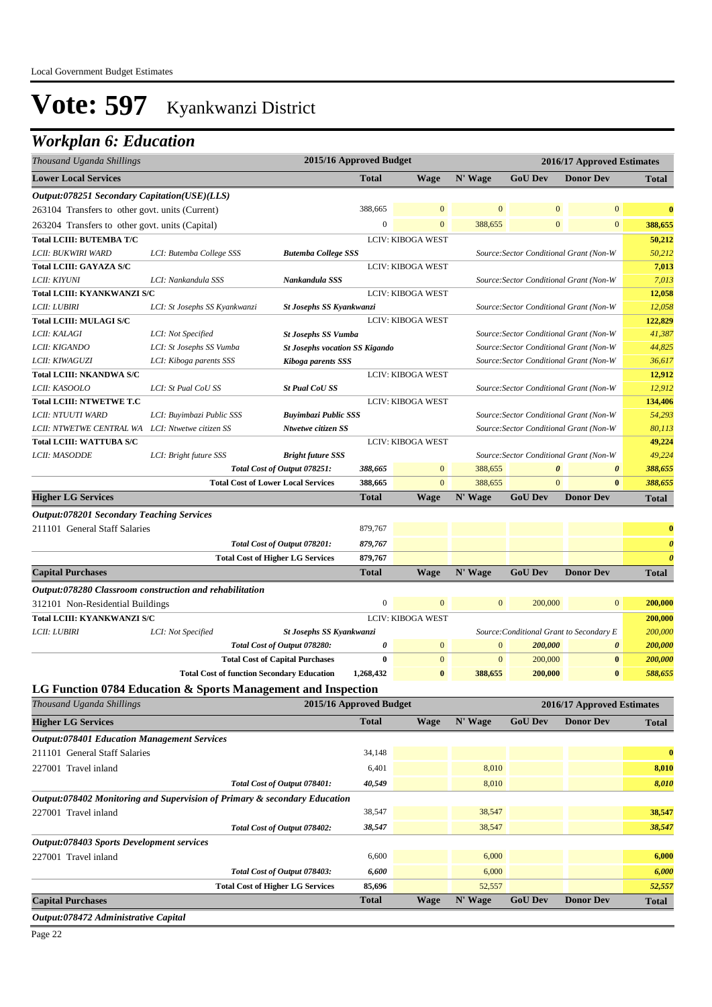### *Workplan 6: Education*

| Thousand Uganda Shillings                          |                                                                           |                                           | 2015/16 Approved Budget |                          |              |                       | 2016/17 Approved Estimates               |                       |
|----------------------------------------------------|---------------------------------------------------------------------------|-------------------------------------------|-------------------------|--------------------------|--------------|-----------------------|------------------------------------------|-----------------------|
| <b>Lower Local Services</b>                        |                                                                           |                                           | <b>Total</b>            | <b>Wage</b>              | N' Wage      | <b>GoU Dev</b>        | <b>Donor Dev</b>                         | <b>Total</b>          |
| Output:078251 Secondary Capitation(USE)(LLS)       |                                                                           |                                           |                         |                          |              |                       |                                          |                       |
| 263104 Transfers to other govt. units (Current)    |                                                                           |                                           | 388,665                 | $\Omega$                 | $\mathbf{0}$ | $\mathbf{0}$          | $\mathbf{0}$                             | $\bf{0}$              |
| 263204 Transfers to other govt. units (Capital)    |                                                                           |                                           | $\overline{0}$          | $\mathbf{0}$             | 388,655      | $\mathbf{0}$          | $\mathbf{0}$                             | 388,655               |
| <b>Total LCIII: BUTEMBA T/C</b>                    |                                                                           |                                           |                         | <b>LCIV: KIBOGA WEST</b> |              |                       |                                          | 50,212                |
| LCII: BUKWIRI WARD                                 | LCI: Butemba College SSS                                                  | <b>Butemba College SSS</b>                |                         |                          |              |                       | Source: Sector Conditional Grant (Non-W  | 50,212                |
| <b>Total LCIII: GAYAZA S/C</b>                     |                                                                           |                                           |                         | <b>LCIV: KIBOGA WEST</b> |              |                       |                                          | 7,013                 |
| LCII: KIYUNI                                       | LCI: Nankandula SSS                                                       | Nankandula SSS                            |                         |                          |              |                       | Source: Sector Conditional Grant (Non-W  | 7,013                 |
| <b>Total LCIII: KYANKWANZI S/C</b>                 |                                                                           |                                           |                         | <b>LCIV: KIBOGA WEST</b> |              |                       |                                          | 12,058                |
| <b>LCII: LUBIRI</b>                                | LCI: St Josephs SS Kyankwanzi                                             | <b>St Josephs SS Kyankwanzi</b>           |                         |                          |              |                       | Source: Sector Conditional Grant (Non-W  | 12,058                |
| <b>Total LCIII: MULAGI S/C</b>                     |                                                                           |                                           |                         | <b>LCIV: KIBOGA WEST</b> |              |                       |                                          | 122,829               |
| <i>LCII: KALAGI</i>                                | LCI: Not Specified                                                        | <b>St Josephs SS Vumba</b>                |                         |                          |              |                       | Source: Sector Conditional Grant (Non-W  | 41,387                |
| <i>LCII: KIGANDO</i>                               | LCI: St Josephs SS Vumba                                                  | <b>St Josephs vocation SS Kigando</b>     |                         |                          |              |                       | Source: Sector Conditional Grant (Non-W  | 44,825                |
| LCII: KIWAGUZI                                     | LCI: Kiboga parents SSS                                                   | Kiboga parents SSS                        |                         |                          |              |                       | Source: Sector Conditional Grant (Non-W  | 36,617                |
| <b>Total LCIII: NKANDWA S/C</b>                    |                                                                           |                                           |                         | <b>LCIV: KIBOGA WEST</b> |              |                       |                                          | 12,912                |
| LCII: KASOOLO                                      | LCI: St Pual CoU SS                                                       | <b>St Pual CoU SS</b>                     |                         |                          |              |                       | Source: Sector Conditional Grant (Non-W  | 12,912                |
| <b>Total LCIII: NTWETWE T.C</b>                    |                                                                           |                                           |                         | <b>LCIV: KIBOGA WEST</b> |              |                       |                                          | 134,406               |
| LCII: NTUUTI WARD                                  | LCI: Buyimbazi Public SSS                                                 | <b>Buyimbazi Public SSS</b>               |                         |                          |              |                       | Source: Sector Conditional Grant (Non-W  | 54,293                |
| LCII: NTWETWE CENTRAL WA                           | LCI: Ntwetwe citizen SS                                                   | Ntwetwe citizen SS                        |                         |                          |              |                       | Source: Sector Conditional Grant (Non-W  | 80,113                |
| <b>Total LCIII: WATTUBA S/C</b>                    |                                                                           |                                           |                         | LCIV: KIBOGA WEST        |              |                       |                                          | 49,224                |
| LCII: MASODDE                                      | LCI: Bright future SSS                                                    | <b>Bright future SSS</b>                  |                         |                          |              |                       | Source: Sector Conditional Grant (Non-W  | 49,224                |
|                                                    |                                                                           | Total Cost of Output 078251:              | 388,665                 | $\mathbf{0}$             | 388,655      | $\boldsymbol{\theta}$ | 0                                        | 388,655               |
|                                                    |                                                                           | <b>Total Cost of Lower Local Services</b> | 388,665                 | $\mathbf{0}$             | 388,655      | $\mathbf{0}$          | $\bf{0}$                                 | 388,655               |
| <b>Higher LG Services</b>                          |                                                                           |                                           | <b>Total</b>            | <b>Wage</b>              | N' Wage      | <b>GoU Dev</b>        | <b>Donor Dev</b>                         | <b>Total</b>          |
| <b>Output:078201 Secondary Teaching Services</b>   |                                                                           |                                           |                         |                          |              |                       |                                          |                       |
| 211101 General Staff Salaries                      |                                                                           |                                           | 879,767                 |                          |              |                       |                                          | $\bf{0}$              |
|                                                    |                                                                           | Total Cost of Output 078201:              | 879,767                 |                          |              |                       |                                          | $\boldsymbol{\theta}$ |
|                                                    |                                                                           | <b>Total Cost of Higher LG Services</b>   | 879,767                 |                          |              |                       |                                          | $\boldsymbol{\theta}$ |
| <b>Capital Purchases</b>                           |                                                                           |                                           | <b>Total</b>            | <b>Wage</b>              | N' Wage      | <b>GoU Dev</b>        | <b>Donor Dev</b>                         | <b>Total</b>          |
|                                                    |                                                                           |                                           |                         |                          |              |                       |                                          |                       |
|                                                    | Output:078280 Classroom construction and rehabilitation                   |                                           |                         |                          |              |                       |                                          |                       |
| 312101 Non-Residential Buildings                   |                                                                           |                                           | $\boldsymbol{0}$        | $\mathbf{0}$             | $\mathbf{0}$ | 200,000               | $\bf{0}$                                 | 200,000               |
| <b>Total LCIII: KYANKWANZI S/C</b>                 |                                                                           |                                           |                         | <b>LCIV: KIBOGA WEST</b> |              |                       |                                          | 200,000               |
| LCII: LUBIRI                                       | LCI: Not Specified                                                        | St Josephs SS Kyankwanzi                  |                         |                          |              |                       | Source: Conditional Grant to Secondary E | 200,000               |
|                                                    |                                                                           | Total Cost of Output 078280:              | 0                       | $\mathbf{0}$             | $\mathbf{0}$ | 200,000               | $\boldsymbol{\theta}$                    | 200,000               |
|                                                    |                                                                           | <b>Total Cost of Capital Purchases</b>    | $\bf{0}$                | $\mathbf{0}$             | $\mathbf{0}$ | 200,000               | $\bf{0}$                                 | 200,000               |
|                                                    | <b>Total Cost of function Secondary Education</b>                         |                                           | 1,268,432               | $\bf{0}$                 | 388,655      | 200,000               | $\bf{0}$                                 | 588,655               |
|                                                    | LG Function 0784 Education & Sports Management and Inspection             |                                           |                         |                          |              |                       |                                          |                       |
| Thousand Uganda Shillings                          |                                                                           |                                           | 2015/16 Approved Budget |                          |              |                       | 2016/17 Approved Estimates               |                       |
| <b>Higher LG Services</b>                          |                                                                           |                                           | <b>Total</b>            | <b>Wage</b>              | N' Wage      | <b>GoU Dev</b>        | <b>Donor Dev</b>                         | <b>Total</b>          |
| <b>Output:078401 Education Management Services</b> |                                                                           |                                           |                         |                          |              |                       |                                          |                       |
| 211101 General Staff Salaries                      |                                                                           |                                           | 34,148                  |                          |              |                       |                                          | $\bf{0}$              |
| 227001 Travel inland                               |                                                                           |                                           | 6,401                   |                          | 8,010        |                       |                                          | 8,010                 |
|                                                    |                                                                           | Total Cost of Output 078401:              | 40,549                  |                          | 8,010        |                       |                                          | 8,010                 |
|                                                    | Output:078402 Monitoring and Supervision of Primary & secondary Education |                                           |                         |                          |              |                       |                                          |                       |
| 227001 Travel inland                               |                                                                           |                                           | 38,547                  |                          | 38,547       |                       |                                          | 38,547                |
|                                                    |                                                                           | Total Cost of Output 078402:              | 38,547                  |                          | 38,547       |                       |                                          |                       |
|                                                    |                                                                           |                                           |                         |                          |              |                       |                                          | 38,547                |
| Output:078403 Sports Development services          |                                                                           |                                           |                         |                          |              |                       |                                          |                       |
| 227001 Travel inland                               |                                                                           |                                           | 6,600                   |                          | 6,000        |                       |                                          | 6,000                 |
|                                                    |                                                                           | Total Cost of Output 078403:              | 6,600                   |                          | 6,000        |                       |                                          | 6,000                 |
|                                                    |                                                                           | <b>Total Cost of Higher LG Services</b>   | 85,696                  |                          | 52,557       |                       |                                          | 52,557                |
| <b>Capital Purchases</b>                           |                                                                           |                                           |                         |                          |              |                       |                                          |                       |
|                                                    |                                                                           |                                           | Total                   | <b>Wage</b>              | N' Wage      | <b>GoU</b> Dev        | <b>Donor Dev</b>                         | <b>Total</b>          |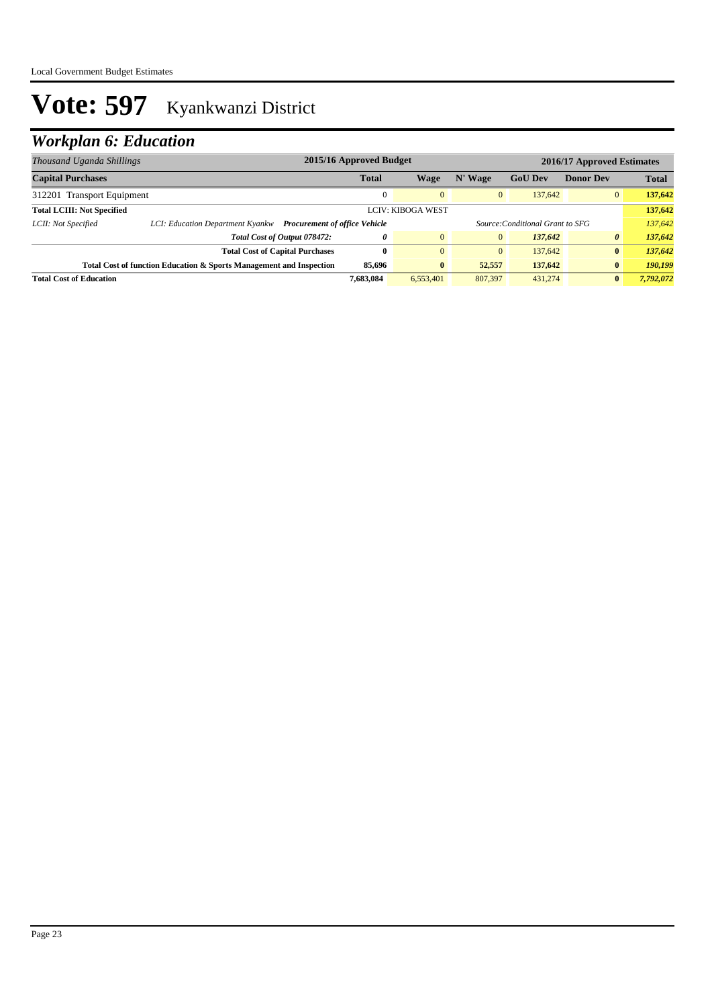## *Workplan 6: Education*

| Thousand Uganda Shillings                                                     |                                  | 2015/16 Approved Budget<br>2016/17 Approved Estimates |              |                |              |                                  |                  |              |
|-------------------------------------------------------------------------------|----------------------------------|-------------------------------------------------------|--------------|----------------|--------------|----------------------------------|------------------|--------------|
| <b>Capital Purchases</b>                                                      |                                  |                                                       | <b>Total</b> | Wage           | N' Wage      | <b>GoU Dev</b>                   | <b>Donor Dev</b> | <b>Total</b> |
| 312201 Transport Equipment                                                    |                                  |                                                       |              | $\overline{0}$ | $\mathbf{0}$ | 137,642                          | $\overline{0}$   | 137,642      |
| <b>Total LCIII: Not Specified</b><br><b>LCIV: KIBOGA WEST</b>                 |                                  |                                                       |              |                | 137,642      |                                  |                  |              |
| LCII: Not Specified                                                           | LCI: Education Department Kyankw | <b>Procurement of office Vehicle</b>                  |              |                |              | Source: Conditional Grant to SFG |                  | 137,642      |
|                                                                               |                                  | Total Cost of Output 078472:                          | 0            | $\overline{0}$ | $\mathbf{0}$ | 137.642                          | $\theta$         | 137,642      |
|                                                                               |                                  | <b>Total Cost of Capital Purchases</b>                | $\mathbf{0}$ | $\Omega$       | $\mathbf{0}$ | 137,642                          | $\mathbf{0}$     | 137,642      |
| 85,696<br>Total Cost of function Education & Sports Management and Inspection |                                  |                                                       |              | $\bf{0}$       | 52,557       | 137,642                          | $\bf{0}$         | 190.199      |
| <b>Total Cost of Education</b>                                                |                                  |                                                       | 7.683.084    | 6.553.401      | 807,397      | 431,274                          | $\mathbf{0}$     | 7,792,072    |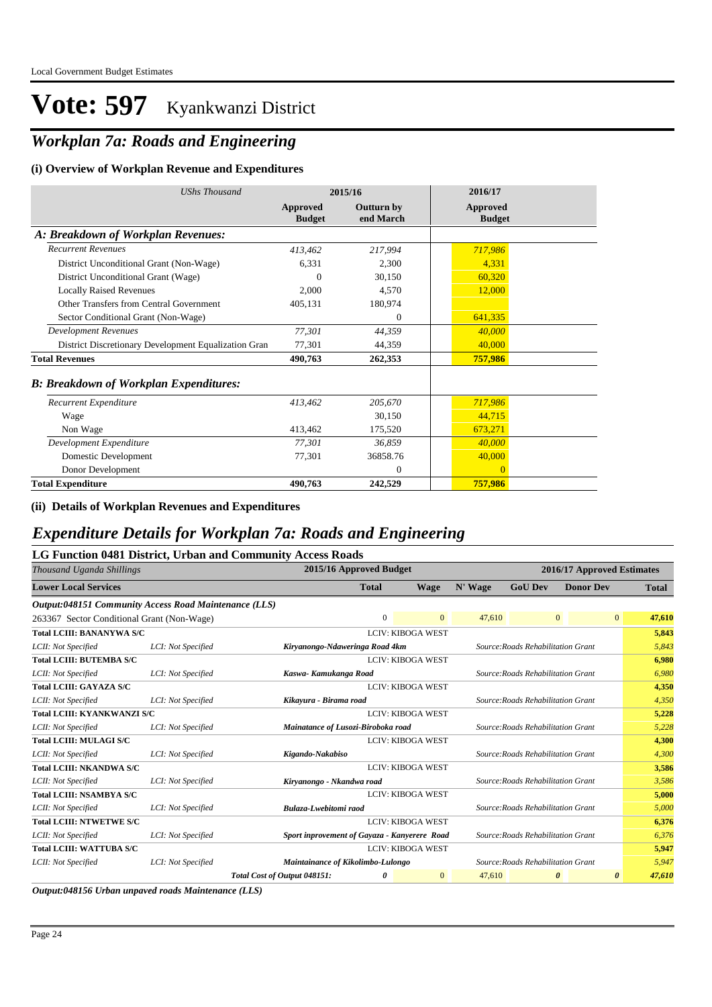## *Workplan 7a: Roads and Engineering*

#### **(i) Overview of Workplan Revenue and Expenditures**

| <b>UShs Thousand</b>                                 |                           | 2015/16                        | 2016/17                          |
|------------------------------------------------------|---------------------------|--------------------------------|----------------------------------|
|                                                      | Approved<br><b>Budget</b> | <b>Outturn by</b><br>end March | <b>Approved</b><br><b>Budget</b> |
| A: Breakdown of Workplan Revenues:                   |                           |                                |                                  |
| <b>Recurrent Revenues</b>                            | 413,462                   | 217,994                        | 717,986                          |
| District Unconditional Grant (Non-Wage)              | 6,331                     | 2,300                          | 4,331                            |
| District Unconditional Grant (Wage)                  | 0                         | 30,150                         | 60,320                           |
| <b>Locally Raised Revenues</b>                       | 2.000                     | 4,570                          | 12,000                           |
| Other Transfers from Central Government              | 405,131                   | 180,974                        |                                  |
| Sector Conditional Grant (Non-Wage)                  |                           | $\Omega$                       | 641,335                          |
| Development Revenues                                 | 77,301                    | 44,359                         | 40,000                           |
| District Discretionary Development Equalization Gran | 77,301                    | 44,359                         | 40,000                           |
| <b>Total Revenues</b>                                | 490,763                   | 262,353                        | 757,986                          |
| <b>B: Breakdown of Workplan Expenditures:</b>        |                           |                                |                                  |
| Recurrent Expenditure                                | 413,462                   | 205,670                        | 717,986                          |
| Wage                                                 |                           | 30.150                         | 44,715                           |
| Non Wage                                             | 413,462                   | 175,520                        | 673,271                          |
| Development Expenditure                              | 77,301                    | 36.859                         | 40,000                           |
| Domestic Development                                 | 77,301                    | 36858.76                       | 40,000                           |
| Donor Development                                    |                           | $\mathbf{0}$                   | $\Omega$                         |
| <b>Total Expenditure</b>                             | 490,763                   | 242,529                        | 757,986                          |

**(ii) Details of Workplan Revenues and Expenditures**

### *Expenditure Details for Workplan 7a: Roads and Engineering*

#### **LG Function 0481 District, Urban and Community Access Roads**

| Thousand Uganda Shillings                             |                    | 2015/16 Approved Budget                      |                          |              |         |                                    | 2016/17 Approved Estimates |                |              |  |
|-------------------------------------------------------|--------------------|----------------------------------------------|--------------------------|--------------|---------|------------------------------------|----------------------------|----------------|--------------|--|
| <b>Lower Local Services</b>                           |                    |                                              | <b>Total</b>             | Wage         | N' Wage | <b>GoU Dev</b>                     | <b>Donor Dev</b>           |                | <b>Total</b> |  |
| Output:048151 Community Access Road Maintenance (LLS) |                    |                                              |                          |              |         |                                    |                            |                |              |  |
| 263367 Sector Conditional Grant (Non-Wage)            |                    |                                              | $\Omega$                 | $\Omega$     | 47,610  |                                    | $\overline{0}$             | $\overline{0}$ | 47,610       |  |
| <b>Total LCIII: BANANYWA S/C</b>                      |                    |                                              | <b>LCIV: KIBOGA WEST</b> |              |         |                                    |                            |                | 5,843        |  |
| LCII: Not Specified                                   | LCI: Not Specified | Kiryanongo-Ndaweringa Road 4km               |                          |              |         | Source: Roads Rehabilitation Grant |                            |                | 5,843        |  |
| <b>Total LCIII: BUTEMBA S/C</b>                       |                    |                                              | <b>LCIV: KIBOGA WEST</b> |              |         |                                    |                            |                | 6,980        |  |
| LCII: Not Specified                                   | LCI: Not Specified | Kaswa- Kamukanga Road                        |                          |              |         | Source: Roads Rehabilitation Grant |                            |                | 6.980        |  |
| <b>Total LCIII: GAYAZA S/C</b>                        |                    |                                              | <b>LCIV: KIBOGA WEST</b> |              |         |                                    |                            |                | 4,350        |  |
| LCII: Not Specified                                   | LCI: Not Specified | Kikayura - Birama road                       |                          |              |         | Source: Roads Rehabilitation Grant |                            |                | 4,350        |  |
| <b>Total LCIII: KYANKWANZI S/C</b>                    |                    |                                              | <b>LCIV: KIBOGA WEST</b> |              |         |                                    |                            |                | 5,228        |  |
| LCII: Not Specified                                   | LCI: Not Specified | Mainatance of Lusozi-Biroboka road           |                          |              |         | Source: Roads Rehabilitation Grant |                            |                | 5,228        |  |
| <b>Total LCIII: MULAGI S/C</b>                        |                    |                                              | <b>LCIV: KIBOGA WEST</b> |              |         |                                    |                            |                | 4,300        |  |
| LCII: Not Specified                                   | LCI: Not Specified | Kigando-Nakabiso                             |                          |              |         | Source: Roads Rehabilitation Grant |                            |                | 4,300        |  |
| <b>Total LCIII: NKANDWA S/C</b>                       |                    |                                              | <b>LCIV: KIBOGA WEST</b> |              |         |                                    |                            |                | 3,586        |  |
| LCII: Not Specified                                   | LCI: Not Specified | Kiryanongo - Nkandwa road                    |                          |              |         | Source: Roads Rehabilitation Grant |                            |                | 3,586        |  |
| <b>Total LCIII: NSAMBYA S/C</b>                       |                    |                                              | <b>LCIV: KIBOGA WEST</b> |              |         |                                    |                            |                | 5,000        |  |
| LCII: Not Specified                                   | LCI: Not Specified | Bulaza-Lwebitomi raod                        |                          |              |         | Source: Roads Rehabilitation Grant |                            |                | 5,000        |  |
| <b>Total LCIII: NTWETWE S/C</b>                       |                    |                                              | <b>LCIV: KIBOGA WEST</b> |              |         |                                    |                            |                | 6,376        |  |
| LCII: Not Specified                                   | LCI: Not Specified | Sport inprovement of Gayaza - Kanyerere Road |                          |              |         | Source: Roads Rehabilitation Grant |                            |                | 6,376        |  |
| <b>Total LCIII: WATTUBA S/C</b>                       |                    |                                              | <b>LCIV: KIBOGA WEST</b> |              |         |                                    |                            |                | 5,947        |  |
| LCII: Not Specified                                   | LCI: Not Specified | Maintainance of Kikolimbo-Lulongo            |                          |              |         | Source: Roads Rehabilitation Grant |                            |                | 5,947        |  |
|                                                       |                    | Total Cost of Output 048151:                 | 0                        | $\mathbf{0}$ | 47,610  |                                    | $\boldsymbol{\theta}$      | 0              | 47,610       |  |

*Output:048156 Urban unpaved roads Maintenance (LLS)*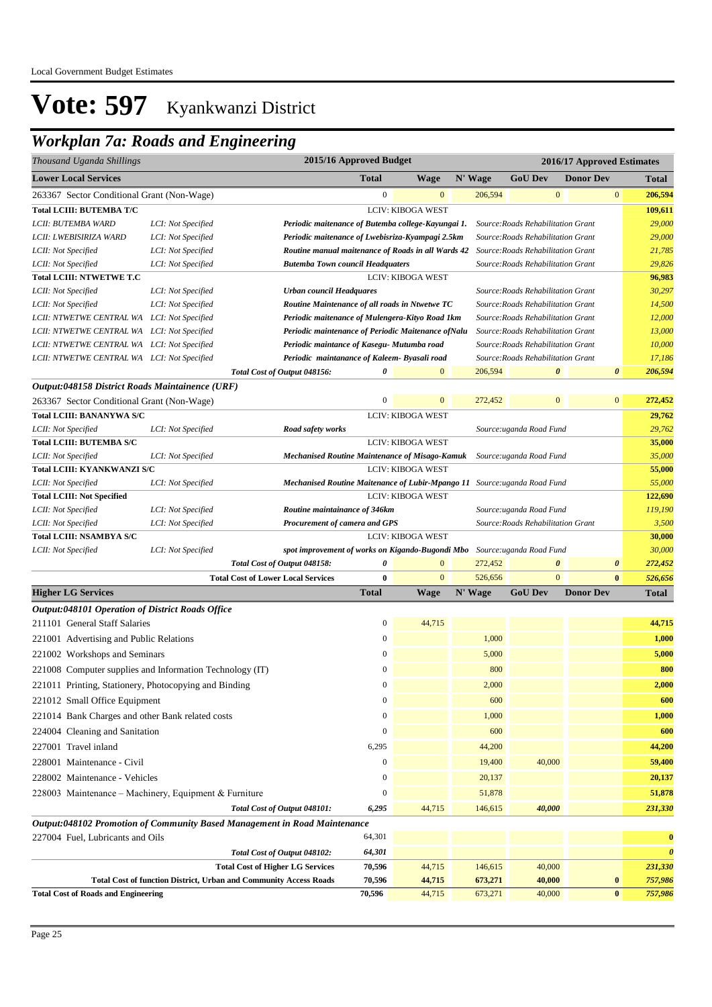### *Workplan 7a: Roads and Engineering*

| Thousand Uganda Shillings                               |                                                                           |                                                                          | 2015/16 Approved Budget |                          |         |                                    | 2016/17 Approved Estimates |                       |
|---------------------------------------------------------|---------------------------------------------------------------------------|--------------------------------------------------------------------------|-------------------------|--------------------------|---------|------------------------------------|----------------------------|-----------------------|
| <b>Lower Local Services</b>                             |                                                                           |                                                                          | <b>Total</b>            | <b>Wage</b>              | N' Wage | <b>GoU Dev</b>                     | <b>Donor Dev</b>           | <b>Total</b>          |
| 263367 Sector Conditional Grant (Non-Wage)              |                                                                           |                                                                          | $\boldsymbol{0}$        | $\mathbf{0}$             | 206,594 | $\boldsymbol{0}$                   | $\mathbf{0}$               | 206,594               |
| <b>Total LCIII: BUTEMBA T/C</b>                         |                                                                           |                                                                          |                         | <b>LCIV: KIBOGA WEST</b> |         |                                    |                            | 109,611               |
| LCII: BUTEMBA WARD                                      | LCI: Not Specified                                                        | Periodic maitenance of Butemba college-Kayungai 1.                       |                         |                          |         | Source: Roads Rehabilitation Grant |                            | 29,000                |
| LCII: LWEBISIRIZA WARD                                  | LCI: Not Specified                                                        | Periodic maitenance of Lwebisriza-Kyampagi 2.5km                         |                         |                          |         | Source: Roads Rehabilitation Grant |                            | 29,000                |
| LCII: Not Specified                                     | LCI: Not Specified                                                        | Routine manual maitenance of Roads in all Wards 42                       |                         |                          |         | Source: Roads Rehabilitation Grant |                            | 21,785                |
| LCII: Not Specified                                     | LCI: Not Specified                                                        | <b>Butemba Town council Headquaters</b>                                  |                         |                          |         | Source: Roads Rehabilitation Grant |                            | 29,826                |
| <b>Total LCIII: NTWETWE T.C</b>                         |                                                                           |                                                                          |                         | LCIV: KIBOGA WEST        |         |                                    |                            | 96,983                |
| LCII: Not Specified                                     | LCI: Not Specified                                                        | <b>Urban council Headquares</b>                                          |                         |                          |         | Source: Roads Rehabilitation Grant |                            | 30,297                |
| LCII: Not Specified                                     | LCI: Not Specified                                                        | Routine Maintenance of all roads in Ntwetwe TC                           |                         |                          |         | Source: Roads Rehabilitation Grant |                            | 14,500                |
| LCII: NTWETWE CENTRAL WA LCI: Not Specified             |                                                                           | Periodic maitenance of Mulengera-Kityo Road 1km                          |                         |                          |         | Source: Roads Rehabilitation Grant |                            | 12,000                |
| LCII: NTWETWE CENTRAL WA LCI: Not Specified             |                                                                           | Periodic maintenance of Periodic Maitenance of Nalu                      |                         |                          |         | Source: Roads Rehabilitation Grant |                            | 13,000                |
| LCII: NTWETWE CENTRAL WA LCI: Not Specified             |                                                                           | Periodic maintance of Kasegu- Mutumba road                               |                         |                          |         | Source: Roads Rehabilitation Grant |                            | 10,000                |
| LCII: NTWETWE CENTRAL WA LCI: Not Specified             |                                                                           | Periodic maintanance of Kaleem-Byasali road                              |                         |                          |         | Source: Roads Rehabilitation Grant |                            | 17,186                |
|                                                         |                                                                           | Total Cost of Output 048156:                                             | 0                       | $\overline{0}$           | 206,594 | $\boldsymbol{\theta}$              | $\boldsymbol{\theta}$      | 206,594               |
| Output:048158 District Roads Maintainence (URF)         |                                                                           |                                                                          |                         |                          |         |                                    |                            |                       |
| 263367 Sector Conditional Grant (Non-Wage)              |                                                                           |                                                                          | $\mathbf{0}$            | $\mathbf{0}$             | 272,452 | $\mathbf{0}$                       | $\mathbf{0}$               | 272,452               |
| <b>Total LCIII: BANANYWA S/C</b>                        |                                                                           |                                                                          |                         | <b>LCIV: KIBOGA WEST</b> |         |                                    |                            | 29,762                |
| LCII: Not Specified                                     | LCI: Not Specified                                                        | Road safety works                                                        |                         |                          |         | Source:uganda Road Fund            |                            | 29,762                |
| Total LCIII: BUTEMBA S/C                                |                                                                           |                                                                          |                         | <b>LCIV: KIBOGA WEST</b> |         |                                    |                            | 35,000                |
| LCII: Not Specified                                     | LCI: Not Specified                                                        | <b>Mechanised Routine Maintenance of Misago-Kamuk</b>                    |                         |                          |         | Source:uganda Road Fund            |                            | 35,000                |
| <b>Total LCIII: KYANKWANZI S/C</b>                      |                                                                           |                                                                          |                         | <b>LCIV: KIBOGA WEST</b> |         |                                    |                            | 55,000                |
| LCII: Not Specified                                     | LCI: Not Specified                                                        | Mechanised Routine Maitenance of Lubir-Mpango 11 Source:uganda Road Fund |                         |                          |         |                                    |                            | 55,000                |
| <b>Total LCIII: Not Specified</b>                       |                                                                           |                                                                          |                         | <b>LCIV: KIBOGA WEST</b> |         |                                    |                            | 122,690               |
| LCII: Not Specified                                     | LCI: Not Specified                                                        | Routine maintainance of 346km                                            |                         |                          |         | Source:uganda Road Fund            |                            | 119,190               |
| LCII: Not Specified                                     | LCI: Not Specified                                                        | Procurement of camera and GPS                                            |                         |                          |         | Source: Roads Rehabilitation Grant |                            | 3,500                 |
| <b>Total LCIII: NSAMBYA S/C</b>                         |                                                                           |                                                                          |                         | LCIV: KIBOGA WEST        |         |                                    |                            | 30,000                |
| LCII: Not Specified                                     | LCI: Not Specified                                                        | spot improvement of works on Kigando-Bugondi Mbo                         |                         |                          |         | Source:uganda Road Fund            |                            | 30,000                |
|                                                         |                                                                           | Total Cost of Output 048158:                                             | 0                       | $\mathbf{0}$             | 272,452 | 0                                  | $\boldsymbol{\theta}$      | 272,452               |
|                                                         | <b>Total Cost of Lower Local Services</b>                                 |                                                                          | $\bf{0}$                | $\mathbf{0}$             | 526,656 | $\mathbf{0}$                       | $\bf{0}$                   | 526,656               |
| <b>Higher LG Services</b>                               |                                                                           |                                                                          | <b>Total</b>            | <b>Wage</b>              | N' Wage | <b>GoU Dev</b>                     | <b>Donor Dev</b>           | <b>Total</b>          |
| <b>Output:048101 Operation of District Roads Office</b> |                                                                           |                                                                          |                         |                          |         |                                    |                            |                       |
| 211101 General Staff Salaries                           |                                                                           |                                                                          | $\boldsymbol{0}$        | 44,715                   |         |                                    |                            | 44,715                |
| 221001 Advertising and Public Relations                 |                                                                           |                                                                          | $\boldsymbol{0}$        |                          | 1,000   |                                    |                            | 1,000                 |
| 221002 Workshops and Seminars                           |                                                                           |                                                                          | $\boldsymbol{0}$        |                          | 5,000   |                                    |                            | 5,000                 |
|                                                         | 221008 Computer supplies and Information Technology (IT)                  |                                                                          | $\mathbf{0}$            |                          | 800     |                                    |                            | 800                   |
| 221011 Printing, Stationery, Photocopying and Binding   |                                                                           |                                                                          | $\boldsymbol{0}$        |                          | 2,000   |                                    |                            | 2,000                 |
| 221012 Small Office Equipment                           |                                                                           |                                                                          | $\boldsymbol{0}$        |                          | 600     |                                    |                            | 600                   |
| 221014 Bank Charges and other Bank related costs        |                                                                           |                                                                          | $\boldsymbol{0}$        |                          | 1,000   |                                    |                            | 1,000                 |
| 224004 Cleaning and Sanitation                          |                                                                           |                                                                          | $\boldsymbol{0}$        |                          | 600     |                                    |                            | 600                   |
| 227001 Travel inland                                    |                                                                           |                                                                          | 6,295                   |                          | 44,200  |                                    |                            | 44,200                |
| 228001 Maintenance - Civil                              |                                                                           |                                                                          | $\boldsymbol{0}$        |                          | 19,400  | 40,000                             |                            | 59,400                |
|                                                         |                                                                           |                                                                          |                         |                          |         |                                    |                            |                       |
| 228002 Maintenance - Vehicles                           |                                                                           |                                                                          | $\boldsymbol{0}$        |                          | 20,137  |                                    |                            | 20,137                |
|                                                         | 228003 Maintenance - Machinery, Equipment & Furniture                     |                                                                          | $\boldsymbol{0}$        |                          | 51,878  |                                    |                            | 51,878                |
|                                                         |                                                                           | Total Cost of Output 048101:                                             | 6,295                   | 44,715                   | 146,615 | 40,000                             |                            | 231,330               |
|                                                         | Output:048102 Promotion of Community Based Management in Road Maintenance |                                                                          |                         |                          |         |                                    |                            |                       |
| 227004 Fuel, Lubricants and Oils                        |                                                                           |                                                                          | 64,301                  |                          |         |                                    |                            | $\bf{0}$              |
|                                                         |                                                                           | Total Cost of Output 048102:                                             | 64,301                  |                          |         |                                    |                            | $\boldsymbol{\theta}$ |
|                                                         |                                                                           | <b>Total Cost of Higher LG Services</b>                                  | 70,596                  | 44,715                   | 146,615 | 40,000                             |                            | 231,330               |
|                                                         | <b>Total Cost of function District, Urban and Community Access Roads</b>  |                                                                          | 70,596                  | 44,715                   | 673,271 | 40,000                             | $\bf{0}$                   | 757,986               |
| <b>Total Cost of Roads and Engineering</b>              |                                                                           |                                                                          | 70,596                  | 44,715                   | 673,271 | 40,000                             | $\bf{0}$                   | 757,986               |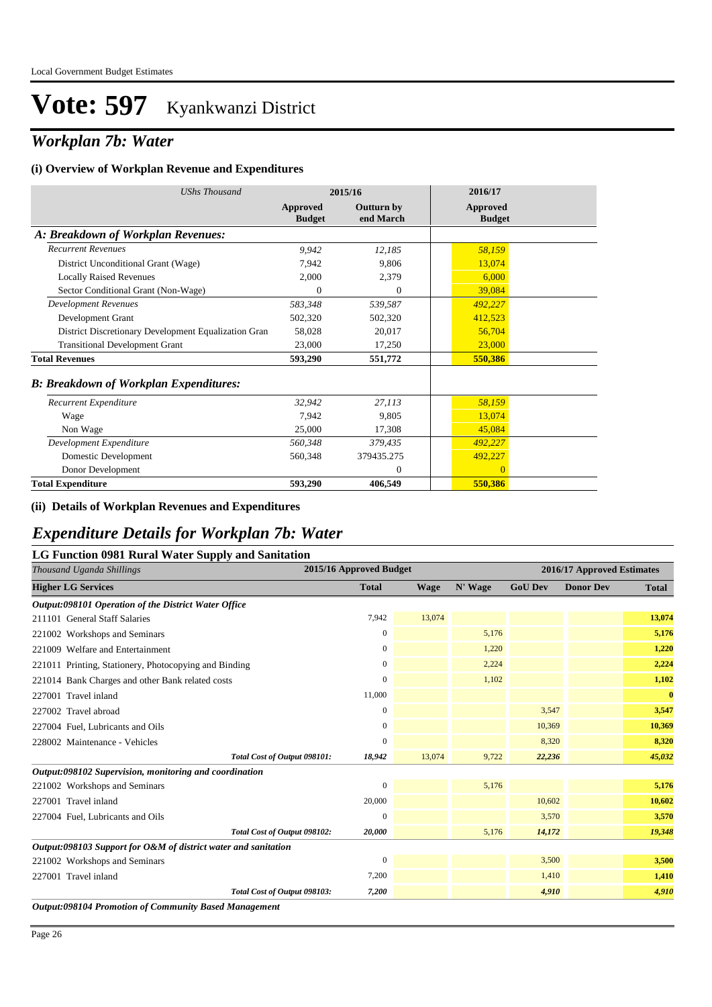### *Workplan 7b: Water*

#### **(i) Overview of Workplan Revenue and Expenditures**

| <b>UShs Thousand</b>                                 |                           | 2015/16                        | 2016/17                          |
|------------------------------------------------------|---------------------------|--------------------------------|----------------------------------|
|                                                      | Approved<br><b>Budget</b> | <b>Outturn by</b><br>end March | <b>Approved</b><br><b>Budget</b> |
| A: Breakdown of Workplan Revenues:                   |                           |                                |                                  |
| <b>Recurrent Revenues</b>                            | 9,942                     | 12,185                         | 58,159                           |
| District Unconditional Grant (Wage)                  | 7,942                     | 9,806                          | 13,074                           |
| <b>Locally Raised Revenues</b>                       | 2,000                     | 2,379                          | 6,000                            |
| Sector Conditional Grant (Non-Wage)                  | $\Omega$                  | $\theta$                       | 39,084                           |
| <b>Development Revenues</b>                          | 583,348                   | 539,587                        | 492,227                          |
| Development Grant                                    | 502,320                   | 502,320                        | 412,523                          |
| District Discretionary Development Equalization Gran | 58,028                    | 20,017                         | 56,704                           |
| <b>Transitional Development Grant</b>                | 23,000                    | 17,250                         | 23,000                           |
| <b>Total Revenues</b>                                | 593,290                   | 551,772                        | 550,386                          |
| <b>B: Breakdown of Workplan Expenditures:</b>        |                           |                                |                                  |
| Recurrent Expenditure                                | 32,942                    | 27,113                         | 58,159                           |
| Wage                                                 | 7,942                     | 9,805                          | 13,074                           |
| Non Wage                                             | 25,000                    | 17,308                         | 45,084                           |
| Development Expenditure                              | 560,348                   | 379.435                        | 492,227                          |
| Domestic Development                                 | 560,348                   | 379435.275                     | 492,227                          |
| Donor Development                                    |                           | $\theta$                       | $\Omega$                         |
| <b>Total Expenditure</b>                             | 593,290                   | 406,549                        | 550,386                          |

#### **(ii) Details of Workplan Revenues and Expenditures**

### *Expenditure Details for Workplan 7b: Water*

#### **LG Function 0981 Rural Water Supply and Sanitation**

| .<br>Thousand Uganda Shillings                                 |                              | 2015/16 Approved Budget |             | 2016/17 Approved Estimates |                |                  |              |
|----------------------------------------------------------------|------------------------------|-------------------------|-------------|----------------------------|----------------|------------------|--------------|
| <b>Higher LG Services</b>                                      |                              | <b>Total</b>            | <b>Wage</b> | N' Wage                    | <b>GoU Dev</b> | <b>Donor Dev</b> | <b>Total</b> |
| Output:098101 Operation of the District Water Office           |                              |                         |             |                            |                |                  |              |
| 211101 General Staff Salaries                                  |                              | 7,942                   | 13,074      |                            |                |                  | 13,074       |
| 221002 Workshops and Seminars                                  |                              | $\bf{0}$                |             | 5,176                      |                |                  | 5,176        |
| 221009 Welfare and Entertainment                               |                              | $\mathbf{0}$            |             | 1,220                      |                |                  | 1,220        |
| 221011 Printing, Stationery, Photocopying and Binding          |                              | $\mathbf{0}$            |             | 2,224                      |                |                  | 2,224        |
| 221014 Bank Charges and other Bank related costs               |                              | $\Omega$                |             | 1,102                      |                |                  | 1,102        |
| 227001 Travel inland                                           |                              | 11,000                  |             |                            |                |                  | $\bf{0}$     |
| 227002 Travel abroad                                           |                              | $\mathbf{0}$            |             |                            | 3,547          |                  | 3,547        |
| 227004 Fuel, Lubricants and Oils                               |                              | $\theta$                |             |                            | 10,369         |                  | 10,369       |
| 228002 Maintenance - Vehicles                                  |                              | $\mathbf{0}$            |             |                            | 8,320          |                  | 8,320        |
|                                                                | Total Cost of Output 098101: | 18,942                  | 13,074      | 9,722                      | 22,236         |                  | 45,032       |
| Output:098102 Supervision, monitoring and coordination         |                              |                         |             |                            |                |                  |              |
| 221002 Workshops and Seminars                                  |                              | $\mathbf{0}$            |             | 5,176                      |                |                  | 5,176        |
| 227001 Travel inland                                           |                              | 20,000                  |             |                            | 10,602         |                  | 10,602       |
| 227004 Fuel, Lubricants and Oils                               |                              | $\Omega$                |             |                            | 3,570          |                  | 3,570        |
|                                                                | Total Cost of Output 098102: | 20,000                  |             | 5,176                      | 14,172         |                  | 19,348       |
| Output:098103 Support for O&M of district water and sanitation |                              |                         |             |                            |                |                  |              |
| 221002 Workshops and Seminars                                  |                              | $\mathbf{0}$            |             |                            | 3,500          |                  | 3,500        |
| 227001 Travel inland                                           |                              | 7,200                   |             |                            | 1,410          |                  | 1,410        |
|                                                                | Total Cost of Output 098103: | 7,200                   |             |                            | 4,910          |                  | 4,910        |
| <b>Output:098104 Promotion of Community Based Management</b>   |                              |                         |             |                            |                |                  |              |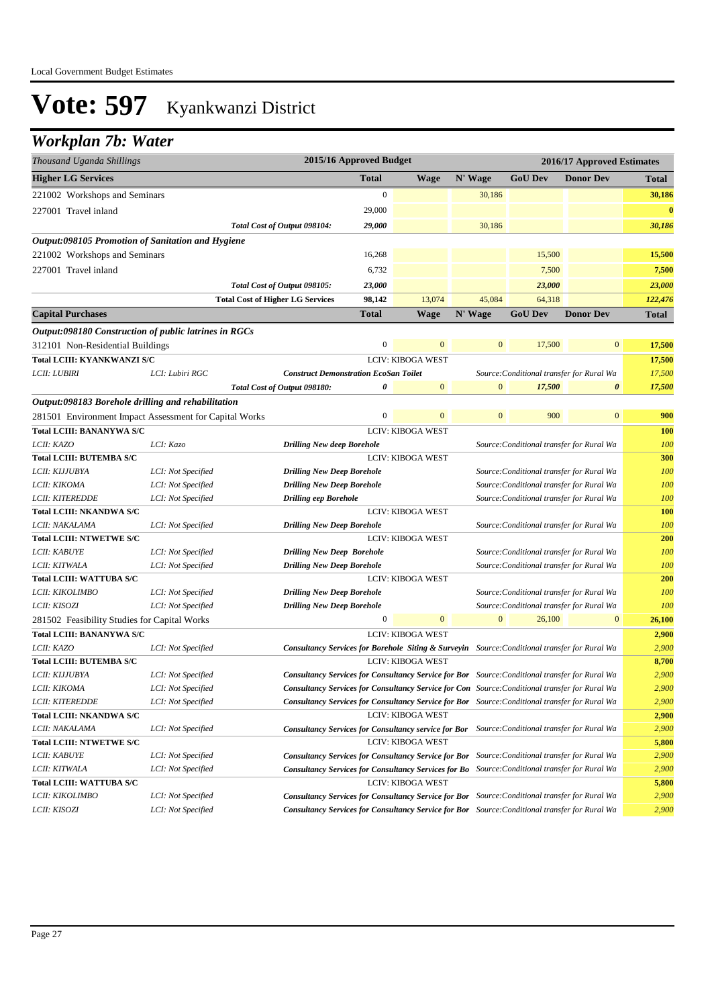### *Workplan 7b: Water*

| Thousand Uganda Shillings                                                                        |                                                        |                                                                                                          | 2015/16 Approved Budget |                          |                  |                | 2016/17 Approved Estimates                |                  |
|--------------------------------------------------------------------------------------------------|--------------------------------------------------------|----------------------------------------------------------------------------------------------------------|-------------------------|--------------------------|------------------|----------------|-------------------------------------------|------------------|
| <b>Higher LG Services</b>                                                                        |                                                        |                                                                                                          | <b>Total</b>            | <b>Wage</b>              | N' Wage          | <b>GoU</b> Dev | <b>Donor Dev</b>                          | Total            |
| 221002 Workshops and Seminars                                                                    |                                                        |                                                                                                          | $\boldsymbol{0}$        |                          | 30,186           |                |                                           | 30,186           |
| 227001 Travel inland                                                                             |                                                        |                                                                                                          | 29,000                  |                          |                  |                |                                           | $\bf{0}$         |
|                                                                                                  |                                                        | Total Cost of Output 098104:                                                                             | 29,000                  |                          | 30,186           |                |                                           | 30,186           |
| Output:098105 Promotion of Sanitation and Hygiene                                                |                                                        |                                                                                                          |                         |                          |                  |                |                                           |                  |
| 221002 Workshops and Seminars                                                                    |                                                        |                                                                                                          | 16,268                  |                          |                  | 15,500         |                                           | 15,500           |
| 227001 Travel inland                                                                             |                                                        |                                                                                                          | 6,732                   |                          |                  | 7,500          |                                           | 7,500            |
|                                                                                                  |                                                        | Total Cost of Output 098105:                                                                             | 23,000                  |                          |                  | 23,000         |                                           | 23,000           |
|                                                                                                  |                                                        | <b>Total Cost of Higher LG Services</b>                                                                  | 98,142                  | 13,074                   | 45,084           | 64,318         |                                           | 122,476          |
| <b>Capital Purchases</b>                                                                         |                                                        |                                                                                                          | Total                   | <b>Wage</b>              | N' Wage          | <b>GoU Dev</b> | <b>Donor Dev</b>                          | <b>Total</b>     |
|                                                                                                  |                                                        |                                                                                                          |                         |                          |                  |                |                                           |                  |
| <i>Output:098180 Construction of public latrines in RGCs</i><br>312101 Non-Residential Buildings |                                                        |                                                                                                          | $\boldsymbol{0}$        | $\mathbf{0}$             | $\mathbf{0}$     | 17,500         | $\boldsymbol{0}$                          | 17,500           |
| Total LCIII: KYANKWANZI S/C                                                                      |                                                        |                                                                                                          |                         | <b>LCIV: KIBOGA WEST</b> |                  |                |                                           |                  |
| <i>LCII: LUBIRI</i>                                                                              | LCI: Lubiri RGC                                        | <b>Construct Demonstration EcoSan Toilet</b>                                                             |                         |                          |                  |                | Source: Conditional transfer for Rural Wa | 17,500<br>17,500 |
|                                                                                                  |                                                        | Total Cost of Output 098180:                                                                             | 0                       | $\mathbf{0}$             | $\overline{0}$   | 17,500         | 0                                         | 17,500           |
| Output:098183 Borehole drilling and rehabilitation                                               |                                                        |                                                                                                          |                         |                          |                  |                |                                           |                  |
|                                                                                                  | 281501 Environment Impact Assessment for Capital Works |                                                                                                          | 0                       | $\mathbf{0}$             | $\overline{0}$   | 900            | $\mathbf{0}$                              | 900              |
| <b>Total LCIII: BANANYWA S/C</b>                                                                 |                                                        |                                                                                                          |                         | LCIV: KIBOGA WEST        |                  |                |                                           | <b>100</b>       |
| LCII: KAZO                                                                                       | LCI: Kazo                                              | <b>Drilling New deep Borehole</b>                                                                        |                         |                          |                  |                | Source: Conditional transfer for Rural Wa | 100              |
| <b>Total LCIII: BUTEMBA S/C</b>                                                                  |                                                        |                                                                                                          |                         | <b>LCIV: KIBOGA WEST</b> |                  |                |                                           | 300              |
| LCII: KIJJUBYA                                                                                   | LCI: Not Specified                                     | <b>Drilling New Deep Borehole</b>                                                                        |                         |                          |                  |                | Source: Conditional transfer for Rural Wa | 100              |
| LCII: KIKOMA                                                                                     | LCI: Not Specified                                     | <b>Drilling New Deep Borehole</b>                                                                        |                         |                          |                  |                | Source: Conditional transfer for Rural Wa | 100              |
| LCII: KITEREDDE                                                                                  | LCI: Not Specified                                     | <b>Drilling eep Borehole</b>                                                                             |                         |                          |                  |                | Source: Conditional transfer for Rural Wa | 100              |
| <b>Total LCIII: NKANDWA S/C</b>                                                                  |                                                        |                                                                                                          |                         | <b>LCIV: KIBOGA WEST</b> |                  |                |                                           | 100              |
| LCII: NAKALAMA                                                                                   | LCI: Not Specified                                     | <b>Drilling New Deep Borehole</b>                                                                        |                         |                          |                  |                | Source: Conditional transfer for Rural Wa | 100              |
| <b>Total LCIII: NTWETWE S/C</b>                                                                  |                                                        |                                                                                                          |                         | <b>LCIV: KIBOGA WEST</b> |                  |                |                                           | 200              |
| LCII: KABUYE                                                                                     | LCI: Not Specified                                     | <b>Drilling New Deep Borehole</b>                                                                        |                         |                          |                  |                | Source: Conditional transfer for Rural Wa | 100              |
| LCII: KITWALA                                                                                    | LCI: Not Specified                                     | <b>Drilling New Deep Borehole</b>                                                                        |                         |                          |                  |                | Source: Conditional transfer for Rural Wa | 100              |
| <b>Total LCIII: WATTUBA S/C</b>                                                                  |                                                        |                                                                                                          |                         | LCIV: KIBOGA WEST        |                  |                |                                           | 200              |
| LCII: KIKOLIMBO                                                                                  | LCI: Not Specified                                     | <b>Drilling New Deep Borehole</b>                                                                        |                         |                          |                  |                | Source: Conditional transfer for Rural Wa | 100              |
| LCII: KISOZI                                                                                     | LCI: Not Specified                                     | <b>Drilling New Deep Borehole</b>                                                                        |                         |                          |                  |                | Source: Conditional transfer for Rural Wa | 100              |
| 281502 Feasibility Studies for Capital Works                                                     |                                                        |                                                                                                          | $\boldsymbol{0}$        | $\mathbf{0}$             | $\boldsymbol{0}$ | 26,100         | $\boldsymbol{0}$                          | 26,100           |
| <b>Total LCIII: BANANYWA S/C</b>                                                                 |                                                        |                                                                                                          |                         | LCIV: KIBOGA WEST        |                  |                |                                           | 2,900            |
| LCII: KAZO                                                                                       | LCI: Not Specified                                     | <b>Consultancy Services for Borehole Siting &amp; Surveyin</b> Source: Conditional transfer for Rural Wa |                         |                          |                  |                |                                           | 2,900            |
| <b>Total LCIII: BUTEMBA S/C</b>                                                                  |                                                        |                                                                                                          |                         | <b>LCIV: KIBOGA WEST</b> |                  |                |                                           | 8,700            |
| LCII: KIJJUBYA                                                                                   | LCI: Not Specified                                     | <b>Consultancy Services for Consultancy Service for Bor</b> Source: Conditional transfer for Rural Wa    |                         |                          |                  |                |                                           | 2,900            |
| LCII: KIKOMA                                                                                     | LCI: Not Specified                                     | Consultancy Services for Consultancy Service for Con Source: Conditional transfer for Rural Wa           |                         |                          |                  |                |                                           | 2,900            |
| <b>LCII: KITEREDDE</b>                                                                           | LCI: Not Specified                                     | <b>Consultancy Services for Consultancy Service for Bor</b> Source: Conditional transfer for Rural Wa    |                         |                          |                  |                |                                           | 2,900            |
| <b>Total LCIII: NKANDWA S/C</b>                                                                  |                                                        |                                                                                                          |                         | <b>LCIV: KIBOGA WEST</b> |                  |                |                                           | 2,900            |
| LCII: NAKALAMA                                                                                   | LCI: Not Specified                                     | Consultancy Services for Consultancy service for Bor Source: Conditional transfer for Rural Wa           |                         |                          |                  |                |                                           | 2,900            |
| <b>Total LCIII: NTWETWE S/C</b>                                                                  |                                                        |                                                                                                          |                         | LCIV: KIBOGA WEST        |                  |                |                                           | 5,800            |
| LCII: KABUYE                                                                                     | LCI: Not Specified                                     | Consultancy Services for Consultancy Service for Bor Source: Conditional transfer for Rural Wa           |                         |                          |                  |                |                                           | 2,900            |
| <i>LCII: KITWALA</i>                                                                             | LCI: Not Specified                                     | Consultancy Services for Consultancy Services for Bo Source: Conditional transfer for Rural Wa           |                         |                          |                  |                |                                           | 2,900            |
| Total LCIII: WATTUBA S/C                                                                         |                                                        |                                                                                                          |                         | <b>LCIV: KIBOGA WEST</b> |                  |                |                                           | 5,800            |
| LCII: KIKOLIMBO                                                                                  | LCI: Not Specified                                     | Consultancy Services for Consultancy Service for Bor Source: Conditional transfer for Rural Wa           |                         |                          |                  |                |                                           | 2,900            |
| LCII: KISOZI                                                                                     | LCI: Not Specified                                     | Consultancy Services for Consultancy Service for Bor Source: Conditional transfer for Rural Wa           |                         |                          |                  |                |                                           | 2,900            |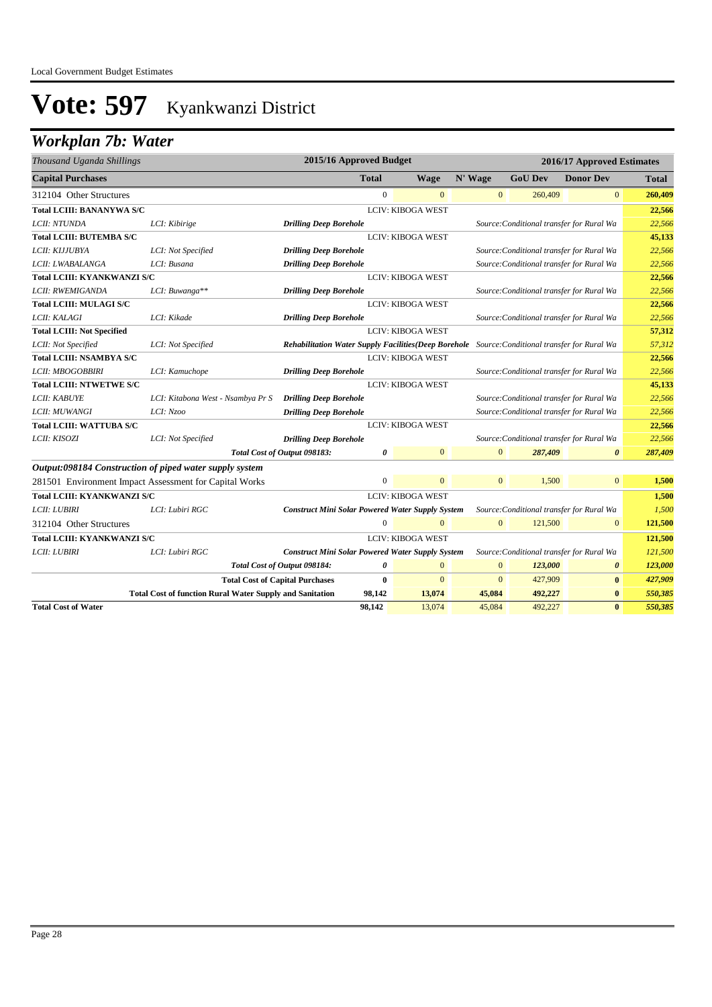## *Workplan 7b: Water*

| Thousand Uganda Shillings          |                                                                 | 2015/16 Approved Budget                                                                         |              |                          |                |                | 2016/17 Approved Estimates                |         |
|------------------------------------|-----------------------------------------------------------------|-------------------------------------------------------------------------------------------------|--------------|--------------------------|----------------|----------------|-------------------------------------------|---------|
| <b>Capital Purchases</b>           |                                                                 |                                                                                                 | <b>Total</b> | <b>Wage</b>              | N' Wage        | <b>GoU Dev</b> | <b>Donor Dev</b>                          | Total   |
| 312104 Other Structures            |                                                                 |                                                                                                 | $\Omega$     | $\overline{0}$           | $\mathbf{0}$   | 260,409        | $\mathbf{0}$                              | 260,409 |
| Total LCIII: BANANYWA S/C          |                                                                 |                                                                                                 |              | <b>LCIV: KIBOGA WEST</b> |                |                |                                           | 22,566  |
| LCII: NTUNDA                       | LCI: Kibirige                                                   | <b>Drilling Deep Borehole</b>                                                                   |              |                          |                |                | Source: Conditional transfer for Rural Wa | 22,566  |
| <b>Total LCIII: BUTEMBA S/C</b>    |                                                                 |                                                                                                 |              | <b>LCIV: KIBOGA WEST</b> |                |                |                                           | 45,133  |
| LCII: KIJJUBYA                     | LCI: Not Specified                                              | <b>Drilling Deep Borehole</b>                                                                   |              |                          |                |                | Source: Conditional transfer for Rural Wa | 22,566  |
| LCII: LWABALANGA                   | LCI: Busana                                                     | <b>Drilling Deep Borehole</b>                                                                   |              |                          |                |                | Source: Conditional transfer for Rural Wa | 22,566  |
| <b>Total LCIII: KYANKWANZI S/C</b> |                                                                 |                                                                                                 |              | <b>LCIV: KIBOGA WEST</b> |                |                |                                           | 22,566  |
| LCII: RWEMIGANDA                   | LCI: Buwanga**                                                  | <b>Drilling Deep Borehole</b>                                                                   |              |                          |                |                | Source: Conditional transfer for Rural Wa | 22,566  |
| <b>Total LCIII: MULAGI S/C</b>     |                                                                 |                                                                                                 |              | <b>LCIV: KIBOGA WEST</b> |                |                |                                           | 22,566  |
| LCII: KALAGI                       | LCI: Kikade                                                     | <b>Drilling Deep Borehole</b>                                                                   |              |                          |                |                | Source: Conditional transfer for Rural Wa | 22,566  |
| <b>Total LCIII: Not Specified</b>  |                                                                 |                                                                                                 |              | <b>LCIV: KIBOGA WEST</b> |                |                |                                           | 57,312  |
| LCII: Not Specified                | LCI: Not Specified                                              | Rehabilitation Water Supply Facilities (Deep Borehole Source: Conditional transfer for Rural Wa |              |                          |                |                |                                           | 57,312  |
| <b>Total LCIII: NSAMBYA S/C</b>    |                                                                 |                                                                                                 |              | <b>LCIV: KIBOGA WEST</b> |                |                |                                           | 22,566  |
| LCII: MBOGOBBIRI                   | LCI: Kamuchope                                                  | <b>Drilling Deep Borehole</b>                                                                   |              |                          |                |                | Source: Conditional transfer for Rural Wa | 22,566  |
| <b>Total LCIII: NTWETWE S/C</b>    |                                                                 |                                                                                                 |              | <b>LCIV: KIBOGA WEST</b> |                |                |                                           | 45,133  |
| LCII: KABUYE                       | LCI: Kitabona West - Nsambya Pr S                               | <b>Drilling Deep Borehole</b>                                                                   |              |                          |                |                | Source: Conditional transfer for Rural Wa | 22,566  |
| LCII: MUWANGI                      | LCI: Nzoo                                                       | <b>Drilling Deep Borehole</b>                                                                   |              |                          |                |                | Source: Conditional transfer for Rural Wa | 22,566  |
| <b>Total LCIII: WATTUBA S/C</b>    |                                                                 |                                                                                                 |              | <b>LCIV: KIBOGA WEST</b> |                |                |                                           | 22,566  |
| LCII: KISOZI                       | LCI: Not Specified                                              | <b>Drilling Deep Borehole</b>                                                                   |              |                          |                |                | Source: Conditional transfer for Rural Wa | 22,566  |
|                                    |                                                                 | Total Cost of Output 098183:                                                                    | 0            | $\overline{0}$           | $\overline{0}$ | 287,409        | $\boldsymbol{\theta}$                     | 287,409 |
|                                    | Output:098184 Construction of piped water supply system         |                                                                                                 |              |                          |                |                |                                           |         |
|                                    | 281501 Environment Impact Assessment for Capital Works          |                                                                                                 | $\mathbf{0}$ | $\overline{0}$           | $\mathbf{0}$   | 1,500          | $\mathbf{0}$                              | 1,500   |
| <b>Total LCIII: KYANKWANZI S/C</b> |                                                                 |                                                                                                 |              | <b>LCIV: KIBOGA WEST</b> |                |                |                                           | 1,500   |
| <b>LCII: LUBIRI</b>                | LCI: Lubiri RGC                                                 | <b>Construct Mini Solar Powered Water Supply System</b>                                         |              |                          |                |                | Source: Conditional transfer for Rural Wa | 1.500   |
| 312104 Other Structures            |                                                                 |                                                                                                 | $\mathbf{0}$ | $\mathbf{0}$             | $\mathbf{0}$   | 121,500        | $\mathbf{0}$                              | 121,500 |
| <b>Total LCIII: KYANKWANZI S/C</b> |                                                                 |                                                                                                 |              | <b>LCIV: KIBOGA WEST</b> |                |                |                                           | 121,500 |
| LCII: LUBIRI                       | LCI: Lubiri RGC                                                 | <b>Construct Mini Solar Powered Water Supply System</b>                                         |              |                          |                |                | Source: Conditional transfer for Rural Wa | 121,500 |
|                                    |                                                                 | Total Cost of Output 098184:                                                                    | $\theta$     | $\mathbf{0}$             | $\mathbf{0}$   | 123,000        | $\boldsymbol{\theta}$                     | 123,000 |
|                                    | <b>Total Cost of Capital Purchases</b>                          |                                                                                                 | $\mathbf{0}$ | $\Omega$                 | $\Omega$       | 427,909        | $\bf{0}$                                  | 427,909 |
|                                    | <b>Total Cost of function Rural Water Supply and Sanitation</b> |                                                                                                 | 98,142       | 13,074                   | 45,084         | 492,227        | $\bf{0}$                                  | 550,385 |
| <b>Total Cost of Water</b>         |                                                                 |                                                                                                 | 98.142       | 13,074                   | 45,084         | 492,227        | $\bf{0}$                                  | 550,385 |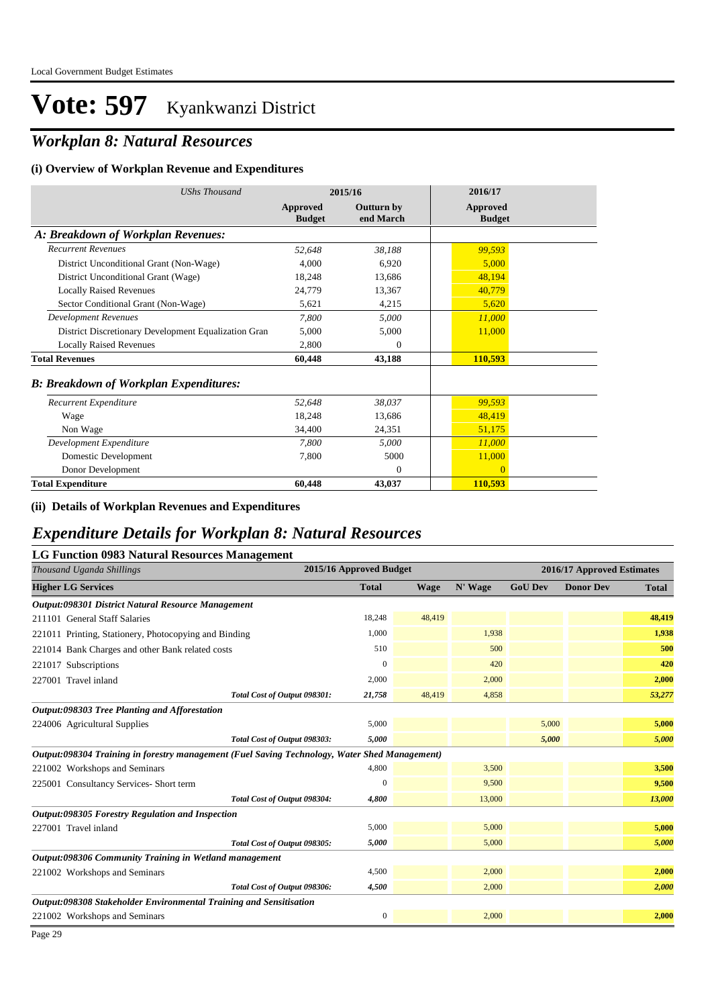## *Workplan 8: Natural Resources*

#### **(i) Overview of Workplan Revenue and Expenditures**

| <b>UShs Thousand</b>                                 | 2015/16                   |                                | 2016/17                          |  |
|------------------------------------------------------|---------------------------|--------------------------------|----------------------------------|--|
|                                                      | Approved<br><b>Budget</b> | <b>Outturn by</b><br>end March | <b>Approved</b><br><b>Budget</b> |  |
| A: Breakdown of Workplan Revenues:                   |                           |                                |                                  |  |
| <b>Recurrent Revenues</b>                            | 52,648                    | 38,188                         | 99,593                           |  |
| District Unconditional Grant (Non-Wage)              | 4,000                     | 6,920                          | 5,000                            |  |
| District Unconditional Grant (Wage)                  | 18,248                    | 13,686                         | 48,194                           |  |
| <b>Locally Raised Revenues</b>                       | 24,779                    | 13,367                         | 40,779                           |  |
| Sector Conditional Grant (Non-Wage)                  | 5,621                     | 4,215                          | 5,620                            |  |
| <b>Development Revenues</b>                          | 7.800                     | 5,000                          | 11,000                           |  |
| District Discretionary Development Equalization Gran | 5,000                     | 5,000                          | 11,000                           |  |
| <b>Locally Raised Revenues</b>                       | 2,800                     | $\theta$                       |                                  |  |
| <b>Total Revenues</b>                                | 60,448                    | 43,188                         | 110,593                          |  |
| <b>B: Breakdown of Workplan Expenditures:</b>        |                           |                                |                                  |  |
| Recurrent Expenditure                                | 52,648                    | 38,037                         | 99,593                           |  |
| Wage                                                 | 18,248                    | 13,686                         | 48,419                           |  |
| Non Wage                                             | 34,400                    | 24,351                         | 51,175                           |  |
| Development Expenditure                              | 7,800                     | 5,000                          | 11,000                           |  |
| Domestic Development                                 | 7.800                     | 5000                           | 11,000                           |  |
| Donor Development                                    |                           | $\Omega$                       | $\Omega$                         |  |
| <b>Total Expenditure</b>                             | 60,448                    | 43,037                         | 110,593                          |  |

#### **(ii) Details of Workplan Revenues and Expenditures**

### *Expenditure Details for Workplan 8: Natural Resources*

#### **LG Function 0983 Natural Resources Management**

| Thousand Uganda Shillings                                                                     | 2015/16 Approved Budget |             | 2016/17 Approved Estimates |                |                  |              |
|-----------------------------------------------------------------------------------------------|-------------------------|-------------|----------------------------|----------------|------------------|--------------|
| <b>Higher LG Services</b>                                                                     | <b>Total</b>            | <b>Wage</b> | N' Wage                    | <b>GoU Dev</b> | <b>Donor Dev</b> | <b>Total</b> |
| Output:098301 District Natural Resource Management                                            |                         |             |                            |                |                  |              |
| 211101 General Staff Salaries                                                                 | 18,248                  | 48,419      |                            |                |                  | 48,419       |
| 221011 Printing, Stationery, Photocopying and Binding                                         | 1,000                   |             | 1,938                      |                |                  | 1,938        |
| 221014 Bank Charges and other Bank related costs                                              | 510                     |             | 500                        |                |                  | 500          |
| 221017 Subscriptions                                                                          | $\Omega$                |             | 420                        |                |                  | 420          |
| 227001 Travel inland                                                                          | 2,000                   |             | 2,000                      |                |                  | 2,000        |
| Total Cost of Output 098301:                                                                  | 21,758                  | 48,419      | 4,858                      |                |                  | 53,277       |
| Output:098303 Tree Planting and Afforestation                                                 |                         |             |                            |                |                  |              |
| 224006 Agricultural Supplies                                                                  | 5,000                   |             |                            | 5,000          |                  | 5,000        |
| Total Cost of Output 098303:                                                                  | 5,000                   |             |                            | 5,000          |                  | 5,000        |
| Output:098304 Training in forestry management (Fuel Saving Technology, Water Shed Management) |                         |             |                            |                |                  |              |
| 221002 Workshops and Seminars                                                                 | 4,800                   |             | 3,500                      |                |                  | 3,500        |
| 225001 Consultancy Services- Short term                                                       | $\mathbf{0}$            |             | 9,500                      |                |                  | 9,500        |
| Total Cost of Output 098304:                                                                  | 4.800                   |             | 13,000                     |                |                  | 13,000       |
| Output:098305 Forestry Regulation and Inspection                                              |                         |             |                            |                |                  |              |
| 227001 Travel inland                                                                          | 5,000                   |             | 5,000                      |                |                  | 5,000        |
| Total Cost of Output 098305:                                                                  | 5,000                   |             | 5,000                      |                |                  | 5,000        |
| Output:098306 Community Training in Wetland management                                        |                         |             |                            |                |                  |              |
| 221002 Workshops and Seminars                                                                 | 4,500                   |             | 2,000                      |                |                  | 2,000        |
| Total Cost of Output 098306:                                                                  | 4,500                   |             | 2,000                      |                |                  | 2,000        |
| Output:098308 Stakeholder Environmental Training and Sensitisation                            |                         |             |                            |                |                  |              |
| 221002 Workshops and Seminars                                                                 | $\boldsymbol{0}$        |             | 2,000                      |                |                  | 2,000        |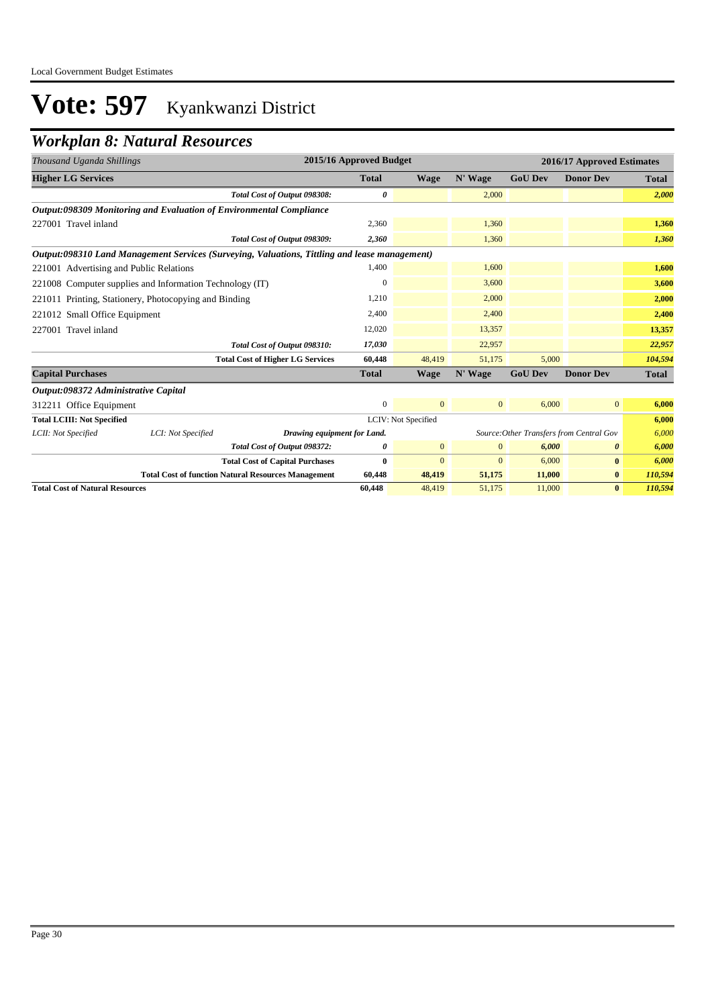### *Workplan 8: Natural Resources*

| Thousand Uganda Shillings               |                                                                     |                                                                                               | 2015/16 Approved Budget |                     |                |                | 2016/17 Approved Estimates               |              |
|-----------------------------------------|---------------------------------------------------------------------|-----------------------------------------------------------------------------------------------|-------------------------|---------------------|----------------|----------------|------------------------------------------|--------------|
| <b>Higher LG Services</b>               |                                                                     |                                                                                               | <b>Total</b>            | <b>Wage</b>         | N' Wage        | <b>GoU Dev</b> | <b>Donor Dev</b>                         | <b>Total</b> |
|                                         |                                                                     | Total Cost of Output 098308:                                                                  | 0                       |                     | 2,000          |                |                                          | 2,000        |
|                                         | Output:098309 Monitoring and Evaluation of Environmental Compliance |                                                                                               |                         |                     |                |                |                                          |              |
| 227001 Travel inland                    |                                                                     |                                                                                               | 2,360                   |                     | 1,360          |                |                                          | 1,360        |
|                                         |                                                                     | Total Cost of Output 098309:                                                                  | 2,360                   |                     | 1,360          |                |                                          | 1,360        |
|                                         |                                                                     | Output:098310 Land Management Services (Surveying, Valuations, Tittling and lease management) |                         |                     |                |                |                                          |              |
| 221001 Advertising and Public Relations |                                                                     |                                                                                               | 1,400                   |                     | 1,600          |                |                                          | 1,600        |
|                                         | 221008 Computer supplies and Information Technology (IT)            |                                                                                               | 0                       |                     | 3,600          |                |                                          | 3,600        |
|                                         | 221011 Printing, Stationery, Photocopying and Binding               |                                                                                               | 1,210                   |                     | 2,000          |                |                                          | 2,000        |
| 221012 Small Office Equipment           |                                                                     |                                                                                               | 2,400                   |                     | 2,400          |                |                                          | 2,400        |
| 227001 Travel inland                    |                                                                     |                                                                                               | 12,020                  |                     | 13,357         |                |                                          | 13,357       |
|                                         |                                                                     | Total Cost of Output 098310:                                                                  | 17,030                  |                     | 22,957         |                |                                          | 22,957       |
|                                         |                                                                     | <b>Total Cost of Higher LG Services</b>                                                       | 60,448                  | 48,419              | 51,175         | 5,000          |                                          | 104,594      |
| <b>Capital Purchases</b>                |                                                                     |                                                                                               | <b>Total</b>            | <b>Wage</b>         | N' Wage        | <b>GoU Dev</b> | <b>Donor Dev</b>                         | Total        |
| Output:098372 Administrative Capital    |                                                                     |                                                                                               |                         |                     |                |                |                                          |              |
| 312211 Office Equipment                 |                                                                     |                                                                                               | $\mathbf{0}$            | $\mathbf{0}$        | $\overline{0}$ | 6,000          | $\overline{0}$                           | 6,000        |
| <b>Total LCIII: Not Specified</b>       |                                                                     |                                                                                               |                         | LCIV: Not Specified |                |                |                                          | 6,000        |
| LCII: Not Specified                     | LCI: Not Specified                                                  | Drawing equipment for Land.                                                                   |                         |                     |                |                | Source: Other Transfers from Central Gov | 6,000        |
|                                         |                                                                     | Total Cost of Output 098372:                                                                  | 0                       | $\mathbf{0}$        | $\mathbf{0}$   | 6,000          | 0                                        | 6,000        |
|                                         |                                                                     | <b>Total Cost of Capital Purchases</b>                                                        | $\bf{0}$                | $\overline{0}$      | $\overline{0}$ | 6,000          | $\bf{0}$                                 | 6,000        |
|                                         |                                                                     | <b>Total Cost of function Natural Resources Management</b>                                    | 60,448                  | 48,419              | 51,175         | 11,000         | $\bf{0}$                                 | 110,594      |
| <b>Total Cost of Natural Resources</b>  |                                                                     |                                                                                               | 60,448                  | 48,419              | 51,175         | 11,000         | $\bf{0}$                                 | 110,594      |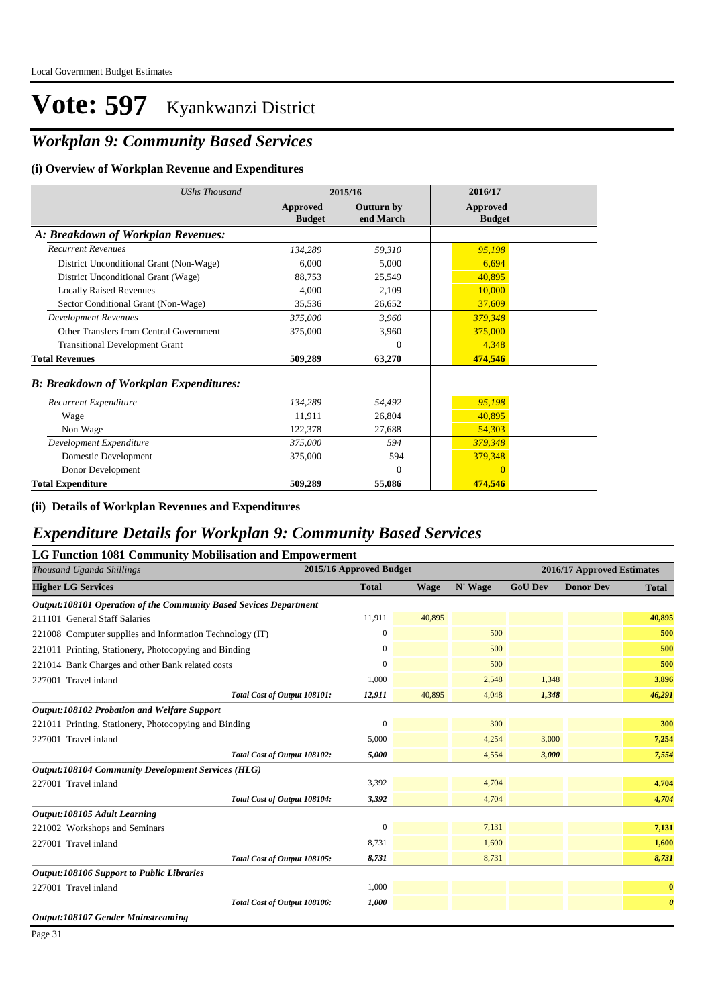## *Workplan 9: Community Based Services*

#### **(i) Overview of Workplan Revenue and Expenditures**

| <b>UShs Thousand</b>                          | 2015/16                   |                                | 2016/17                          |
|-----------------------------------------------|---------------------------|--------------------------------|----------------------------------|
|                                               | Approved<br><b>Budget</b> | <b>Outturn by</b><br>end March | <b>Approved</b><br><b>Budget</b> |
| A: Breakdown of Workplan Revenues:            |                           |                                |                                  |
| <b>Recurrent Revenues</b>                     | 134,289                   | 59,310                         | 95,198                           |
| District Unconditional Grant (Non-Wage)       | 6,000                     | 5,000                          | 6,694                            |
| District Unconditional Grant (Wage)           | 88,753                    | 25,549                         | 40,895                           |
| <b>Locally Raised Revenues</b>                | 4.000                     | 2,109                          | 10,000                           |
| Sector Conditional Grant (Non-Wage)           | 35,536                    | 26,652                         | 37,609                           |
| <b>Development Revenues</b>                   | 375,000                   | 3,960                          | 379,348                          |
| Other Transfers from Central Government       | 375,000                   | 3,960                          | 375,000                          |
| <b>Transitional Development Grant</b>         |                           | $\theta$                       | 4,348                            |
| <b>Total Revenues</b>                         | 509,289                   | 63,270                         | 474,546                          |
| <b>B: Breakdown of Workplan Expenditures:</b> |                           |                                |                                  |
| Recurrent Expenditure                         | 134,289                   | 54,492                         | 95,198                           |
| Wage                                          | 11,911                    | 26,804                         | 40,895                           |
| Non Wage                                      | 122,378                   | 27,688                         | 54,303                           |
| Development Expenditure                       | 375,000                   | 594                            | 379,348                          |
| Domestic Development                          | 375,000                   | 594                            | 379,348                          |
| Donor Development                             |                           | $\Omega$                       | $\Omega$                         |
| <b>Total Expenditure</b>                      | 509,289                   | 55,086                         | 474,546                          |

#### **(ii) Details of Workplan Revenues and Expenditures**

#### *Expenditure Details for Workplan 9: Community Based Services*

#### **LG Function 1081 Community Mobilisation and Empowerment**

| Thousand Uganda Shillings                                         | 2015/16 Approved Budget |             |         |                | 2016/17 Approved Estimates |                       |
|-------------------------------------------------------------------|-------------------------|-------------|---------|----------------|----------------------------|-----------------------|
| <b>Higher LG Services</b>                                         | <b>Total</b>            | <b>Wage</b> | N' Wage | <b>GoU Dev</b> | <b>Donor Dev</b>           | <b>Total</b>          |
| Output:108101 Operation of the Community Based Sevices Department |                         |             |         |                |                            |                       |
| 211101 General Staff Salaries                                     | 11,911                  | 40,895      |         |                |                            | 40,895                |
| 221008 Computer supplies and Information Technology (IT)          | 0                       |             | 500     |                |                            | 500                   |
| 221011 Printing, Stationery, Photocopying and Binding             | 0                       |             | 500     |                |                            | 500                   |
| 221014 Bank Charges and other Bank related costs                  | 0                       |             | 500     |                |                            | 500                   |
| 227001 Travel inland                                              | 1,000                   |             | 2,548   | 1,348          |                            | 3,896                 |
| Total Cost of Output 108101:                                      | 12,911                  | 40,895      | 4,048   | 1,348          |                            | 46,291                |
| Output:108102 Probation and Welfare Support                       |                         |             |         |                |                            |                       |
| 221011 Printing, Stationery, Photocopying and Binding             | $\boldsymbol{0}$        |             | 300     |                |                            | 300                   |
| 227001 Travel inland                                              | 5,000                   |             | 4,254   | 3,000          |                            | 7,254                 |
| Total Cost of Output 108102:                                      | 5,000                   |             | 4,554   | 3,000          |                            | 7,554                 |
| <b>Output:108104 Community Development Services (HLG)</b>         |                         |             |         |                |                            |                       |
| 227001 Travel inland                                              | 3,392                   |             | 4,704   |                |                            | 4,704                 |
| Total Cost of Output 108104:                                      | 3,392                   |             | 4,704   |                |                            | 4,704                 |
| Output:108105 Adult Learning                                      |                         |             |         |                |                            |                       |
| 221002 Workshops and Seminars                                     | $\mathbf{0}$            |             | 7,131   |                |                            | 7,131                 |
| 227001 Travel inland                                              | 8,731                   |             | 1,600   |                |                            | 1,600                 |
| Total Cost of Output 108105:                                      | 8,731                   |             | 8,731   |                |                            | 8,731                 |
| <b>Output:108106 Support to Public Libraries</b>                  |                         |             |         |                |                            |                       |
| 227001 Travel inland                                              | 1,000                   |             |         |                |                            | $\bf{0}$              |
| Total Cost of Output 108106:                                      | 1,000                   |             |         |                |                            | $\boldsymbol{\theta}$ |
| <b>Output:108107 Gender Mainstreaming</b>                         |                         |             |         |                |                            |                       |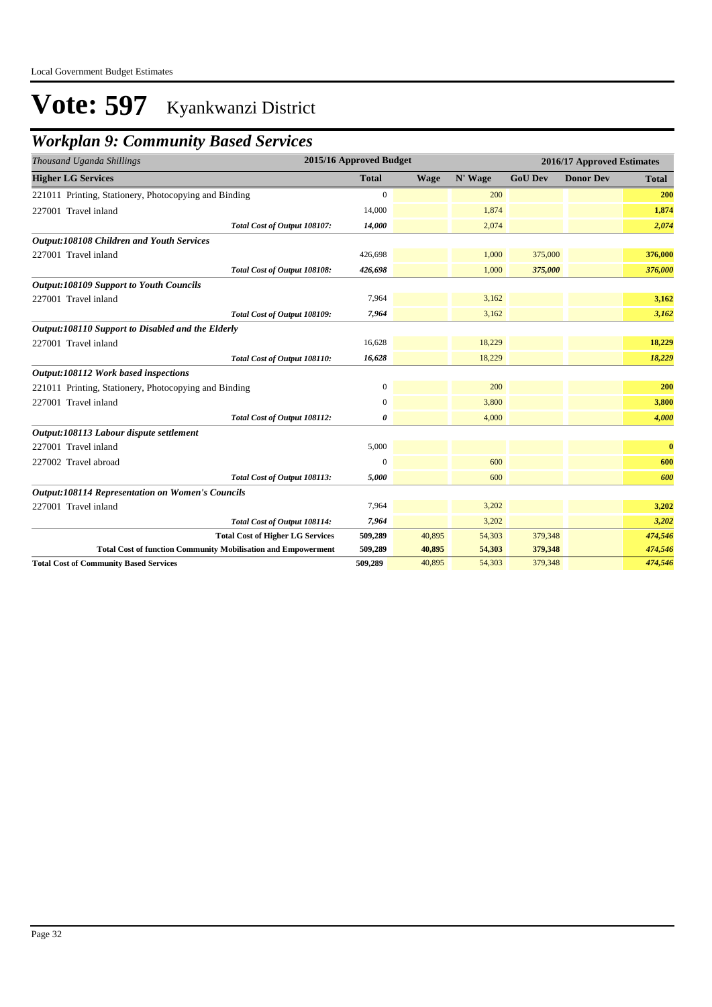### *Workplan 9: Community Based Services*

| Thousand Uganda Shillings                                            | 2015/16 Approved Budget |             |         |                | 2016/17 Approved Estimates |              |
|----------------------------------------------------------------------|-------------------------|-------------|---------|----------------|----------------------------|--------------|
| <b>Higher LG Services</b>                                            | <b>Total</b>            | <b>Wage</b> | N' Wage | <b>GoU Dev</b> | <b>Donor Dev</b>           | <b>Total</b> |
| 221011 Printing, Stationery, Photocopying and Binding                | $\Omega$                |             | 200     |                |                            | 200          |
| 227001 Travel inland                                                 | 14,000                  |             | 1,874   |                |                            | 1,874        |
| Total Cost of Output 108107:                                         | 14,000                  |             | 2,074   |                |                            | 2,074        |
| <b>Output:108108 Children and Youth Services</b>                     |                         |             |         |                |                            |              |
| 227001 Travel inland                                                 | 426,698                 |             | 1,000   | 375,000        |                            | 376,000      |
| Total Cost of Output 108108:                                         | 426,698                 |             | 1,000   | 375,000        |                            | 376,000      |
| <b>Output:108109 Support to Youth Councils</b>                       |                         |             |         |                |                            |              |
| 227001 Travel inland                                                 | 7,964                   |             | 3,162   |                |                            | 3,162        |
| Total Cost of Output 108109:                                         | 7,964                   |             | 3,162   |                |                            | 3,162        |
| Output:108110 Support to Disabled and the Elderly                    |                         |             |         |                |                            |              |
| 227001 Travel inland                                                 | 16,628                  |             | 18,229  |                |                            | 18,229       |
| Total Cost of Output 108110:                                         | 16,628                  |             | 18,229  |                |                            | 18,229       |
| Output:108112 Work based inspections                                 |                         |             |         |                |                            |              |
| 221011 Printing, Stationery, Photocopying and Binding                | $\boldsymbol{0}$        |             | 200     |                |                            | 200          |
| 227001 Travel inland                                                 | 0                       |             | 3,800   |                |                            | 3,800        |
| Total Cost of Output 108112:                                         | 0                       |             | 4,000   |                |                            | 4,000        |
| Output:108113 Labour dispute settlement                              |                         |             |         |                |                            |              |
| 227001 Travel inland                                                 | 5,000                   |             |         |                |                            | $\bf{0}$     |
| 227002 Travel abroad                                                 | $\Omega$                |             | 600     |                |                            | 600          |
| Total Cost of Output 108113:                                         | 5,000                   |             | 600     |                |                            | 600          |
| <b>Output:108114 Representation on Women's Councils</b>              |                         |             |         |                |                            |              |
| 227001 Travel inland                                                 | 7,964                   |             | 3,202   |                |                            | 3,202        |
| Total Cost of Output 108114:                                         | 7,964                   |             | 3,202   |                |                            | 3,202        |
| <b>Total Cost of Higher LG Services</b>                              | 509,289                 | 40,895      | 54,303  | 379,348        |                            | 474,546      |
| <b>Total Cost of function Community Mobilisation and Empowerment</b> | 509,289                 | 40,895      | 54,303  | 379,348        |                            | 474,546      |
| <b>Total Cost of Community Based Services</b>                        | 509,289                 | 40,895      | 54,303  | 379,348        |                            | 474,546      |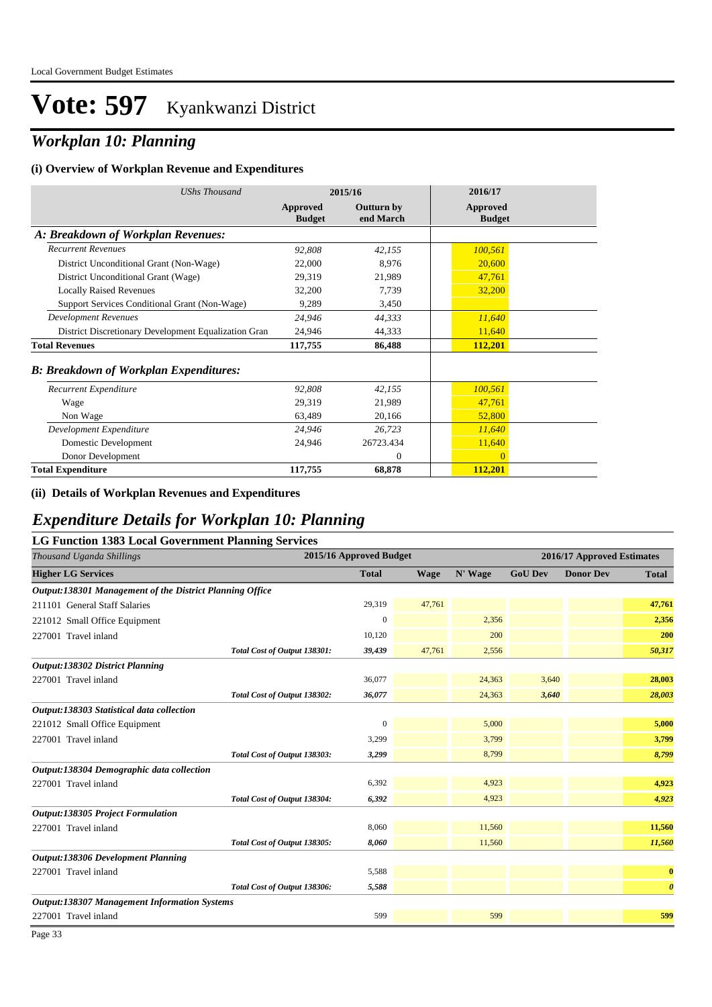### *Workplan 10: Planning*

#### **(i) Overview of Workplan Revenue and Expenditures**

| <b>UShs Thousand</b>                                 | 2015/16                   |                                | 2016/17                          |
|------------------------------------------------------|---------------------------|--------------------------------|----------------------------------|
|                                                      | Approved<br><b>Budget</b> | <b>Outturn by</b><br>end March | <b>Approved</b><br><b>Budget</b> |
| A: Breakdown of Workplan Revenues:                   |                           |                                |                                  |
| <b>Recurrent Revenues</b>                            | 92,808                    | 42,155                         | 100,561                          |
| District Unconditional Grant (Non-Wage)              | 22,000                    | 8.976                          | 20,600                           |
| District Unconditional Grant (Wage)                  | 29,319                    | 21,989                         | 47,761                           |
| <b>Locally Raised Revenues</b>                       | 32,200                    | 7,739                          | 32,200                           |
| Support Services Conditional Grant (Non-Wage)        | 9,289                     | 3,450                          |                                  |
| <b>Development Revenues</b>                          | 24,946                    | 44,333                         | 11,640                           |
| District Discretionary Development Equalization Gran | 24,946                    | 44,333                         | 11,640                           |
| <b>Total Revenues</b>                                | 117,755                   | 86,488                         | 112,201                          |
| <b>B: Breakdown of Workplan Expenditures:</b>        |                           |                                |                                  |
| Recurrent Expenditure                                | 92,808                    | 42,155                         | 100,561                          |
| Wage                                                 | 29,319                    | 21,989                         | 47,761                           |
| Non Wage                                             | 63,489                    | 20,166                         | 52,800                           |
| Development Expenditure                              | 24,946                    | 26,723                         | 11,640                           |
| Domestic Development                                 | 24,946                    | 26723.434                      | 11,640                           |
| Donor Development                                    |                           | $\theta$                       | $\overline{0}$                   |
| <b>Total Expenditure</b>                             | 117,755                   | 68,878                         | 112,201                          |

#### **(ii) Details of Workplan Revenues and Expenditures**

### *Expenditure Details for Workplan 10: Planning*

| <b>LG Function 1383 Local Government Planning Services</b> |                         |             |         |                |                            |                       |  |
|------------------------------------------------------------|-------------------------|-------------|---------|----------------|----------------------------|-----------------------|--|
| Thousand Uganda Shillings                                  | 2015/16 Approved Budget |             |         |                | 2016/17 Approved Estimates |                       |  |
| <b>Higher LG Services</b>                                  | <b>Total</b>            | <b>Wage</b> | N' Wage | <b>GoU Dev</b> | <b>Donor Dev</b>           | <b>Total</b>          |  |
| Output:138301 Management of the District Planning Office   |                         |             |         |                |                            |                       |  |
| 211101 General Staff Salaries                              | 29,319                  | 47,761      |         |                |                            | 47,761                |  |
| 221012 Small Office Equipment                              | $\mathbf{0}$            |             | 2,356   |                |                            | 2,356                 |  |
| 227001 Travel inland                                       | 10,120                  |             | 200     |                |                            | 200                   |  |
| Total Cost of Output 138301:                               | 39,439                  | 47,761      | 2,556   |                |                            | 50,317                |  |
| Output:138302 District Planning                            |                         |             |         |                |                            |                       |  |
| 227001 Travel inland                                       | 36,077                  |             | 24,363  | 3,640          |                            | 28,003                |  |
| Total Cost of Output 138302:                               | 36,077                  |             | 24,363  | 3,640          |                            | 28,003                |  |
| Output:138303 Statistical data collection                  |                         |             |         |                |                            |                       |  |
| 221012 Small Office Equipment                              | $\mathbf{0}$            |             | 5,000   |                |                            | 5,000                 |  |
| 227001 Travel inland                                       | 3,299                   |             | 3,799   |                |                            | 3,799                 |  |
| Total Cost of Output 138303:                               | 3,299                   |             | 8,799   |                |                            | 8,799                 |  |
| Output:138304 Demographic data collection                  |                         |             |         |                |                            |                       |  |
| 227001 Travel inland                                       | 6,392                   |             | 4,923   |                |                            | 4,923                 |  |
| Total Cost of Output 138304:                               | 6,392                   |             | 4,923   |                |                            | 4,923                 |  |
| Output:138305 Project Formulation                          |                         |             |         |                |                            |                       |  |
| 227001 Travel inland                                       | 8,060                   |             | 11,560  |                |                            | 11,560                |  |
| Total Cost of Output 138305:                               | 8,060                   |             | 11,560  |                |                            | 11,560                |  |
| <b>Output:138306 Development Planning</b>                  |                         |             |         |                |                            |                       |  |
| 227001 Travel inland                                       | 5,588                   |             |         |                |                            | $\bf{0}$              |  |
| Total Cost of Output 138306:                               | 5,588                   |             |         |                |                            | $\boldsymbol{\theta}$ |  |
| <b>Output:138307 Management Information Systems</b>        |                         |             |         |                |                            |                       |  |
| 227001 Travel inland                                       | 599                     |             | 599     |                |                            | 599                   |  |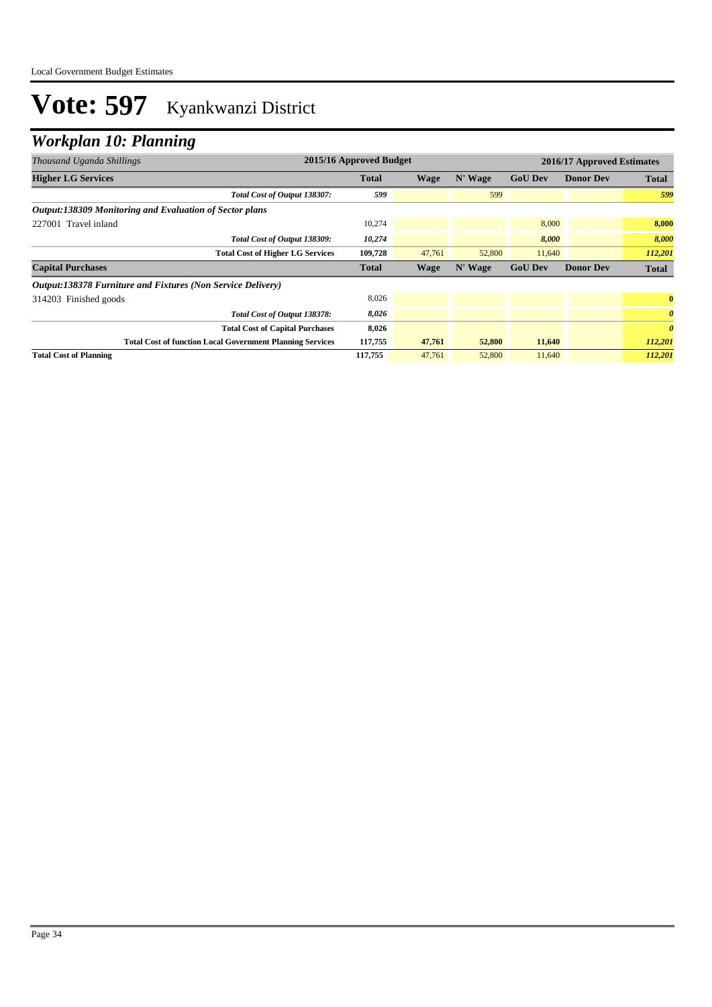### *Workplan 10: Planning*

| Thousand Uganda Shillings                                        | 2015/16 Approved Budget |             |         |                |                  | 2016/17 Approved Estimates |
|------------------------------------------------------------------|-------------------------|-------------|---------|----------------|------------------|----------------------------|
| <b>Higher LG Services</b>                                        | <b>Total</b>            | Wage        | N' Wage | <b>GoU Dev</b> | <b>Donor Dev</b> | <b>Total</b>               |
| Total Cost of Output 138307:                                     | 599                     |             | 599     |                |                  | 599                        |
| Output:138309 Monitoring and Evaluation of Sector plans          |                         |             |         |                |                  |                            |
| 227001 Travel inland                                             | 10,274                  |             |         | 8,000          |                  | 8,000                      |
| Total Cost of Output 138309:                                     | 10,274                  |             |         | 8,000          |                  | 8,000                      |
| <b>Total Cost of Higher LG Services</b>                          | 109,728                 | 47,761      | 52,800  | 11,640         |                  | 112,201                    |
| <b>Capital Purchases</b>                                         | <b>Total</b>            | <b>Wage</b> | N' Wage | <b>GoU Dev</b> | <b>Donor Dev</b> | <b>Total</b>               |
| Output:138378 Furniture and Fixtures (Non Service Delivery)      |                         |             |         |                |                  |                            |
| 314203 Finished goods                                            | 8,026                   |             |         |                |                  | $\bf{0}$                   |
| Total Cost of Output 138378:                                     | 8,026                   |             |         |                |                  | $\boldsymbol{\theta}$      |
| <b>Total Cost of Capital Purchases</b>                           | 8,026                   |             |         |                |                  | $\theta$                   |
| <b>Total Cost of function Local Government Planning Services</b> | 117,755                 | 47,761      | 52,800  | 11,640         |                  | 112,201                    |
| <b>Total Cost of Planning</b>                                    | 117,755                 | 47,761      | 52,800  | 11,640         |                  | 112,201                    |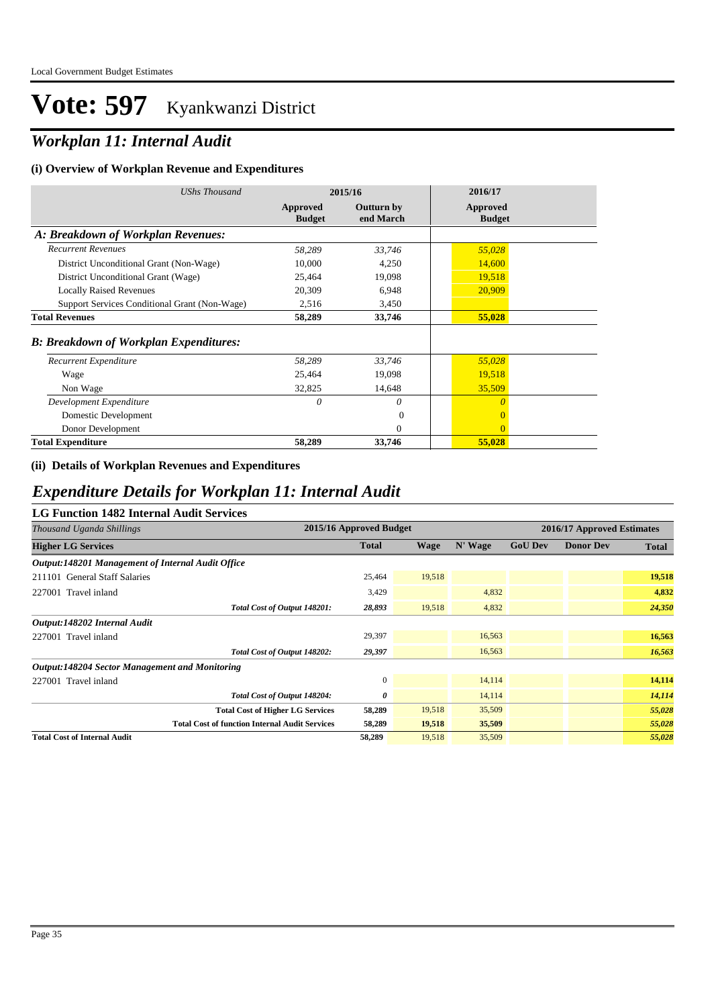## *Workplan 11: Internal Audit*

#### **(i) Overview of Workplan Revenue and Expenditures**

| <b>UShs Thousand</b>                          | 2015/16                   |                                | 2016/17                   |
|-----------------------------------------------|---------------------------|--------------------------------|---------------------------|
|                                               | Approved<br><b>Budget</b> | <b>Outturn by</b><br>end March | Approved<br><b>Budget</b> |
| A: Breakdown of Workplan Revenues:            |                           |                                |                           |
| <b>Recurrent Revenues</b>                     | 58,289                    | 33,746                         | 55,028                    |
| District Unconditional Grant (Non-Wage)       | 10,000                    | 4,250                          | 14,600                    |
| District Unconditional Grant (Wage)           | 25,464                    | 19,098                         | 19,518                    |
| <b>Locally Raised Revenues</b>                | 20,309                    | 6,948                          | 20,909                    |
| Support Services Conditional Grant (Non-Wage) | 2,516                     | 3,450                          |                           |
| <b>Total Revenues</b>                         | 58,289                    | 33,746                         | 55,028                    |
| <b>B: Breakdown of Workplan Expenditures:</b> |                           |                                |                           |
| Recurrent Expenditure                         | 58,289                    | 33,746                         | 55,028                    |
| Wage                                          | 25,464                    | 19,098                         | 19,518                    |
| Non Wage                                      | 32,825                    | 14,648                         | 35,509                    |
| Development Expenditure                       | 0                         | 0                              | $\theta$                  |
| Domestic Development                          |                           | $\Omega$                       | $\Omega$                  |
| Donor Development                             |                           | $\Omega$                       | $\theta$                  |
| <b>Total Expenditure</b>                      | 58,289                    | 33,746                         | 55,028                    |

#### **(ii) Details of Workplan Revenues and Expenditures**

### *Expenditure Details for Workplan 11: Internal Audit*

#### **LG Function 1482 Internal Audit Services**

| Thousand Uganda Shillings                             | 2015/16 Approved Budget |             |         | 2016/17 Approved Estimates |                  |              |
|-------------------------------------------------------|-------------------------|-------------|---------|----------------------------|------------------|--------------|
| <b>Higher LG Services</b>                             | <b>Total</b>            | <b>Wage</b> | N' Wage | <b>GoU Dev</b>             | <b>Donor Dev</b> | <b>Total</b> |
| Output:148201 Management of Internal Audit Office     |                         |             |         |                            |                  |              |
| 211101 General Staff Salaries                         | 25,464                  | 19,518      |         |                            |                  | 19,518       |
| 227001 Travel inland                                  | 3,429                   |             | 4,832   |                            |                  | 4,832        |
| Total Cost of Output 148201:                          | 28,893                  | 19,518      | 4,832   |                            |                  | 24,350       |
| Output:148202 Internal Audit                          |                         |             |         |                            |                  |              |
| 227001 Travel inland                                  | 29,397                  |             | 16,563  |                            |                  | 16,563       |
| Total Cost of Output 148202:                          | 29,397                  |             | 16,563  |                            |                  | 16,563       |
| <b>Output:148204 Sector Management and Monitoring</b> |                         |             |         |                            |                  |              |
| 227001 Travel inland                                  | $\mathbf{0}$            |             | 14,114  |                            |                  | 14,114       |
| Total Cost of Output 148204:                          | 0                       |             | 14,114  |                            |                  | 14,114       |
| <b>Total Cost of Higher LG Services</b>               | 58,289                  | 19,518      | 35,509  |                            |                  | 55,028       |
| <b>Total Cost of function Internal Audit Services</b> | 58,289                  | 19,518      | 35,509  |                            |                  | 55,028       |
| <b>Total Cost of Internal Audit</b>                   | 58,289                  | 19,518      | 35,509  |                            |                  | 55,028       |